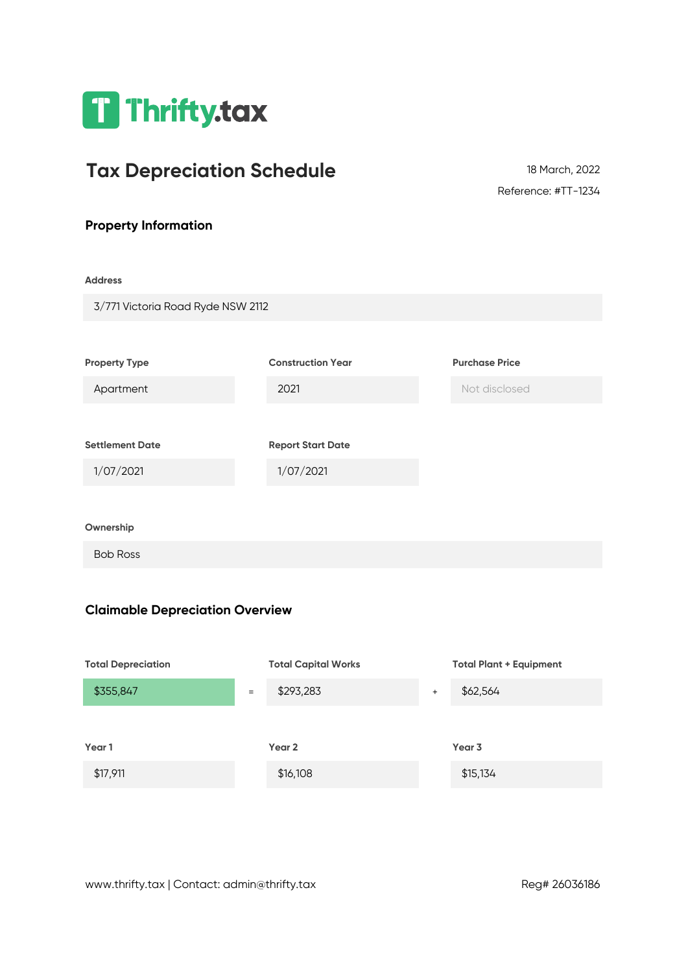

# **Tax Depreciation Schedule**

Reference: #TT-1234 18 March, 2022

## **Property Information**

#### **Address**

| 3/771 Victoria Road Ryde NSW 2112 |                          |                       |
|-----------------------------------|--------------------------|-----------------------|
|                                   |                          |                       |
| <b>Property Type</b>              | <b>Construction Year</b> | <b>Purchase Price</b> |
| Apartment                         | 2021                     | Not disclosed         |
|                                   |                          |                       |
| <b>Settlement Date</b>            | <b>Report Start Date</b> |                       |
| 1/07/2021                         | 1/07/2021                |                       |
|                                   |                          |                       |
| Ownership                         |                          |                       |
| <b>Bob Ross</b>                   |                          |                       |

### **Claimable Depreciation Overview**

| <b>Total Depreciation</b> |     | <b>Total Capital Works</b> |           | <b>Total Plant + Equipment</b> |
|---------------------------|-----|----------------------------|-----------|--------------------------------|
| \$355,847                 | $=$ | \$293,283                  | $\ddot{}$ | \$62,564                       |
|                           |     |                            |           |                                |
| Year 1                    |     | Year 2                     |           | Year 3                         |
| \$17,911                  |     | \$16,108                   |           | \$15,134                       |
|                           |     |                            |           |                                |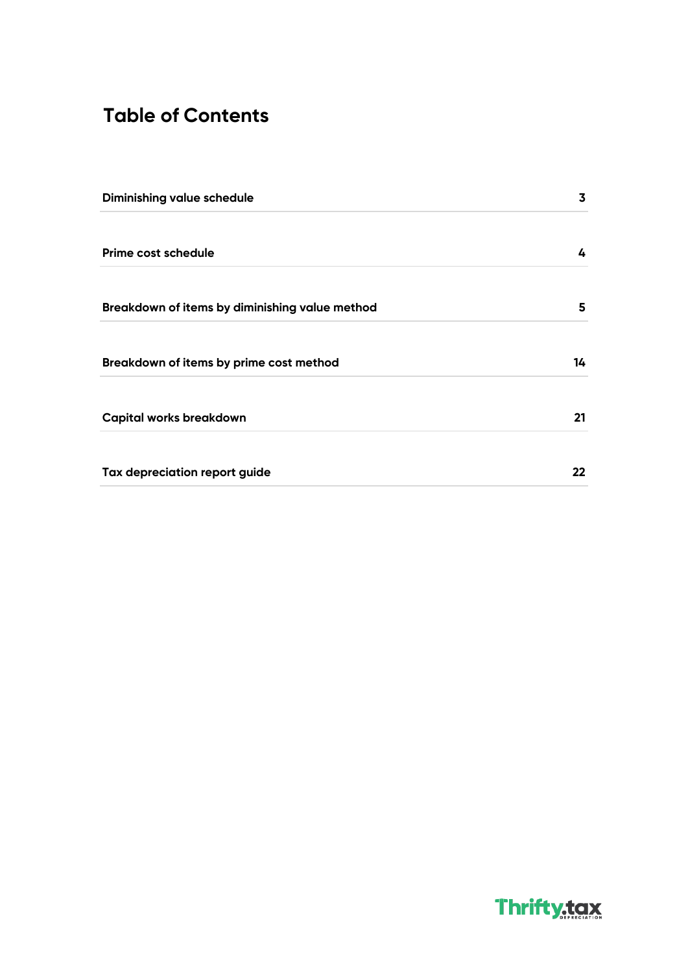# **Table of Contents**

| Diminishing value schedule                     | 3       |
|------------------------------------------------|---------|
| Prime cost schedule                            | 4       |
| Breakdown of items by diminishing value method | 5       |
| Breakdown of items by prime cost method        | 14      |
| Capital works breakdown                        | 21      |
| Tax depreciation report guide                  | $22 \,$ |

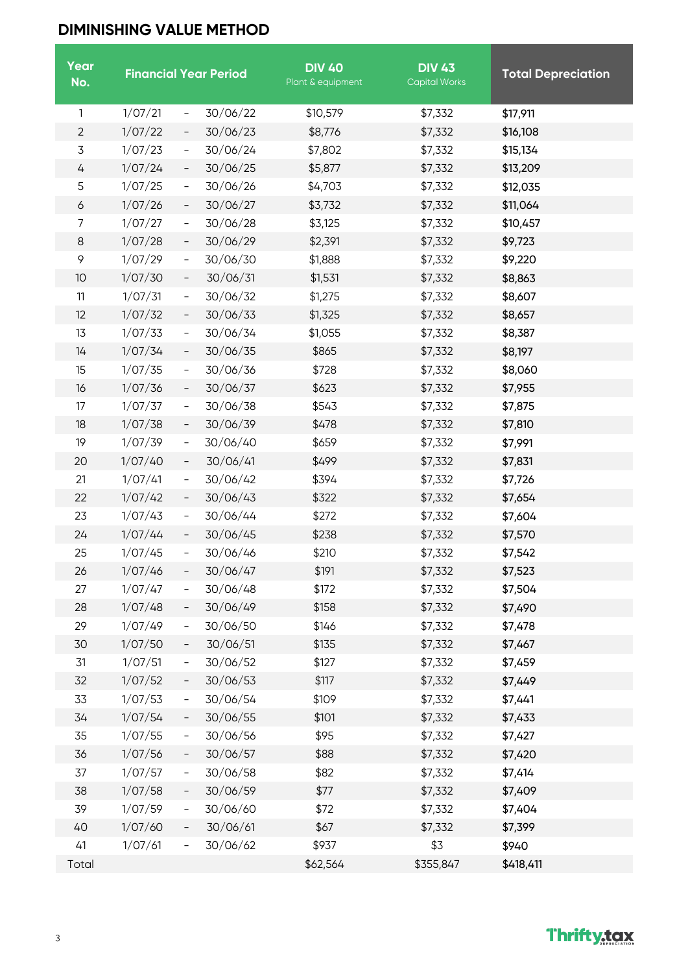# **DIMINISHING VALUE METHOD**

| Year<br>No.      |         |                          | <b>Financial Year Period</b> | <b>DIV 40</b><br>Plant & equipment | <b>DIV 43</b><br><b>Capital Works</b> | <b>Total Depreciation</b> |
|------------------|---------|--------------------------|------------------------------|------------------------------------|---------------------------------------|---------------------------|
| 1                | 1/07/21 | $\overline{\phantom{a}}$ | 30/06/22                     | \$10,579                           | \$7,332                               | \$17,911                  |
| $\overline{2}$   | 1/07/22 | $\qquad \qquad -$        | 30/06/23                     | \$8,776                            | \$7,332                               | \$16,108                  |
| 3                | 1/07/23 | $\qquad \qquad -$        | 30/06/24                     | \$7,802                            | \$7,332                               | \$15,134                  |
| 4                | 1/07/24 | $\qquad \qquad -$        | 30/06/25                     | \$5,877                            | \$7,332                               | \$13,209                  |
| 5                | 1/07/25 | $\qquad \qquad -$        | 30/06/26                     | \$4,703                            | \$7,332                               | \$12,035                  |
| $\boldsymbol{6}$ | 1/07/26 | $\overline{\phantom{0}}$ | 30/06/27                     | \$3,732                            | \$7,332                               | \$11,064                  |
| 7                | 1/07/27 | $\overline{\phantom{a}}$ | 30/06/28                     | \$3,125                            | \$7,332                               | \$10,457                  |
| 8                | 1/07/28 | $\qquad \qquad -$        | 30/06/29                     | \$2,391                            | \$7,332                               | \$9,723                   |
| 9                | 1/07/29 | $\equiv$                 | 30/06/30                     | \$1,888                            | \$7,332                               | \$9,220                   |
| 10               | 1/07/30 | $\qquad \qquad -$        | 30/06/31                     | \$1,531                            | \$7,332                               | \$8,863                   |
| 11               | 1/07/31 | $\overline{\phantom{a}}$ | 30/06/32                     | \$1,275                            | \$7,332                               | \$8,607                   |
| 12               | 1/07/32 | $\overline{\phantom{0}}$ | 30/06/33                     | \$1,325                            | \$7,332                               | \$8,657                   |
| 13               | 1/07/33 | -                        | 30/06/34                     | \$1,055                            | \$7,332                               | \$8,387                   |
| 14               | 1/07/34 | $\overline{\phantom{0}}$ | 30/06/35                     | \$865                              | \$7,332                               | \$8,197                   |
| 15               | 1/07/35 | $\qquad \qquad -$        | 30/06/36                     | \$728                              | \$7,332                               | \$8,060                   |
| 16               | 1/07/36 | $\qquad \qquad -$        | 30/06/37                     | \$623                              | \$7,332                               | \$7,955                   |
| 17               | 1/07/37 | $\overline{\phantom{a}}$ | 30/06/38                     | \$543                              | \$7,332                               | \$7,875                   |
| 18               | 1/07/38 | $\qquad \qquad -$        | 30/06/39                     | \$478                              | \$7,332                               | \$7,810                   |
| 19               | 1/07/39 | $\qquad \qquad -$        | 30/06/40                     | \$659                              | \$7,332                               | \$7,991                   |
| 20               | 1/07/40 | $\qquad \qquad -$        | 30/06/41                     | \$499                              | \$7,332                               | \$7,831                   |
| 21               | 1/07/41 | $\overline{\phantom{a}}$ | 30/06/42                     | \$394                              | \$7,332                               | \$7,726                   |
| 22               | 1/07/42 | $\qquad \qquad -$        | 30/06/43                     | \$322                              | \$7,332                               | \$7,654                   |
| 23               | 1/07/43 | $\overline{\phantom{a}}$ | 30/06/44                     | \$272                              | \$7,332                               | \$7,604                   |
| 24               | 1/07/44 | $\overline{\phantom{a}}$ | 30/06/45                     | \$238                              | \$7,332                               | \$7,570                   |
| 25               | 1/07/45 | $\overline{\phantom{a}}$ | 30/06/46                     | \$210                              | \$7,332                               | \$7,542                   |
| 26               | 1/07/46 |                          | 30/06/47                     | \$191                              | \$7,332                               | \$7,523                   |
| 27               | 1/07/47 | $\qquad \qquad -$        | 30/06/48                     | \$172                              | \$7,332                               | \$7,504                   |
| 28               | 1/07/48 | $\qquad \qquad -$        | 30/06/49                     | \$158                              | \$7,332                               | \$7,490                   |
| 29               | 1/07/49 | $\qquad \qquad -$        | 30/06/50                     | \$146                              | \$7,332                               | \$7,478                   |
| 30               | 1/07/50 | $\overline{\phantom{0}}$ | 30/06/51                     | \$135                              | \$7,332                               | \$7,467                   |
| 31               | 1/07/51 | $\overline{\phantom{0}}$ | 30/06/52                     | \$127                              | \$7,332                               | \$7,459                   |
| 32               | 1/07/52 | $\overline{\phantom{a}}$ | 30/06/53                     | \$117                              | \$7,332                               | \$7,449                   |
| 33               | 1/07/53 | $\overline{\phantom{0}}$ | 30/06/54                     | \$109                              | \$7,332                               | \$7,441                   |
| 34               | 1/07/54 | $\overline{\phantom{0}}$ | 30/06/55                     | \$101                              | \$7,332                               | \$7,433                   |
| 35               | 1/07/55 | -                        | 30/06/56                     | \$95                               | \$7,332                               | \$7,427                   |
| 36               | 1/07/56 | $\qquad \qquad -$        | 30/06/57                     | \$88                               | \$7,332                               | \$7,420                   |
| 37               | 1/07/57 | -                        | 30/06/58                     | \$82                               | \$7,332                               | \$7,414                   |
| 38               | 1/07/58 | $\overline{\phantom{a}}$ | 30/06/59                     | \$77                               | \$7,332                               | \$7,409                   |
| 39               | 1/07/59 | -                        | 30/06/60                     | \$72                               | \$7,332                               | \$7,404                   |
| 40               | 1/07/60 | -                        | 30/06/61                     | \$67                               | \$7,332                               | \$7,399                   |
| 41               | 1/07/61 | -                        | 30/06/62                     | \$937                              | \$3                                   | \$940                     |
| Total            |         |                          |                              | \$62,564                           | \$355,847                             | \$418,411                 |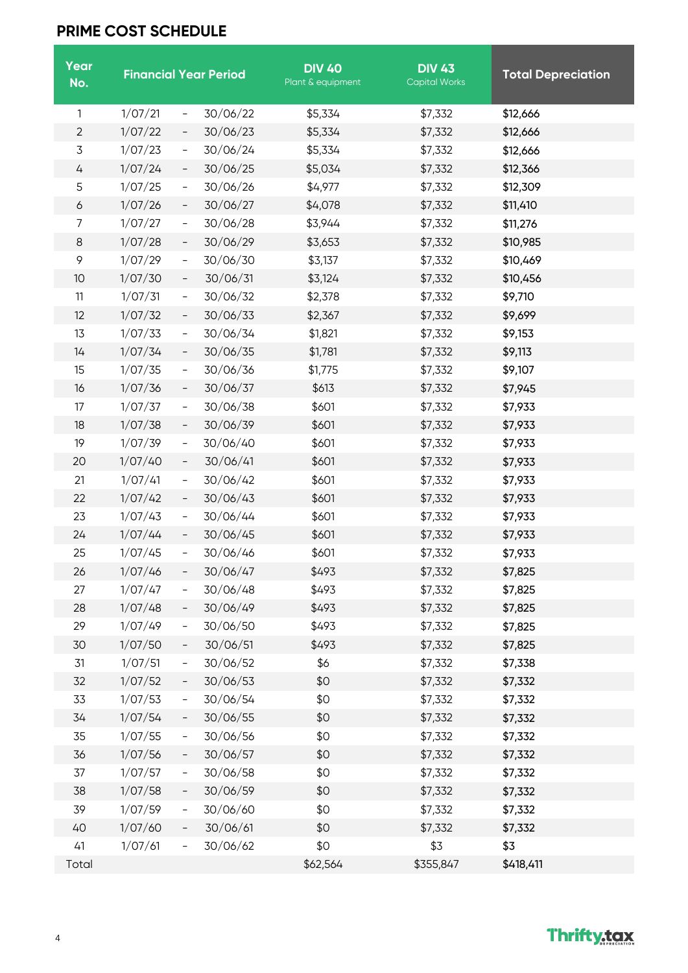## **PRIME COST SCHEDULE**

| Year<br>No.        |         |                          | <b>Financial Year Period</b> | <b>DIV 40</b><br>Plant & equipment | <b>DIV 43</b><br><b>Capital Works</b> | <b>Total Depreciation</b> |
|--------------------|---------|--------------------------|------------------------------|------------------------------------|---------------------------------------|---------------------------|
| 1                  | 1/07/21 | $\qquad \qquad -$        | 30/06/22                     | \$5,334                            | \$7,332                               | \$12,666                  |
| $\overline{2}$     | 1/07/22 | $\overline{\phantom{0}}$ | 30/06/23                     | \$5,334                            | \$7,332                               | \$12,666                  |
| 3                  | 1/07/23 | $\qquad \qquad -$        | 30/06/24                     | \$5,334                            | \$7,332                               | \$12,666                  |
| 4                  | 1/07/24 | $\overline{\phantom{a}}$ | 30/06/25                     | \$5,034                            | \$7,332                               | \$12,366                  |
| 5                  | 1/07/25 | $\overline{\phantom{0}}$ | 30/06/26                     | \$4,977                            | \$7,332                               | \$12,309                  |
| $\boldsymbol{6}$   | 1/07/26 | $\overline{\phantom{0}}$ | 30/06/27                     | \$4,078                            | \$7,332                               | \$11,410                  |
| 7                  | 1/07/27 | -                        | 30/06/28                     | \$3,944                            | \$7,332                               | \$11,276                  |
| 8                  | 1/07/28 | $\overline{\phantom{0}}$ | 30/06/29                     | \$3,653                            | \$7,332                               | \$10,985                  |
| $\mathsf{\varphi}$ | 1/07/29 | $\qquad \qquad -$        | 30/06/30                     | \$3,137                            | \$7,332                               | \$10,469                  |
| 10                 | 1/07/30 | $\overline{\phantom{0}}$ | 30/06/31                     | \$3,124                            | \$7,332                               | \$10,456                  |
| 11                 | 1/07/31 | $\overline{\phantom{0}}$ | 30/06/32                     | \$2,378                            | \$7,332                               | \$9,710                   |
| 12                 | 1/07/32 | $\qquad \qquad -$        | 30/06/33                     | \$2,367                            | \$7,332                               | \$9,699                   |
| 13                 | 1/07/33 | $\overline{\phantom{0}}$ | 30/06/34                     | \$1,821                            | \$7,332                               | \$9,153                   |
| 14                 | 1/07/34 | $\overline{\phantom{0}}$ | 30/06/35                     | \$1,781                            | \$7,332                               | \$9,113                   |
| 15                 | 1/07/35 | $\qquad \qquad -$        | 30/06/36                     | \$1,775                            | \$7,332                               | \$9,107                   |
| 16                 | 1/07/36 | $\overline{\phantom{0}}$ | 30/06/37                     | \$613                              | \$7,332                               | \$7,945                   |
| 17                 | 1/07/37 | -                        | 30/06/38                     | \$601                              | \$7,332                               | \$7,933                   |
| 18                 | 1/07/38 | $\overline{\phantom{0}}$ | 30/06/39                     | \$601                              | \$7,332                               | \$7,933                   |
| 19                 | 1/07/39 | $\overline{\phantom{0}}$ | 30/06/40                     | \$601                              | \$7,332                               | \$7,933                   |
| 20                 | 1/07/40 | $\overline{\phantom{0}}$ | 30/06/41                     | \$601                              | \$7,332                               | \$7,933                   |
| 21                 | 1/07/41 | -                        | 30/06/42                     | \$601                              | \$7,332                               | \$7,933                   |
| 22                 | 1/07/42 | $\overline{\phantom{0}}$ | 30/06/43                     | \$601                              | \$7,332                               | \$7,933                   |
| 23                 | 1/07/43 | $\qquad \qquad -$        | 30/06/44                     | \$601                              | \$7,332                               | \$7,933                   |
| 24                 | 1/07/44 | $\qquad \qquad -$        | 30/06/45                     | \$601                              | \$7,332                               | \$7,933                   |
| 25                 | 1/07/45 | $\overline{\phantom{a}}$ | 30/06/46                     | \$601                              | \$7,332                               | \$7,933                   |
| 26                 | 1/07/46 |                          | 30/06/47                     | \$493                              | \$7,332                               | \$7,825                   |
| 27                 | 1/07/47 | -                        | 30/06/48                     | \$493                              | \$7,332                               | \$7,825                   |
| 28                 | 1/07/48 | $\overline{\phantom{0}}$ | 30/06/49                     | \$493                              | \$7,332                               | \$7,825                   |
| 29                 | 1/07/49 | -                        | 30/06/50                     | \$493                              | \$7,332                               | \$7,825                   |
| 30                 | 1/07/50 |                          | 30/06/51                     | \$493                              | \$7,332                               | \$7,825                   |
| 31                 | 1/07/51 | -                        | 30/06/52                     | \$6                                | \$7,332                               | \$7,338                   |
| 32                 | 1/07/52 |                          | 30/06/53                     | \$0                                | \$7,332                               | \$7,332                   |
| 33                 | 1/07/53 | -                        | 30/06/54                     | \$0                                | \$7,332                               | \$7,332                   |
| 34                 | 1/07/54 | $\qquad \qquad -$        | 30/06/55                     | \$0                                | \$7,332                               | \$7,332                   |
| 35                 | 1/07/55 | $\qquad \qquad =$        | 30/06/56                     | \$0                                | \$7,332                               | \$7,332                   |
| 36                 | 1/07/56 | $\overline{\phantom{0}}$ | 30/06/57                     | \$0                                | \$7,332                               | \$7,332                   |
| 37                 | 1/07/57 | $\qquad \qquad =$        | 30/06/58                     | \$0                                | \$7,332                               | \$7,332                   |
| 38                 | 1/07/58 | $\overline{\phantom{0}}$ | 30/06/59                     | \$0                                | \$7,332                               | \$7,332                   |
| 39                 | 1/07/59 | $\qquad \qquad -$        | 30/06/60                     | \$0                                | \$7,332                               | \$7,332                   |
| 40                 | 1/07/60 | $\overline{\phantom{a}}$ | 30/06/61                     | \$0                                | \$7,332                               | \$7,332                   |
| 41                 | 1/07/61 |                          | 30/06/62                     | \$0                                | \$3                                   | \$3                       |
| Total              |         |                          |                              | \$62,564                           | \$355,847                             | \$418,411                 |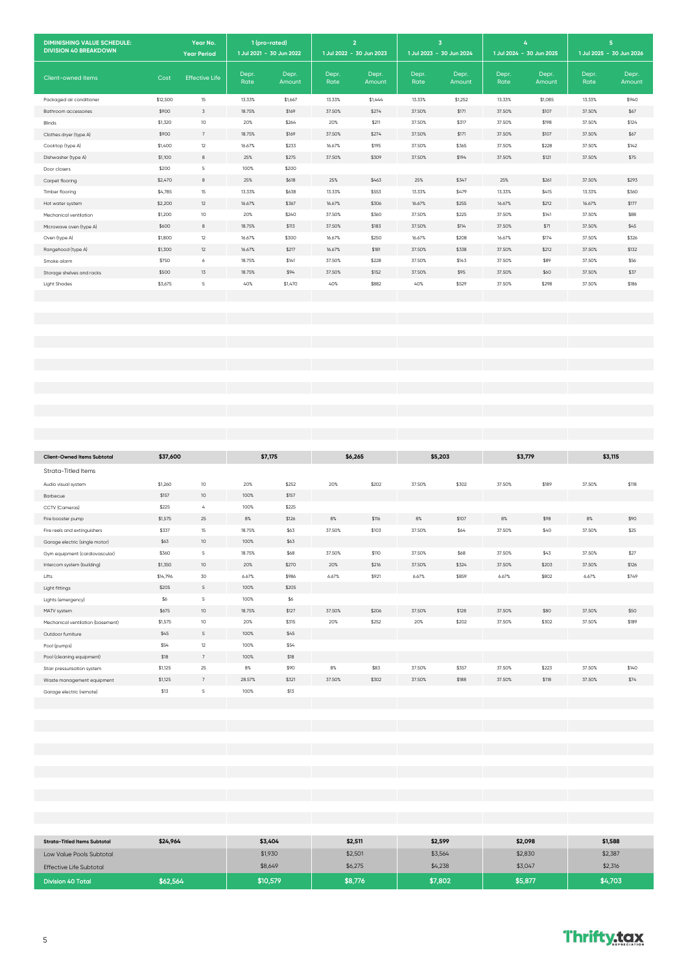| <b>DIMINISHING VALUE SCHEDULE:</b><br><b>DIVISION 40 BREAKDOWN</b> |          | Year No.<br><b>Year Period</b> | 1 (pro-rated)<br>1 Jul 2021 - 30 Jun 2022 |                 |               | $\overline{2}$<br>1 Jul 2022 - 30 Jun 2023 |               | $\overline{\mathbf{3}}$<br>1 Jul 2023 - 30 Jun 2024 |               | 4<br>1 Jul 2024 - 30 Jun 2025 |               | 5 <sup>1</sup><br>1 Jul 2025 - 30 Jun 2026 |
|--------------------------------------------------------------------|----------|--------------------------------|-------------------------------------------|-----------------|---------------|--------------------------------------------|---------------|-----------------------------------------------------|---------------|-------------------------------|---------------|--------------------------------------------|
| Client-owned items                                                 | Cost     | <b>Effective Life</b>          | Depr.<br>Rate                             | Depr.<br>Amount | Depr.<br>Rate | Depr.<br>Amount                            | Depr.<br>Rate | Depr.<br>Amount                                     | Depr.<br>Rate | Depr.<br>Amount               | Depr.<br>Rate | Depr.<br>Amount                            |
| Packaged air conditioner                                           | \$12,500 | 15                             | 13.33%                                    | \$1,667         | 13.33%        | \$1,444                                    | 13.33%        | \$1,252                                             | 13.33%        | \$1,085                       | 13.33%        | \$940                                      |
| Bathroom accessories                                               | \$900    | $\overline{3}$                 | 18.75%                                    | \$169           | 37.50%        | \$274                                      | 37.50%        | \$171                                               | 37.50%        | \$107                         | 37.50%        | \$67                                       |
| Blinds                                                             | \$1,320  | 10                             | 20%                                       | \$264           | 20%           | \$211                                      | 37.50%        | \$317                                               | 37.50%        | \$198                         | 37.50%        | \$124                                      |
| Clothes dryer (type A)                                             | \$900    | $7\overline{ }$                | 18.75%                                    | \$169           | 37.50%        | \$274                                      | 37.50%        | \$171                                               | 37.50%        | \$107                         | 37.50%        | \$67                                       |
| Cooktop (type A)                                                   | \$1,400  | 12                             | 16.67%                                    | \$233           | 16.67%        | \$195                                      | 37.50%        | \$365                                               | 37.50%        | \$228                         | 37.50%        | \$142                                      |
| Dishwasher (type A)                                                | \$1,100  | $^{\rm 8}$                     | 25%                                       | \$275           | 37.50%        | \$309                                      | 37.50%        | \$194                                               | 37.50%        | \$121                         | 37.50%        | \$75                                       |
| Door closers                                                       | \$200    | 5                              | 100%                                      | \$200           |               |                                            |               |                                                     |               |                               |               |                                            |
| Carpet flooring                                                    | \$2,470  | $^{\rm 8}$                     | 25%                                       | \$618           | 25%           | \$463                                      | 25%           | \$347                                               | 25%           | \$261                         | 37.50%        | \$293                                      |
| Timber flooring                                                    | \$4,785  | 15                             | 13.33%                                    | \$638           | 13.33%        | \$553                                      | 13.33%        | \$479                                               | 13.33%        | \$415                         | 13.33%        | \$360                                      |
| Hot water system                                                   | \$2,200  | 12                             | 16.67%                                    | \$367           | 16.67%        | \$306                                      | 16.67%        | \$255                                               | 16.67%        | \$212                         | 16.67%        | \$177                                      |
| Mechanical ventilation                                             | \$1,200  | 10                             | 20%                                       | \$240           | 37.50%        | \$360                                      | 37.50%        | \$225                                               | 37.50%        | \$141                         | 37.50%        | \$88                                       |
| Microwave oven (type A)                                            | \$600    | 8                              | 18.75%                                    | \$113           | 37.50%        | \$183                                      | 37.50%        | \$114                                               | 37.50%        | \$71                          | 37.50%        | \$45                                       |
| Oven (type A)                                                      | \$1,800  | 12                             | 16.67%                                    | \$300           | 16.67%        | \$250                                      | 16.67%        | \$208                                               | 16.67%        | \$174                         | 37.50%        | \$326                                      |
| Rangehood (type A)                                                 | \$1,300  | 12                             | 16.67%                                    | \$217           | 16.67%        | \$181                                      | 37.50%        | \$338                                               | 37.50%        | \$212                         | 37.50%        | \$132                                      |
| Smoke alarm                                                        | \$750    | 6                              | 18.75%                                    | \$141           | 37.50%        | \$228                                      | 37.50%        | \$143                                               | 37.50%        | \$89                          | 37.50%        | \$56                                       |
| Storage shelves and racks                                          | \$500    | 13                             | 18.75%                                    | \$94            | 37.50%        | \$152                                      | 37.50%        | \$95                                                | 37.50%        | \$60                          | 37.50%        | \$37                                       |
| <b>Light Shades</b>                                                | \$3,675  | $\mathsf S$                    | 40%                                       | \$1,470         | 40%           | \$882                                      | 40%           | \$529                                               | 37.50%        | \$298                         | 37.50%        | \$186                                      |
|                                                                    |          |                                |                                           |                 |               |                                            |               |                                                     |               |                               |               |                                            |
|                                                                    |          |                                |                                           |                 |               |                                            |               |                                                     |               |                               |               |                                            |
|                                                                    |          |                                |                                           |                 |               |                                            |               |                                                     |               |                               |               |                                            |
|                                                                    |          |                                |                                           |                 |               |                                            |               |                                                     |               |                               |               |                                            |
|                                                                    |          |                                |                                           |                 |               |                                            |               |                                                     |               |                               |               |                                            |
|                                                                    |          |                                |                                           |                 |               |                                            |               |                                                     |               |                               |               |                                            |
|                                                                    |          |                                |                                           |                 |               |                                            |               |                                                     |               |                               |               |                                            |
|                                                                    |          |                                |                                           |                 |               |                                            |               |                                                     |               |                               |               |                                            |
|                                                                    |          |                                |                                           |                 |               |                                            |               |                                                     |               |                               |               |                                            |
|                                                                    |          |                                |                                           |                 |               |                                            |               |                                                     |               |                               |               |                                            |
|                                                                    |          |                                |                                           |                 |               |                                            |               |                                                     |               |                               |               |                                            |
|                                                                    |          |                                |                                           |                 |               |                                            |               |                                                     |               |                               |               |                                            |

|                                    | \$37,600 |                            | \$7,175 |       | \$6,265 |       | \$5,203 |       | \$3,779 |       | \$3,115 |       |
|------------------------------------|----------|----------------------------|---------|-------|---------|-------|---------|-------|---------|-------|---------|-------|
| <b>Client-Owned Items Subtotal</b> |          |                            |         |       |         |       |         |       |         |       |         |       |
| Strata-Titled Items                |          |                            |         |       |         |       |         |       |         |       |         |       |
| Audio visual system                | \$1,260  | 10                         | 20%     | \$252 | 20%     | \$202 | 37.50%  | \$302 | 37.50%  | \$189 | 37.50%  | \$118 |
| Barbecue                           | \$157    | 10                         | 100%    | \$157 |         |       |         |       |         |       |         |       |
| CCTV (Cameras)                     | \$225    | $\mathcal{L}_{\mathbf{i}}$ | 100%    | \$225 |         |       |         |       |         |       |         |       |
| Fire booster pump                  | \$1,575  | 25                         | 8%      | \$126 | 8%      | \$116 | 8%      | \$107 | 8%      | \$98  | 8%      | \$90  |
| Fire reels and extinguishers       | \$337    | 15                         | 18.75%  | \$63  | 37.50%  | \$103 | 37.50%  | \$64  | 37.50%  | \$40  | 37.50%  | \$25  |
| Garage electric (single motor)     | \$63     | 10                         | 100%    | \$63  |         |       |         |       |         |       |         |       |
| Gym equipment (cardiovascular)     | \$360    | 5                          | 18.75%  | \$68  | 37.50%  | \$110 | 37.50%  | \$68  | 37.50%  | \$43  | 37.50%  | \$27  |
| Intercom system (building)         | \$1,350  | 10                         | 20%     | \$270 | 20%     | \$216 | 37.50%  | \$324 | 37.50%  | \$203 | 37.50%  | \$126 |
| Lifts                              | \$14,796 | 30                         | 6.67%   | \$986 | 6.67%   | \$921 | 6.67%   | \$859 | 6.67%   | \$802 | 6.67%   | \$749 |
| Light fittings                     | \$205    | $5 -$                      | 100%    | \$205 |         |       |         |       |         |       |         |       |
| Lights (emergency)                 | \$6      | $\mathsf S$                | 100%    | \$6   |         |       |         |       |         |       |         |       |
| MATV system                        | \$675    | 10                         | 18.75%  | \$127 | 37.50%  | \$206 | 37.50%  | \$128 | 37.50%  | \$80  | 37.50%  | \$50  |
| Mechanical ventilation (basement)  | \$1,575  | 10                         | 20%     | \$315 | 20%     | \$252 | 20%     | \$202 | 37.50%  | \$302 | 37.50%  | \$189 |
| Outdoor furniture                  | \$45     | 5                          | 100%    | \$45  |         |       |         |       |         |       |         |       |
| Pool (pumps)                       | \$54     | 12                         | 100%    | \$54  |         |       |         |       |         |       |         |       |
| Pool (cleaning equipment)          | \$18     | 7                          | 100%    | \$18  |         |       |         |       |         |       |         |       |
| Stair pressurisation system        | \$1,125  | 25                         | $8\%$   | \$90  | 8%      | \$83  | 37.50%  | \$357 | 37.50%  | \$223 | 37.50%  | \$140 |
| Waste management equipment         | \$1,125  | 7                          | 28.57%  | \$321 | 37.50%  | \$302 | 37.50%  | \$188 | 37.50%  | \$118 | 37.50%  | \$74  |
| Garage electric (remote)           | \$13     | 5                          | 100%    | \$13  |         |       |         |       |         |       |         |       |
|                                    |          |                            |         |       |         |       |         |       |         |       |         |       |
|                                    |          |                            |         |       |         |       |         |       |         |       |         |       |
|                                    |          |                            |         |       |         |       |         |       |         |       |         |       |

| <b>Strata-Titled Items Subtotal</b> | \$24,964 | \$3,404  | \$2,511 | \$2,599 | \$2,098 | \$1,588 |
|-------------------------------------|----------|----------|---------|---------|---------|---------|
| Low Value Pools Subtotal            |          | \$1,930  | \$2,501 | \$3,564 | \$2,830 | \$2,387 |
| <b>Effective Life Subtotal</b>      |          | \$8,649  | \$6,275 | \$4,238 | \$3,047 | \$2,316 |
| <b>Division 40 Total</b>            | \$62,564 | \$10,579 | \$8,776 | \$7,802 | \$5,877 | \$4,703 |

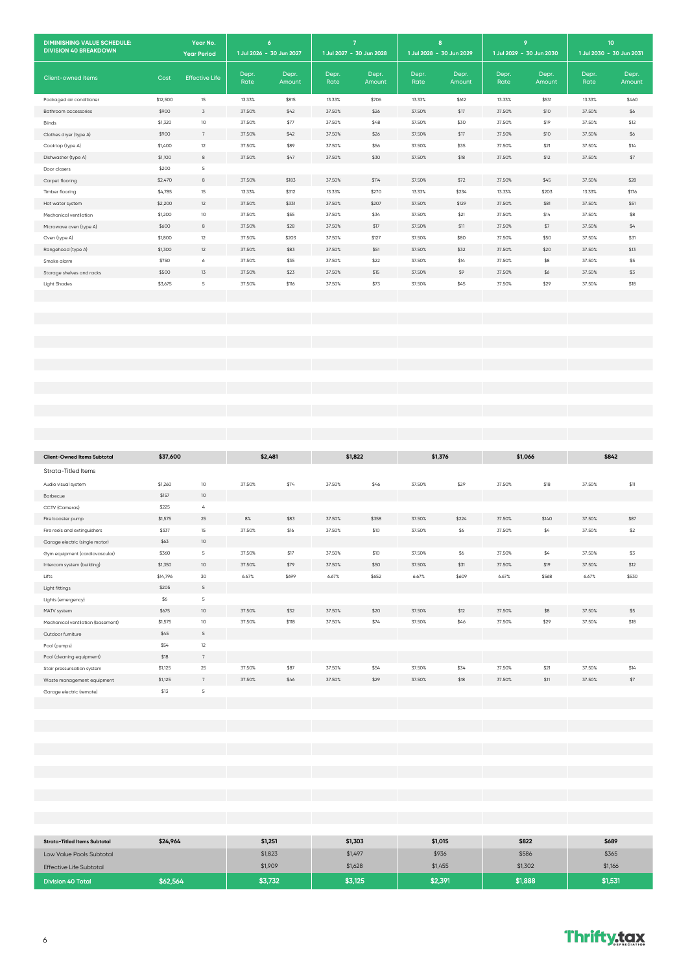| <b>DIMINISHING VALUE SCHEDULE:</b><br><b>DIVISION 40 BREAKDOWN</b> |          | Year No.<br><b>Year Period</b> |               | $\epsilon$<br>1 Jul 2026 - 30 Jun 2027 | $\overline{7}$<br>1 Jul 2027 - 30 Jun 2028 |                 |               | 8<br>1 Jul 2028 - 30 Jun 2029 |               | $\overline{9}$<br>1 Jul 2029 - 30 Jun 2030 |               | 10 <sub>o</sub><br>1 Jul 2030 - 30 Jun 2031 |
|--------------------------------------------------------------------|----------|--------------------------------|---------------|----------------------------------------|--------------------------------------------|-----------------|---------------|-------------------------------|---------------|--------------------------------------------|---------------|---------------------------------------------|
| Client-owned items                                                 | Cost     | <b>Effective Life</b>          | Depr.<br>Rate | Depr.<br>Amount                        | Depr.<br>Rate                              | Depr.<br>Amount | Depr.<br>Rate | Depr.<br>Amount               | Depr.<br>Rate | Depr.<br>Amount                            | Depr.<br>Rate | Depr.<br>Amount                             |
| Packaged air conditioner                                           | \$12,500 | 15                             | 13.33%        | \$815                                  | 13.33%                                     | \$706           | 13.33%        | \$612                         | 13.33%        | \$531                                      | 13.33%        | \$460                                       |
| Bathroom accessories                                               | \$900    | $\overline{3}$                 | 37.50%        | \$42                                   | 37.50%                                     | \$26            | 37.50%        | \$17                          | 37.50%        | \$10                                       | 37.50%        | \$6                                         |
| Blinds                                                             | \$1,320  | 10                             | 37.50%        | \$77                                   | 37.50%                                     | \$48            | 37.50%        | \$30                          | 37.50%        | \$19                                       | 37.50%        | \$12                                        |
| Clothes dryer (type A)                                             | \$900    | 7                              | 37.50%        | \$42                                   | 37.50%                                     | \$26            | 37.50%        | \$17                          | 37.50%        | \$10                                       | 37.50%        | \$6                                         |
| Cooktop (type A)                                                   | \$1,400  | 12                             | 37.50%        | \$89                                   | 37.50%                                     | \$56            | 37.50%        | \$35                          | 37.50%        | \$21                                       | 37.50%        | \$14                                        |
| Dishwasher (type A)                                                | \$1,100  | $_{\rm 8}$                     | 37.50%        | \$47                                   | 37.50%                                     | \$30            | 37.50%        | \$18                          | 37.50%        | \$12                                       | 37.50%        | \$7                                         |
| Door closers                                                       | \$200    | 5                              |               |                                        |                                            |                 |               |                               |               |                                            |               |                                             |
| Carpet flooring                                                    | \$2,470  | $^{\rm 8}$                     | 37.50%        | \$183                                  | 37.50%                                     | \$114           | 37.50%        | \$72                          | 37.50%        | \$45                                       | 37.50%        | \$28                                        |
| Timber flooring                                                    | \$4,785  | 15                             | 13.33%        | \$312                                  | 13.33%                                     | \$270           | 13.33%        | \$234                         | 13.33%        | \$203                                      | 13.33%        | \$176                                       |
| Hot water system                                                   | \$2,200  | 12                             | 37.50%        | \$331                                  | 37.50%                                     | \$207           | 37.50%        | \$129                         | 37.50%        | \$81                                       | 37.50%        | \$51                                        |
| Mechanical ventilation                                             | \$1,200  | 10                             | 37.50%        | \$55                                   | 37.50%                                     | \$34            | 37.50%        | \$21                          | 37.50%        | \$14                                       | 37.50%        | \$8                                         |
| Microwave oven (type A)                                            | \$600    | $^{\rm 8}$                     | 37.50%        | \$28                                   | 37.50%                                     | \$17            | 37.50%        | \$11                          | 37.50%        | \$7                                        | 37.50%        | \$4                                         |
| Oven (type A)                                                      | \$1,800  | $12\,$                         | 37.50%        | \$203                                  | 37.50%                                     | \$127           | 37.50%        | \$80                          | 37.50%        | \$50                                       | 37.50%        | \$31                                        |
| Rangehood (type A)                                                 | \$1,300  | 12                             | 37.50%        | \$83                                   | 37.50%                                     | \$51            | 37.50%        | \$32                          | 37.50%        | \$20                                       | 37.50%        | \$13                                        |
| Smoke alarm                                                        | \$750    | 6                              | 37.50%        | \$35                                   | 37.50%                                     | \$22            | 37.50%        | \$14                          | 37.50%        | \$8                                        | 37.50%        | \$5                                         |
| Storage shelves and racks                                          | \$500    | 13                             | 37.50%        | \$23                                   | 37.50%                                     | \$15            | 37.50%        | \$9                           | 37.50%        | \$6                                        | 37.50%        | \$3                                         |
| <b>Light Shades</b>                                                | \$3,675  | 5                              | 37.50%        | \$116                                  | 37.50%                                     | \$73            | 37.50%        | \$45                          | 37.50%        | \$29                                       | 37.50%        | \$18                                        |
|                                                                    |          |                                |               |                                        |                                            |                 |               |                               |               |                                            |               |                                             |
|                                                                    |          |                                |               |                                        |                                            |                 |               |                               |               |                                            |               |                                             |
|                                                                    |          |                                |               |                                        |                                            |                 |               |                               |               |                                            |               |                                             |
|                                                                    |          |                                |               |                                        |                                            |                 |               |                               |               |                                            |               |                                             |
|                                                                    |          |                                |               |                                        |                                            |                 |               |                               |               |                                            |               |                                             |
|                                                                    |          |                                |               |                                        |                                            |                 |               |                               |               |                                            |               |                                             |
|                                                                    |          |                                |               |                                        |                                            |                 |               |                               |               |                                            |               |                                             |
|                                                                    |          |                                |               |                                        |                                            |                 |               |                               |               |                                            |               |                                             |
|                                                                    |          |                                |               |                                        |                                            |                 |               |                               |               |                                            |               |                                             |
|                                                                    |          |                                |               |                                        |                                            |                 |               |                               |               |                                            |               |                                             |

| <b>Client-Owned Items Subtotal</b> | \$37,600 |                         |        | \$1.822<br>\$2,481 |        |       | \$1,376 |       | \$1,066 |       | \$842  |       |
|------------------------------------|----------|-------------------------|--------|--------------------|--------|-------|---------|-------|---------|-------|--------|-------|
|                                    |          |                         |        |                    |        |       |         |       |         |       |        |       |
| Strata-Titled Items                |          |                         |        |                    |        |       |         |       |         |       |        |       |
| Audio visual system                | \$1,260  | 10                      | 37.50% | \$74               | 37.50% | \$46  | 37.50%  | \$29  | 37.50%  | \$18  | 37.50% | \$11  |
| Barbecue                           | \$157    | 10 <sup>°</sup>         |        |                    |        |       |         |       |         |       |        |       |
| CCTV (Cameras)                     | \$225    | $\overline{4}$          |        |                    |        |       |         |       |         |       |        |       |
| Fire booster pump                  | \$1,575  | 25                      | 8%     | \$83               | 37.50% | \$358 | 37.50%  | \$224 | 37.50%  | \$140 | 37.50% | \$87  |
| Fire reels and extinguishers       | \$337    | 15                      | 37.50% | \$16               | 37.50% | \$10  | 37.50%  | $$6$  | 37.50%  | \$4   | 37.50% | \$2   |
| Garage electric (single motor)     | \$63     | 10 <sup>°</sup>         |        |                    |        |       |         |       |         |       |        |       |
| Gym equipment (cardiovascular)     | \$360    | $5\phantom{.0}$         | 37.50% | \$17               | 37.50% | \$10  | 37.50%  | \$6   | 37.50%  | \$4   | 37.50% | \$3   |
| Intercom system (building)         | \$1,350  | 10 <sup>°</sup>         | 37.50% | \$79               | 37.50% | \$50  | 37.50%  | \$31  | 37.50%  | \$19  | 37.50% | \$12  |
| Lifts                              | \$14,796 | 30                      | 6.67%  | \$699              | 6.67%  | \$652 | 6.67%   | \$609 | 6.67%   | \$568 | 6.67%  | \$530 |
| Light fittings                     | \$205    | $5\overline{5}$         |        |                    |        |       |         |       |         |       |        |       |
| Lights (emergency)                 | \$6      | $\mathsf S$             |        |                    |        |       |         |       |         |       |        |       |
| MATV system                        | \$675    | 10 <sup>°</sup>         | 37.50% | \$32               | 37.50% | \$20  | 37.50%  | \$12  | 37.50%  | \$8   | 37.50% | \$5   |
| Mechanical ventilation (basement)  | \$1,575  | $10$                    | 37.50% | \$118              | 37.50% | \$74  | 37.50%  | \$46  | 37.50%  | \$29  | 37.50% | \$18  |
| Outdoor furniture                  | \$45     | 5                       |        |                    |        |       |         |       |         |       |        |       |
| Pool (pumps)                       | \$54     | 12                      |        |                    |        |       |         |       |         |       |        |       |
| Pool (cleaning equipment)          | \$18     | 7                       |        |                    |        |       |         |       |         |       |        |       |
| Stair pressurisation system        | \$1,125  | 25                      | 37.50% | \$87               | 37.50% | \$54  | 37.50%  | \$34  | 37.50%  | \$21  | 37.50% | \$14  |
| Waste management equipment         | \$1,125  | 7                       | 37.50% | \$46               | 37.50% | \$29  | 37.50%  | \$18  | 37.50%  | \$11  | 37.50% | \$7   |
| Garage electric (remote)           | \$13     | $\overline{\mathbf{5}}$ |        |                    |        |       |         |       |         |       |        |       |
|                                    |          |                         |        |                    |        |       |         |       |         |       |        |       |
|                                    |          |                         |        |                    |        |       |         |       |         |       |        |       |
|                                    |          |                         |        |                    |        |       |         |       |         |       |        |       |

| <b>Strata-Titled Items Subtotal</b> | \$24,964 | \$1,251 | \$1,303 | \$1,015 | \$822   | \$689   |
|-------------------------------------|----------|---------|---------|---------|---------|---------|
| Low Value Pools Subtotal            |          | \$1,823 | \$1,497 | \$936   | \$586   | \$365   |
| <b>Effective Life Subtotal</b>      |          | \$1,909 | \$1,628 | \$1,455 | \$1,302 | \$1,166 |
| Division 40 Total                   | \$62,564 | \$3,732 | \$3,125 | \$2,391 | \$1,888 | \$1,531 |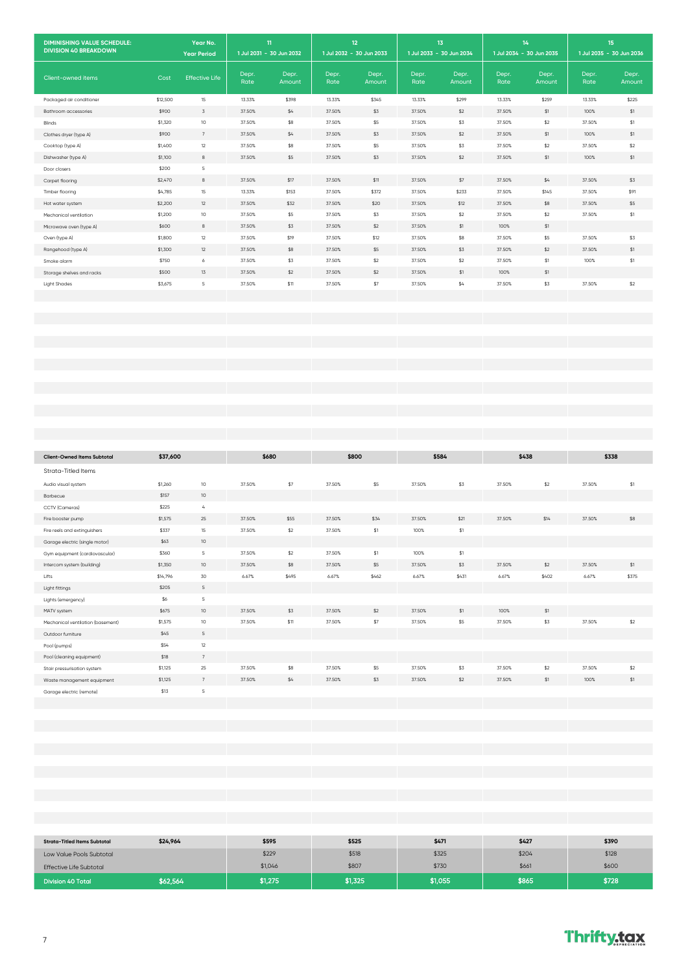| <b>DIMINISHING VALUE SCHEDULE:</b>  |                    | Year No.               |                  | 11                       |               | 12 <sub>2</sub>          |               | 13                       |                  | 14                       |                  | 15                       |
|-------------------------------------|--------------------|------------------------|------------------|--------------------------|---------------|--------------------------|---------------|--------------------------|------------------|--------------------------|------------------|--------------------------|
| <b>DIVISION 40 BREAKDOWN</b>        |                    | <b>Year Period</b>     |                  | 1 Jul 2031 - 30 Jun 2032 |               | 1 Jul 2032 - 30 Jun 2033 |               | 1 Jul 2033 - 30 Jun 2034 |                  | 1 Jul 2034 - 30 Jun 2035 |                  | 1 Jul 2035 - 30 Jun 2036 |
| Client-owned items                  | Cost               | <b>Effective Life</b>  | Depr.<br>Rate    | Depr.<br>Amount          | Depr.<br>Rate | Depr.<br>Amount          | Depr.<br>Rate | Depr.<br>Amount          | Depr.<br>Rate    | Depr.<br>Amount          | Depr.<br>Rate    | Depr.<br>Amount          |
| Packaged air conditioner            | \$12,500           | 15                     | 13.33%           | \$398                    | 13.33%        | \$345                    | 13.33%        | \$299                    | 13.33%           | \$259                    | 13.33%           | \$225                    |
| Bathroom accessories                | \$900              | $\overline{3}$         | 37.50%           | \$4                      | 37.50%        | \$3                      | 37.50%        | \$2                      | 37.50%           | \$1                      | 100%             | $$1\,$                   |
| Blinds                              | \$1,320            | 10                     | 37.50%           | \$8                      | 37.50%        | \$5                      | 37.50%        | \$3                      | 37.50%           | \$2                      | 37.50%           | \$1                      |
| Clothes dryer (type A)              | \$900              | 7                      | 37.50%           | \$4                      | 37.50%        | \$3                      | 37.50%        | \$2                      | 37.50%           | \$1                      | 100%             | $$1\,$                   |
| Cooktop (type A)                    | \$1,400            | 12                     | 37.50%           | \$8                      | 37.50%        | \$5                      | 37.50%        | \$3                      | 37.50%           | \$2                      | 37.50%           | \$2                      |
| Dishwasher (type A)                 | \$1,100            | $^{\rm 8}$             | 37.50%           | \$5                      | 37.50%        | \$3                      | 37.50%        | \$2                      | 37.50%           | \$1                      | 100%             | $$1$                     |
| Door closers                        | \$200              | $\overline{5}$         |                  |                          | 37.50%        |                          | 37.50%        |                          |                  |                          |                  |                          |
| Carpet flooring                     | \$2,470<br>\$4,785 | $\boldsymbol{8}$<br>15 | 37.50%<br>13.33% | \$17<br>\$153            | 37.50%        | \$11<br>\$372            | 37.50%        | $$7$<br>\$233            | 37.50%<br>37.50% | \$4<br>\$145             | 37.50%<br>37.50% | \$3<br>\$91              |
| Timber flooring<br>Hot water system | \$2,200            | 12                     | 37.50%           | \$32                     | 37.50%        | \$20                     | 37.50%        | \$12                     | 37.50%           | \$8                      | 37.50%           | \$5                      |
| Mechanical ventilation              | \$1,200            | $10$                   | 37.50%           | \$5                      | 37.50%        | \$3                      | 37.50%        | \$2                      | 37.50%           | \$2                      | 37.50%           | \$1                      |
| Microwave oven (type A)             | \$600              | $^{\rm 8}$             | 37.50%           | \$3                      | 37.50%        | \$2                      | 37.50%        | \$1                      | 100%             | \$1                      |                  |                          |
| Oven (type A)                       | \$1,800            | 12                     | 37.50%           | \$19                     | 37.50%        | \$12                     | 37.50%        | \$8                      | 37.50%           | \$5                      | 37.50%           | \$3                      |
| Rangehood (type A)                  | \$1,300            | 12                     | 37.50%           | \$8                      | 37.50%        | \$5                      | 37.50%        | \$3                      | 37.50%           | \$2                      | 37.50%           | \$1                      |
| Smoke alarm                         | \$750              | 6                      | 37.50%           | \$3                      | 37.50%        | \$2                      | 37.50%        | \$2                      | 37.50%           | \$1                      | 100%             | \$1                      |
| Storage shelves and racks           | \$500              | 13                     | 37.50%           | \$2                      | 37.50%        | \$2                      | 37.50%        | \$1                      | 100%             | \$1                      |                  |                          |
| <b>Light Shades</b>                 | \$3,675            | 5                      | 37.50%           | \$11                     | 37.50%        | \$7                      | 37.50%        | \$4                      | 37.50%           | \$3                      | 37.50%           | $$2$                     |
|                                     |                    |                        |                  |                          |               |                          |               |                          |                  |                          |                  |                          |
|                                     |                    |                        |                  |                          |               |                          |               |                          |                  |                          |                  |                          |
|                                     |                    |                        |                  |                          |               |                          |               |                          |                  |                          |                  |                          |
|                                     |                    |                        |                  |                          |               |                          |               |                          |                  |                          |                  |                          |
|                                     |                    |                        |                  |                          |               |                          |               |                          |                  |                          |                  |                          |
|                                     |                    |                        |                  |                          |               |                          |               |                          |                  |                          |                  |                          |
|                                     |                    |                        |                  |                          |               |                          |               |                          |                  |                          |                  |                          |
|                                     |                    |                        |                  |                          |               |                          |               |                          |                  |                          |                  |                          |
|                                     |                    |                        |                  |                          |               |                          |               |                          |                  |                          |                  |                          |
|                                     |                    |                        |                  |                          |               |                          |               |                          |                  |                          |                  |                          |
|                                     |                    |                        |                  |                          |               |                          |               |                          |                  |                          |                  |                          |
|                                     |                    |                        |                  |                          |               |                          |               |                          |                  |                          |                  |                          |
|                                     |                    |                        |                  |                          |               |                          |               |                          |                  |                          |                  |                          |
| <b>Client-Owned Items Subtotal</b>  | \$37,600           |                        |                  | \$680                    |               | \$800                    |               | \$584                    |                  | \$438                    |                  | \$338                    |
| Strata-Titled Items                 |                    |                        |                  |                          |               |                          |               |                          |                  |                          |                  |                          |
| Audio visual system                 | \$1,260            | 10                     | 37.50%           | \$7                      | 37.50%        | \$5                      | 37.50%        | \$3                      | 37.50%           | \$2                      | 37.50%           | \$1                      |
| Barbecue                            | \$157              | $10\,$                 |                  |                          |               |                          |               |                          |                  |                          |                  |                          |
| CCTV (Cameras)                      | \$225              | $\overline{4}$         |                  |                          |               |                          |               |                          |                  |                          |                  |                          |
| Fire booster pump                   | \$1,575            | 25                     | 37.50%           | \$55                     | 37.50%        | \$34                     | 37.50%        | \$21                     | 37.50%           | \$14                     | 37.50%           | \$8                      |
| Fire reels and extinguishers        | \$337              | 15                     | 37.50%           | \$2                      | 37.50%        | $\$1$                    | 100%          | \$1                      |                  |                          |                  |                          |
| Garage electric (single motor)      | \$63               | $10$                   |                  |                          |               |                          |               |                          |                  |                          |                  |                          |
| Gym equipment (cardiovascular)      | \$360              | $\,$ 5                 | 37.50%           | $$2$                     | 37.50%        | $\$1$                    | 100%          | $\$1$                    |                  |                          |                  |                          |
| Intercom system (building)          | \$1,350            | $10\,$                 | 37.50%           | $$8\,$                   | 37.50%        | \$5                      | 37.50%        | \$3                      | 37.50%           | $$2$$                    | 37.50%           | $$1\,$                   |
| Lifts                               | \$14,796           | 30                     | 6.67%            | \$495                    | 6.67%         | \$462                    | 6.67%         | \$431                    | 6.67%            | \$402                    | 6.67%            | \$375                    |
| Light fittings                      | \$205              | $\mathsf S$            |                  |                          |               |                          |               |                          |                  |                          |                  |                          |
| Lights (emergency)                  | \$6                | $\,$ 5                 |                  |                          |               |                          |               |                          |                  |                          |                  |                          |
| MATV system                         | \$675              | $10\,$                 | 37.50%           | \$3                      | 37.50%        | $$2$                     | 37.50%        | $$1$                     | 100%             | $$1\,$                   |                  |                          |
| Mechanical ventilation (basement)   | \$1,575            | $10\,$                 | 37.50%           | \$11                     | 37.50%        | $$7\,$                   | 37.50%        | \$5                      | 37.50%           | \$3                      | 37.50%           | \$2                      |
| Outdoor furniture                   | \$45               | $\mathsf S$            |                  |                          |               |                          |               |                          |                  |                          |                  |                          |
| Pool (pumps)                        | \$54               | 12                     |                  |                          |               |                          |               |                          |                  |                          |                  |                          |
| Pool (cleaning equipment)           | \$18               | $7\phantom{.0}$        |                  |                          |               |                          |               |                          |                  |                          |                  |                          |
| Stair pressurisation system         | \$1,125            | $25\,$                 | 37.50%           | \$8                      | 37.50%        | \$5                      | 37.50%        | \$3                      | 37.50%           | \$2                      | 37.50%           | $$2$$                    |
| Waste management equipment          | \$1,125            | $\boldsymbol{7}$       | 37.50%           | $\$4$                    | 37.50%        | \$3                      | 37.50%        | $$2$$                    | 37.50%           | $$1\,$                   | 100%             | $\$1$                    |
| Garage electric (remote)            | \$13               | $\,$ 5                 |                  |                          |               |                          |               |                          |                  |                          |                  |                          |
|                                     |                    |                        |                  |                          |               |                          |               |                          |                  |                          |                  |                          |
|                                     |                    |                        |                  |                          |               |                          |               |                          |                  |                          |                  |                          |
|                                     |                    |                        |                  |                          |               |                          |               |                          |                  |                          |                  |                          |
|                                     |                    |                        |                  |                          |               |                          |               |                          |                  |                          |                  |                          |
|                                     |                    |                        |                  |                          |               |                          |               |                          |                  |                          |                  |                          |

| <b>Strata-Titled Items Subtotal</b> | \$24,964 | \$595   | \$525   | \$471   | \$427 | \$390 |
|-------------------------------------|----------|---------|---------|---------|-------|-------|
| Low Value Pools Subtotal            |          | \$229   | \$518   | \$325   | \$204 | \$128 |
| <b>Effective Life Subtotal</b>      |          | \$1,046 | \$807   | \$730   | \$661 | \$600 |
| <b>Division 40 Total</b>            | \$62,564 | \$1,275 | \$1,325 | \$1,055 | \$865 | \$728 |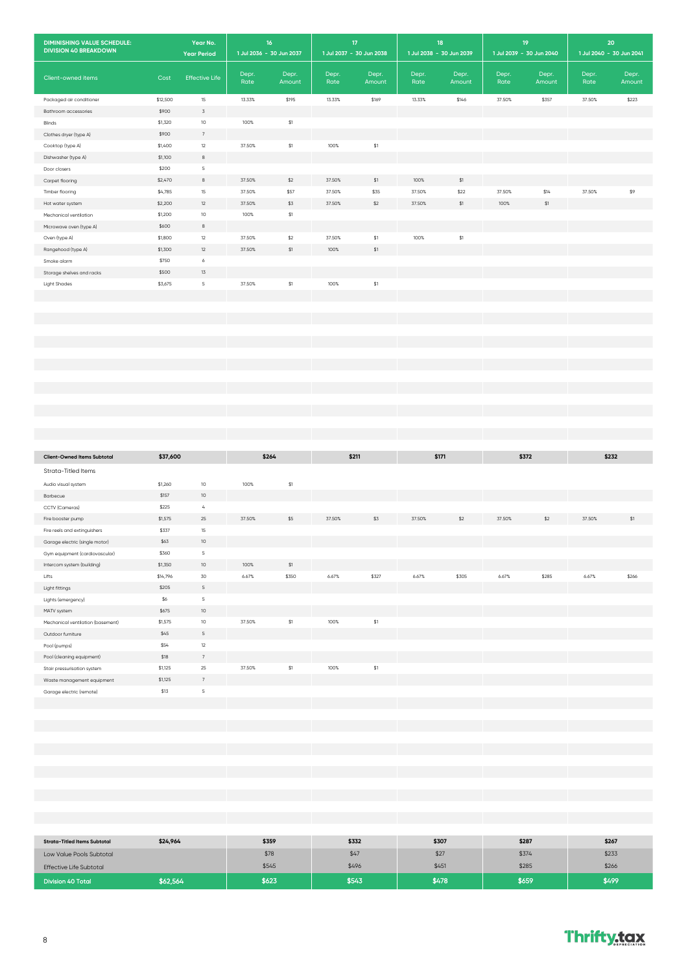| <b>DIMINISHING VALUE SCHEDULE:</b><br><b>DIVISION 40 BREAKDOWN</b> |          | Year No.<br><b>Year Period</b> |               | $16\,$<br>1 Jul 2036 - 30 Jun 2037 |               | 17 <sub>2</sub><br>1 Jul 2037 - 30 Jun 2038 |               | 18<br>1 Jul 2038 - 30 Jun 2039 |               | 19<br>1 Jul 2039 - 30 Jun 2040 |               | 20<br>1 Jul 2040 - 30 Jun 2041 |
|--------------------------------------------------------------------|----------|--------------------------------|---------------|------------------------------------|---------------|---------------------------------------------|---------------|--------------------------------|---------------|--------------------------------|---------------|--------------------------------|
| Client-owned items                                                 | Cost     | <b>Effective Life</b>          | Depr.<br>Rate | Depr.<br>Amount                    | Depr.<br>Rate | Depr.<br>Amount                             | Depr.<br>Rate | Depr.<br>Amount                | Depr.<br>Rate | Depr.<br>Amount                | Depr.<br>Rate | Depr.<br>Amount                |
| Packaged air conditioner                                           | \$12,500 | 15                             | 13.33%        | \$195                              | 13.33%        | \$169                                       | 13.33%        | \$146                          | 37.50%        | \$357                          | 37.50%        | \$223                          |
| Bathroom accessories                                               | \$900    | $\overline{3}$                 |               |                                    |               |                                             |               |                                |               |                                |               |                                |
| Blinds                                                             | \$1,320  | $10$                           | 100%          | $\$1$                              |               |                                             |               |                                |               |                                |               |                                |
| Clothes dryer (type A)                                             | \$900    | $7\phantom{.0}$                |               |                                    |               |                                             |               |                                |               |                                |               |                                |
| Cooktop (type A)                                                   | \$1,400  | $12\,$                         | 37.50%        | $\$1$                              | 100%          | $\$1$                                       |               |                                |               |                                |               |                                |
| Dishwasher (type A)                                                | \$1,100  | $^{\rm 8}$                     |               |                                    |               |                                             |               |                                |               |                                |               |                                |
| Door closers                                                       | \$200    | $\,$ 5                         |               |                                    |               |                                             |               |                                |               |                                |               |                                |
| Carpet flooring                                                    | \$2,470  | $^{\rm 8}$                     | 37.50%        | $$2$$                              | 37.50%        | $\$1$                                       | 100%          | \$1                            |               |                                |               |                                |
| Timber flooring                                                    | \$4,785  | 15                             | 37.50%        | \$57                               | 37.50%        | \$35                                        | 37.50%        | \$22                           | 37.50%        | \$14                           | 37.50%        | $$9$                           |
| Hot water system                                                   | \$2,200  | $12\,$                         | 37.50%        | \$3                                | 37.50%        | $$2$                                        | 37.50%        | $\$1$                          | 100%          | $\$1$                          |               |                                |
| Mechanical ventilation                                             | \$1,200  | $10\,$                         | 100%          | $\$1$                              |               |                                             |               |                                |               |                                |               |                                |
| Microwave oven (type A)                                            | \$600    | $^{\rm 8}$                     |               |                                    |               |                                             |               |                                |               |                                |               |                                |
| Oven (type A)                                                      | \$1,800  | $12\,$                         | 37.50%        | \$2                                | 37.50%        | $\$1$                                       | 100%          | $$1\,$                         |               |                                |               |                                |
| Rangehood (type A)                                                 | \$1,300  | $12\,$                         | 37.50%        | $$1$                               | 100%          | $$1$                                        |               |                                |               |                                |               |                                |
| Smoke alarm                                                        | \$750    | 6                              |               |                                    |               |                                             |               |                                |               |                                |               |                                |
| Storage shelves and racks                                          | \$500    | $1\overline{3}$                |               |                                    |               |                                             |               |                                |               |                                |               |                                |
| <b>Light Shades</b>                                                | \$3,675  | $\mathsf S$                    | 37.50%        | $$1\,$                             | 100%          | $\$1$                                       |               |                                |               |                                |               |                                |
|                                                                    |          |                                |               |                                    |               |                                             |               |                                |               |                                |               |                                |
|                                                                    |          |                                |               |                                    |               |                                             |               |                                |               |                                |               |                                |
|                                                                    |          |                                |               |                                    |               |                                             |               |                                |               |                                |               |                                |
|                                                                    |          |                                |               |                                    |               |                                             |               |                                |               |                                |               |                                |
|                                                                    |          |                                |               |                                    |               |                                             |               |                                |               |                                |               |                                |
|                                                                    |          |                                |               |                                    |               |                                             |               |                                |               |                                |               |                                |
|                                                                    |          |                                |               |                                    |               |                                             |               |                                |               |                                |               |                                |
|                                                                    |          |                                |               |                                    |               |                                             |               |                                |               |                                |               |                                |
|                                                                    |          |                                |               |                                    |               |                                             |               |                                |               |                                |               |                                |
|                                                                    |          |                                |               |                                    |               |                                             |               |                                |               |                                |               |                                |
|                                                                    |          |                                |               |                                    |               |                                             |               |                                |               |                                |               |                                |
|                                                                    |          |                                |               |                                    |               |                                             |               |                                |               |                                |               |                                |
|                                                                    |          |                                |               |                                    |               |                                             |               |                                |               |                                |               |                                |
| <b>Client-Owned Items Subtotal</b>                                 | \$37,600 |                                |               | \$264                              |               | \$211                                       |               | \$171                          |               | \$372                          |               | \$232                          |
|                                                                    |          |                                |               |                                    |               |                                             |               |                                |               |                                |               |                                |
| Strata-Titled Items                                                |          |                                |               |                                    |               |                                             |               |                                |               |                                |               |                                |
| Audio visual system                                                | \$1,260  | 10                             | 100%          | \$1                                |               |                                             |               |                                |               |                                |               |                                |
| Barbecue                                                           | \$157    | $10$                           |               |                                    |               |                                             |               |                                |               |                                |               |                                |
| CCTV (Cameras)                                                     | \$225    | $\mathcal{L}_{\mathbf{i}}$     |               |                                    |               |                                             |               |                                |               |                                |               |                                |
| Fire booster pump                                                  | \$1,575  | $25\,$                         | 37.50%        | \$5                                | 37.50%        | \$3                                         | 37.50%        | \$2                            | 37.50%        | $$2$                           | 37.50%        | \$1                            |
| Fire reels and extinguishers                                       | \$337    | $15\,$                         |               |                                    |               |                                             |               |                                |               |                                |               |                                |
| Garage electric (single motor)                                     | \$63     | $10$                           |               |                                    |               |                                             |               |                                |               |                                |               |                                |
| Gym equipment (cardiovascular)                                     | \$360    | -5                             |               |                                    |               |                                             |               |                                |               |                                |               |                                |
| Intercom system (building)                                         | \$1,350  | $10$                           | 100%          | $\$1$                              |               |                                             |               |                                |               |                                |               |                                |
| Lifts                                                              | \$14,796 | 30                             | 6.67%         | \$350                              | 6.67%         | \$327                                       | 6.67%         | \$305                          | 6.67%         | \$285                          | 6.67%         | \$266                          |
| Light fittings                                                     | \$205    | $\sqrt{5}$                     |               |                                    |               |                                             |               |                                |               |                                |               |                                |
| Lights (emergency)                                                 | \$6      | $\,$ 5                         |               |                                    |               |                                             |               |                                |               |                                |               |                                |
| MATV system                                                        | \$675    | $10$                           |               |                                    |               |                                             |               |                                |               |                                |               |                                |
| Mechanical ventilation (basement)                                  | \$1,575  | $10$                           | 37.50%        | $\$1$                              | 100%          | $\$1$                                       |               |                                |               |                                |               |                                |
| Outdoor furniture                                                  | \$45     | $\mathsf S$                    |               |                                    |               |                                             |               |                                |               |                                |               |                                |
| Pool (pumps)                                                       | \$54     | $12\,$                         |               |                                    |               |                                             |               |                                |               |                                |               |                                |
| Pool (cleaning equipment)                                          | $$18$    | $\scriptstyle{7}$              |               |                                    |               |                                             |               |                                |               |                                |               |                                |
| Stair pressurisation system                                        | \$1,125  | $25\,$                         | 37.50%        | $\$1$                              | 100%          | $\$1$                                       |               |                                |               |                                |               |                                |
| Waste management equipment                                         | \$1,125  | $\,$ 7                         |               |                                    |               |                                             |               |                                |               |                                |               |                                |
| Garage electric (remote)                                           | \$13     | $\mathsf S$                    |               |                                    |               |                                             |               |                                |               |                                |               |                                |
|                                                                    |          |                                |               |                                    |               |                                             |               |                                |               |                                |               |                                |
|                                                                    |          |                                |               |                                    |               |                                             |               |                                |               |                                |               |                                |
|                                                                    |          |                                |               |                                    |               |                                             |               |                                |               |                                |               |                                |

| <b>Strata-Titled Items Subtotal</b> | \$24,964 | \$359 | \$332 | \$307 | \$287 | \$267 |
|-------------------------------------|----------|-------|-------|-------|-------|-------|
| Low Value Pools Subtotal            |          | \$78  | \$47  | \$27  | \$374 | \$233 |
| <b>Effective Life Subtotal</b>      |          | \$545 | \$496 | \$451 | \$285 | \$266 |
| <b>Division 40 Total</b>            | \$62,564 | \$623 | \$543 | \$478 | \$659 | \$499 |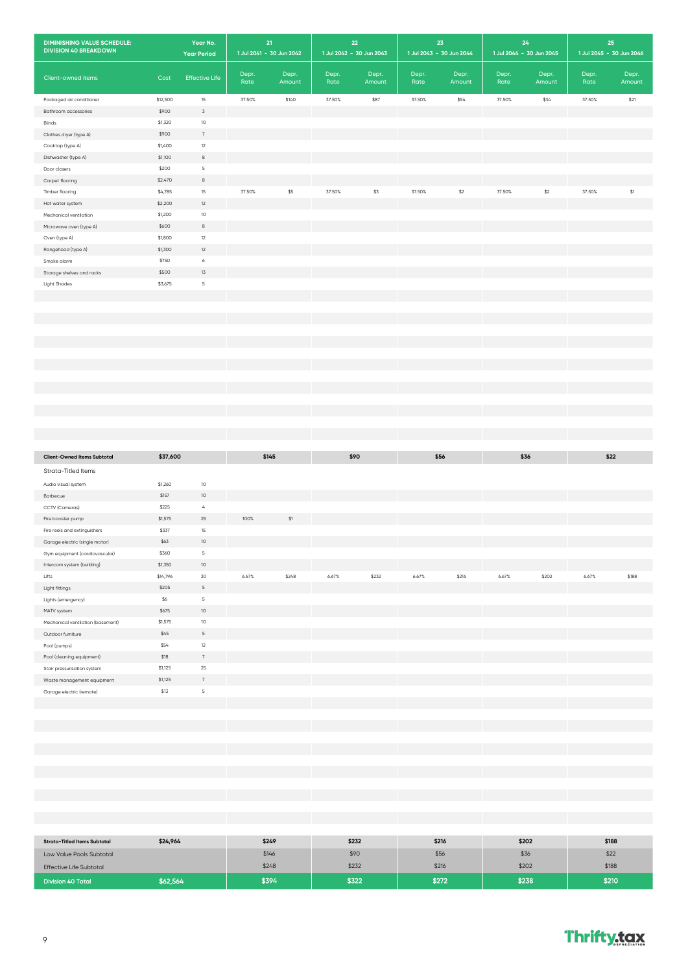| <b>DIMINISHING VALUE SCHEDULE:</b><br><b>DIVISION 40 BREAKDOWN</b> | 21<br>Year No.<br>1 Jul 2041 - 30 Jun 2042<br><b>Year Period</b> |                       |               | 22<br>1 Jul 2042 - 30 Jun 2043 |               | 23<br>1 Jul 2043 - 30 Jun 2044 |               | 24<br>1 Jul 2044 - 30 Jun 2045 |               | 25<br>1 Jul 2045 - 30 Jun 2046 |               |                 |
|--------------------------------------------------------------------|------------------------------------------------------------------|-----------------------|---------------|--------------------------------|---------------|--------------------------------|---------------|--------------------------------|---------------|--------------------------------|---------------|-----------------|
| Client-owned items                                                 | Cost                                                             | <b>Effective Life</b> | Depr.<br>Rate | Depr.<br>Amount                | Depr.<br>Rate | Depr.<br>Amount                | Depr.<br>Rate | Depr.<br>Amount                | Depr.<br>Rate | Depr.<br>Amount                | Depr.<br>Rate | Depr.<br>Amount |
| Packaged air conditioner                                           | \$12,500                                                         | 15                    | 37.50%        | \$140                          | 37.50%        | \$87                           | 37.50%        | \$54                           | 37.50%        | \$34                           | 37.50%        | \$21            |
| Bathroom accessories                                               | \$900                                                            | $\overline{3}$        |               |                                |               |                                |               |                                |               |                                |               |                 |
| Blinds                                                             | \$1,320                                                          | 10                    |               |                                |               |                                |               |                                |               |                                |               |                 |
| Clothes dryer (type A)                                             | \$900                                                            | 7                     |               |                                |               |                                |               |                                |               |                                |               |                 |
| Cooktop (type A)                                                   | \$1,400                                                          | 12                    |               |                                |               |                                |               |                                |               |                                |               |                 |
| Dishwasher (type A)                                                | \$1,100                                                          | $^{\rm 8}$            |               |                                |               |                                |               |                                |               |                                |               |                 |
| Door closers                                                       | \$200                                                            | 5                     |               |                                |               |                                |               |                                |               |                                |               |                 |
| Carpet flooring                                                    | \$2,470                                                          | $^{\rm 8}$            |               |                                |               |                                |               |                                |               |                                |               |                 |
| Timber flooring                                                    | \$4,785                                                          | 15                    | 37.50%        | \$5                            | 37.50%        | \$3                            | 37.50%        | $$2$                           | 37.50%        | \$2                            | 37.50%        | \$1             |
| Hot water system                                                   | \$2,200                                                          | 12                    |               |                                |               |                                |               |                                |               |                                |               |                 |
| Mechanical ventilation                                             | \$1,200                                                          | 10                    |               |                                |               |                                |               |                                |               |                                |               |                 |
| Microwave oven (type A)                                            | \$600                                                            | 8                     |               |                                |               |                                |               |                                |               |                                |               |                 |
| Oven (type A)                                                      | \$1,800                                                          | 12                    |               |                                |               |                                |               |                                |               |                                |               |                 |
| Rangehood (type A)                                                 | \$1,300                                                          | 12                    |               |                                |               |                                |               |                                |               |                                |               |                 |
| Smoke alarm                                                        | \$750                                                            | 6                     |               |                                |               |                                |               |                                |               |                                |               |                 |
| Storage shelves and racks                                          | \$500                                                            | 13                    |               |                                |               |                                |               |                                |               |                                |               |                 |
| <b>Light Shades</b>                                                | \$3,675                                                          | 5                     |               |                                |               |                                |               |                                |               |                                |               |                 |
|                                                                    |                                                                  |                       |               |                                |               |                                |               |                                |               |                                |               |                 |

| <b>Client-Owned Items Subtotal</b> | \$37,600 |                 |       | \$145 | \$90  |       | \$56  |       | \$36  |       |       | \$22  |
|------------------------------------|----------|-----------------|-------|-------|-------|-------|-------|-------|-------|-------|-------|-------|
| Strata-Titled Items                |          |                 |       |       |       |       |       |       |       |       |       |       |
| Audio visual system                | \$1,260  | 10              |       |       |       |       |       |       |       |       |       |       |
| Barbecue                           | \$157    | 10              |       |       |       |       |       |       |       |       |       |       |
| CCTV (Cameras)                     | \$225    | $\overline{4}$  |       |       |       |       |       |       |       |       |       |       |
| Fire booster pump                  | \$1,575  | 25              | 100%  | \$1   |       |       |       |       |       |       |       |       |
| Fire reels and extinguishers       | \$337    | 15              |       |       |       |       |       |       |       |       |       |       |
| Garage electric (single motor)     | \$63     | 10              |       |       |       |       |       |       |       |       |       |       |
| Gym equipment (cardiovascular)     | \$360    | $\mathsf S$     |       |       |       |       |       |       |       |       |       |       |
| Intercom system (building)         | \$1,350  | 10              |       |       |       |       |       |       |       |       |       |       |
| Lifts                              | \$14,796 | 30              | 6.67% | \$248 | 6.67% | \$232 | 6.67% | \$216 | 6.67% | \$202 | 6.67% | \$188 |
| Light fittings                     | \$205    | $5\overline{5}$ |       |       |       |       |       |       |       |       |       |       |
| Lights (emergency)                 | \$6      | $\overline{5}$  |       |       |       |       |       |       |       |       |       |       |
| MATV system                        | \$675    | 10              |       |       |       |       |       |       |       |       |       |       |
| Mechanical ventilation (basement)  | \$1,575  | 10              |       |       |       |       |       |       |       |       |       |       |
| Outdoor furniture                  | \$45     | $\mathsf S$     |       |       |       |       |       |       |       |       |       |       |
| Pool (pumps)                       | \$54     | 12              |       |       |       |       |       |       |       |       |       |       |
| Pool (cleaning equipment)          | \$18     | 7               |       |       |       |       |       |       |       |       |       |       |
| Stair pressurisation system        | \$1,125  | 25              |       |       |       |       |       |       |       |       |       |       |
| Waste management equipment         | \$1,125  | $7\overline{ }$ |       |       |       |       |       |       |       |       |       |       |
| Garage electric (remote)           | \$13     | $\overline{5}$  |       |       |       |       |       |       |       |       |       |       |
|                                    |          |                 |       |       |       |       |       |       |       |       |       |       |

| <b>Strata-Titled Items Subtotal</b> | \$24,964 | \$249 | \$232 | \$216 | \$202 | \$188 |
|-------------------------------------|----------|-------|-------|-------|-------|-------|
| Low Value Pools Subtotal            |          | \$146 | \$90  | \$56  | \$36  | \$22  |
| <b>Effective Life Subtotal</b>      |          | \$248 | \$232 | \$216 | \$202 | \$188 |
| <b>Division 40 Total</b>            | \$62,564 | \$394 | \$322 | \$272 | \$238 | \$210 |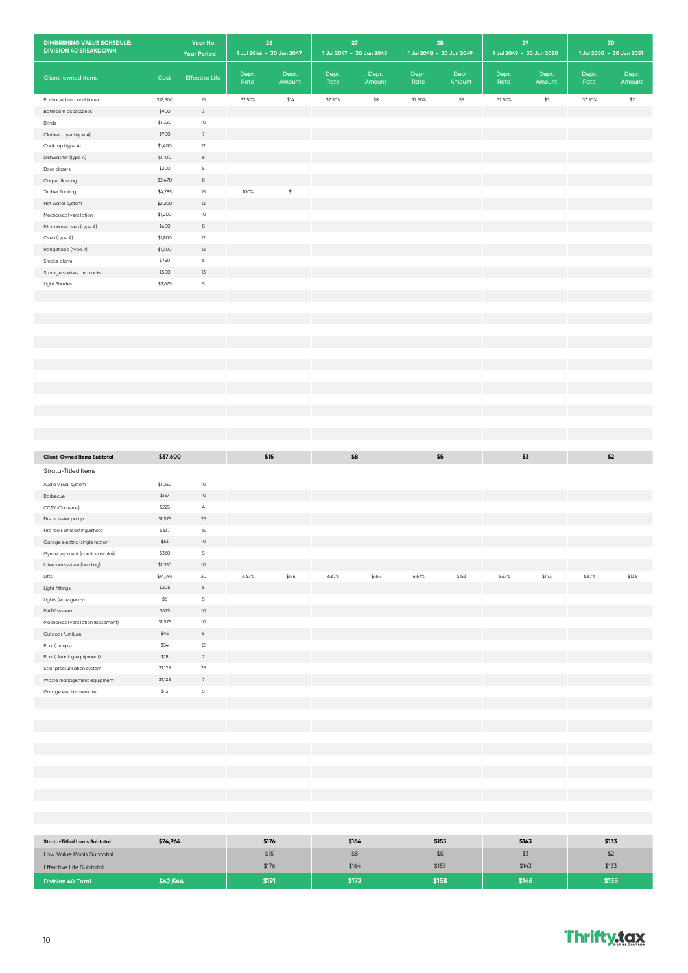| <b>DIMINISHING VALUE SCHEDULE:</b><br><b>DIVISION 40 BREAKDOWN</b> |                     | Year No.<br><b>Year Period</b> |               | 26<br>1 Jul 2046 - 30 Jun 2047 |               | 27<br>1 Jul 2047 - 30 Jun 2048 |               | 28<br>1 Jul 2048 - 30 Jun 2049 |               | 29<br>1 Jul 2049 - 30 Jun 2050 | 30<br>1 Jul 2050 - 30 Jun 2051 |                 |
|--------------------------------------------------------------------|---------------------|--------------------------------|---------------|--------------------------------|---------------|--------------------------------|---------------|--------------------------------|---------------|--------------------------------|--------------------------------|-----------------|
| Client-owned items                                                 | Cost                | <b>Effective Life</b>          | Depr.<br>Rate | Depr.<br>Amount                | Depr.<br>Rate | Depr.<br>Amount                | Depr.<br>Rate | Depr.<br>Amount                | Depr.<br>Rate | Depr.<br>Amount                | Depr.<br>Rate                  | Depr.<br>Amount |
| Packaged air conditioner                                           | \$12,500            | 15                             | 37.50%        | \$14                           | 37.50%        | \$8                            | 37.50%        | \$5                            | 37.50%        | \$3                            | 37.50%                         | \$2             |
| Bathroom accessories                                               | \$900               | $\mathsf 3$                    |               |                                |               |                                |               |                                |               |                                |                                |                 |
| Blinds                                                             | \$1,320             | $10$                           |               |                                |               |                                |               |                                |               |                                |                                |                 |
| Clothes dryer (type A)                                             | \$900               | 7                              |               |                                |               |                                |               |                                |               |                                |                                |                 |
| Cooktop (type A)                                                   | \$1,400             | $12\,$                         |               |                                |               |                                |               |                                |               |                                |                                |                 |
| Dishwasher (type A)                                                | \$1,100             | $^{\rm 8}$                     |               |                                |               |                                |               |                                |               |                                |                                |                 |
| Door closers                                                       | \$200               | 5                              |               |                                |               |                                |               |                                |               |                                |                                |                 |
| Carpet flooring                                                    | \$2,470             | $^{\rm 8}$                     |               |                                |               |                                |               |                                |               |                                |                                |                 |
| Timber flooring                                                    | \$4,785             | $15\,$                         | 100%          | $\$1$                          |               |                                |               |                                |               |                                |                                |                 |
| Hot water system                                                   | \$2,200             | 12                             |               |                                |               |                                |               |                                |               |                                |                                |                 |
| Mechanical ventilation                                             | \$1,200             | $10$                           |               |                                |               |                                |               |                                |               |                                |                                |                 |
| Microwave oven (type A)                                            | \$600               | $_{\rm 8}$                     |               |                                |               |                                |               |                                |               |                                |                                |                 |
| Oven (type A)                                                      | \$1,800             | $12\,$                         |               |                                |               |                                |               |                                |               |                                |                                |                 |
| Rangehood (type A)                                                 | \$1,300             | $12\,$                         |               |                                |               |                                |               |                                |               |                                |                                |                 |
| Smoke alarm                                                        | \$750               | $\acute{\rm{o}}$               |               |                                |               |                                |               |                                |               |                                |                                |                 |
| Storage shelves and racks                                          | \$500               | 13                             |               |                                |               |                                |               |                                |               |                                |                                |                 |
| <b>Light Shades</b>                                                | \$3,675             | $\mathsf S$                    |               |                                |               |                                |               |                                |               |                                |                                |                 |
|                                                                    |                     |                                |               |                                |               |                                |               |                                |               |                                |                                |                 |
|                                                                    |                     |                                |               |                                |               |                                |               |                                |               |                                |                                |                 |
|                                                                    |                     |                                |               |                                |               |                                |               |                                |               |                                |                                |                 |
|                                                                    |                     |                                |               |                                |               |                                |               |                                |               |                                |                                |                 |
|                                                                    |                     |                                |               |                                |               |                                |               |                                |               |                                |                                |                 |
|                                                                    |                     |                                |               |                                |               |                                |               |                                |               |                                |                                |                 |
|                                                                    |                     |                                |               |                                |               |                                |               |                                |               |                                |                                |                 |
|                                                                    |                     |                                |               |                                |               |                                |               |                                |               |                                |                                |                 |
|                                                                    |                     |                                |               |                                |               |                                |               |                                |               |                                |                                |                 |
|                                                                    |                     |                                |               |                                |               |                                |               |                                |               |                                |                                |                 |
|                                                                    |                     |                                |               |                                |               |                                |               |                                |               |                                |                                |                 |
|                                                                    |                     |                                |               |                                |               |                                |               |                                |               |                                |                                |                 |
|                                                                    |                     |                                |               |                                |               |                                |               |                                |               |                                |                                |                 |
| <b>Client-Owned Items Subtotal</b>                                 | \$37,600            |                                |               | \$15                           |               | \$8                            |               | \$5                            |               | \$3                            | \$2                            |                 |
|                                                                    |                     |                                |               |                                |               |                                |               |                                |               |                                |                                |                 |
| Strata-Titled Items                                                |                     |                                |               |                                |               |                                |               |                                |               |                                |                                |                 |
| Audio visual system                                                | \$1,260             | $10$                           |               |                                |               |                                |               |                                |               |                                |                                |                 |
| Barbecue                                                           | \$157               | $10$                           |               |                                |               |                                |               |                                |               |                                |                                |                 |
| CCTV (Cameras)                                                     | \$225               | $\mathcal{L}_{\mathbf{i}}$     |               |                                |               |                                |               |                                |               |                                |                                |                 |
| Fire booster pump                                                  | \$1,575             | 25                             |               |                                |               |                                |               |                                |               |                                |                                |                 |
| Fire reels and extinguishers                                       | \$337               | $15\,$                         |               |                                |               |                                |               |                                |               |                                |                                |                 |
| Garage electric (single motor)                                     | \$63                | $10$                           |               |                                |               |                                |               |                                |               |                                |                                |                 |
| Gym equipment (cardiovascular)                                     | \$360               | $\mathsf S$                    |               |                                |               |                                |               |                                |               |                                |                                |                 |
| Intercom system (building)                                         | \$1,350<br>\$14,796 | $10$<br>30                     | 6.67%         | \$176                          | 6.67%         | \$164                          | 6.67%         | \$153                          | 6.67%         | \$143                          | 6.67%                          | \$133           |
| Lifts                                                              | \$205               | $\mathsf S$                    |               |                                |               |                                |               |                                |               |                                |                                |                 |
| Light fittings                                                     | \$6                 | $\,$ 5 $\,$                    |               |                                |               |                                |               |                                |               |                                |                                |                 |
| Lights (emergency)                                                 | \$675               | $10$                           |               |                                |               |                                |               |                                |               |                                |                                |                 |
| MATV system<br>Mechanical ventilation (basement)                   | \$1,575             | $10\,$                         |               |                                |               |                                |               |                                |               |                                |                                |                 |
|                                                                    | \$45                | $\mathsf S$                    |               |                                |               |                                |               |                                |               |                                |                                |                 |
| Outdoor furniture<br>Pool (pumps)                                  | \$54                | 12                             |               |                                |               |                                |               |                                |               |                                |                                |                 |
| Pool (cleaning equipment)                                          | \$18                | $\scriptstyle{7}$              |               |                                |               |                                |               |                                |               |                                |                                |                 |
| Stair pressurisation system                                        | \$1,125             | $25\,$                         |               |                                |               |                                |               |                                |               |                                |                                |                 |
| Waste management equipment                                         | \$1,125             | $7\phantom{.0}$                |               |                                |               |                                |               |                                |               |                                |                                |                 |
| Garage electric (remote)                                           | \$13                | $\mathsf S$                    |               |                                |               |                                |               |                                |               |                                |                                |                 |
|                                                                    |                     |                                |               |                                |               |                                |               |                                |               |                                |                                |                 |
|                                                                    |                     |                                |               |                                |               |                                |               |                                |               |                                |                                |                 |
|                                                                    |                     |                                |               |                                |               |                                |               |                                |               |                                |                                |                 |
|                                                                    |                     |                                |               |                                |               |                                |               |                                |               |                                |                                |                 |
|                                                                    |                     |                                |               |                                |               |                                |               |                                |               |                                |                                |                 |

| <b>Strata-Titled Items Subtotal</b> | \$24,964 | \$176 | \$164 | \$153 | \$143 | \$133 |
|-------------------------------------|----------|-------|-------|-------|-------|-------|
| Low Value Pools Subtotal            |          | \$15  | \$8   | 35    | \$3   | \$2   |
| <b>Effective Life Subtotal</b>      |          | \$176 | \$164 | \$153 | \$143 | \$133 |
| <b>Division 40 Total</b>            | \$62,564 | \$191 | \$172 | \$158 | \$146 | \$135 |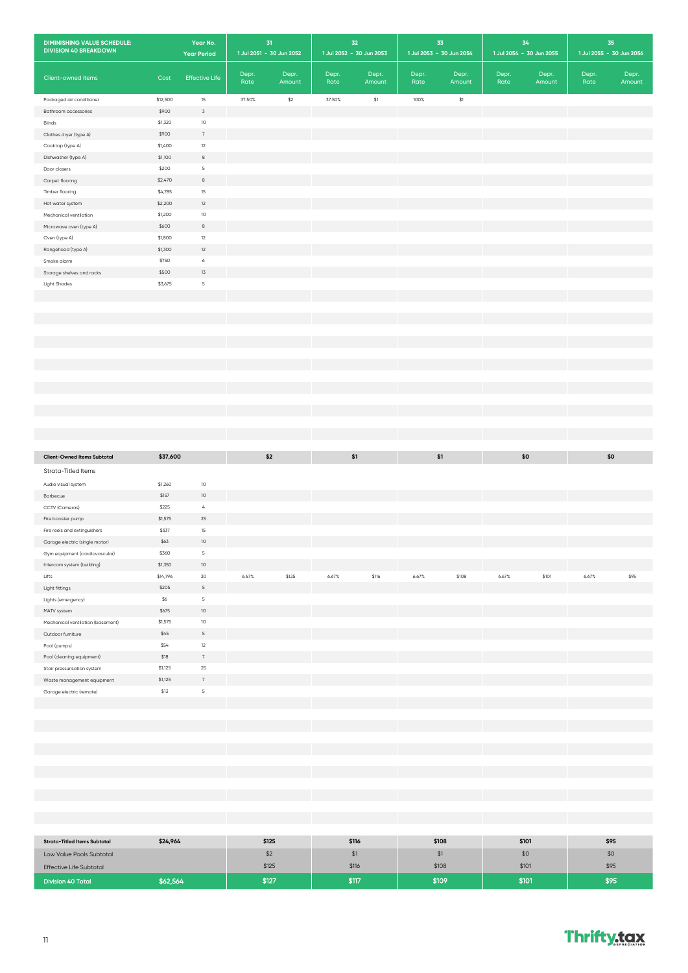| <b>DIMINISHING VALUE SCHEDULE:</b><br><b>DIVISION 40 BREAKDOWN</b> |          | Year No.<br><b>Year Period</b> |               | 31<br>1 Jul 2051 - 30 Jun 2052 |               | 32<br>1 Jul 2052 - 30 Jun 2053 |               | 33<br>1 Jul 2053 - 30 Jun 2054 |               | 34<br>1 Jul 2054 - 30 Jun 2055 |               | 35<br>1 Jul 2055 - 30 Jun 2056 |
|--------------------------------------------------------------------|----------|--------------------------------|---------------|--------------------------------|---------------|--------------------------------|---------------|--------------------------------|---------------|--------------------------------|---------------|--------------------------------|
| Client-owned items                                                 | Cost     | <b>Effective Life</b>          | Depr.<br>Rate | Depr.<br>Amount                | Depr.<br>Rate | Depr.<br>Amount                | Depr.<br>Rate | Depr.<br>Amount                | Depr.<br>Rate | Depr.<br>Amount                | Depr.<br>Rate | Depr.<br>Amount                |
| Packaged air conditioner                                           | \$12,500 | 15                             | 37.50%        | $$2$$                          | 37.50%        | $$1$                           | 100%          | $$1$                           |               |                                |               |                                |
| Bathroom accessories                                               | \$900    | $\overline{3}$                 |               |                                |               |                                |               |                                |               |                                |               |                                |
| Blinds                                                             | \$1,320  | $10$                           |               |                                |               |                                |               |                                |               |                                |               |                                |
| Clothes dryer (type A)                                             | \$900    | 7                              |               |                                |               |                                |               |                                |               |                                |               |                                |
| Cooktop (type A)                                                   | \$1,400  | $12\,$                         |               |                                |               |                                |               |                                |               |                                |               |                                |
| Dishwasher (type A)                                                | \$1,100  | $_{\rm 8}$                     |               |                                |               |                                |               |                                |               |                                |               |                                |
| Door closers                                                       | \$200    | 5                              |               |                                |               |                                |               |                                |               |                                |               |                                |
| Carpet flooring                                                    | \$2,470  | $^{\rm 8}$                     |               |                                |               |                                |               |                                |               |                                |               |                                |
| Timber flooring                                                    | \$4,785  | $15\,$                         |               |                                |               |                                |               |                                |               |                                |               |                                |
| Hot water system                                                   | \$2,200  | 12                             |               |                                |               |                                |               |                                |               |                                |               |                                |
| Mechanical ventilation                                             | \$1,200  | $10$                           |               |                                |               |                                |               |                                |               |                                |               |                                |
| Microwave oven (type A)                                            | \$600    | $^{\rm 8}$                     |               |                                |               |                                |               |                                |               |                                |               |                                |
| Oven (type A)                                                      | \$1,800  | 12                             |               |                                |               |                                |               |                                |               |                                |               |                                |
| Rangehood (type A)                                                 | \$1,300  | $12\,$                         |               |                                |               |                                |               |                                |               |                                |               |                                |
| Smoke alarm                                                        | \$750    | $\acute{\rm{o}}$               |               |                                |               |                                |               |                                |               |                                |               |                                |
| Storage shelves and racks                                          | \$500    | 13                             |               |                                |               |                                |               |                                |               |                                |               |                                |
| <b>Light Shades</b>                                                | \$3,675  | $\mathsf S$                    |               |                                |               |                                |               |                                |               |                                |               |                                |
|                                                                    |          |                                |               |                                |               |                                |               |                                |               |                                |               |                                |
|                                                                    |          |                                |               |                                |               |                                |               |                                |               |                                |               |                                |
|                                                                    |          |                                |               |                                |               |                                |               |                                |               |                                |               |                                |
|                                                                    |          |                                |               |                                |               |                                |               |                                |               |                                |               |                                |
|                                                                    |          |                                |               |                                |               |                                |               |                                |               |                                |               |                                |
|                                                                    |          |                                |               |                                |               |                                |               |                                |               |                                |               |                                |
|                                                                    |          |                                |               |                                |               |                                |               |                                |               |                                |               |                                |
|                                                                    |          |                                |               |                                |               |                                |               |                                |               |                                |               |                                |
| <b>Client-Owned Items Subtotal</b>                                 | \$37,600 |                                |               | \$2                            |               | \$1                            |               | \$1                            |               | \$0                            |               | \$0                            |
| Strata-Titled Items                                                |          |                                |               |                                |               |                                |               |                                |               |                                |               |                                |
| Audio visual system                                                | \$1,260  | 10                             |               |                                |               |                                |               |                                |               |                                |               |                                |
| Barbecue                                                           | \$157    | $10$                           |               |                                |               |                                |               |                                |               |                                |               |                                |
| CCTV (Cameras)                                                     | \$225    | $\mathcal{L}_{\rm i}$          |               |                                |               |                                |               |                                |               |                                |               |                                |
| Fire booster pump                                                  | \$1,575  | 25                             |               |                                |               |                                |               |                                |               |                                |               |                                |
| Fire reels and extinguishers                                       | \$337    | $15\,$                         |               |                                |               |                                |               |                                |               |                                |               |                                |
| Garage electric (single motor)                                     | \$63     | $10$                           |               |                                |               |                                |               |                                |               |                                |               |                                |
| Gym equipment (cardiovascular)                                     | \$360    | $\overline{5}$                 |               |                                |               |                                |               |                                |               |                                |               |                                |
| Intercom system (building)                                         | \$1,350  | $10$                           |               |                                |               |                                |               |                                |               |                                |               |                                |
| Lifts                                                              | \$14,796 | 30                             | 6.67%         | \$125                          | 6.67%         | \$116                          | 6.67%         | \$108                          | 6.67%         | \$101                          | 6.67%         | \$95                           |
| Light fittings                                                     | \$205    | $\mathsf S$                    |               |                                |               |                                |               |                                |               |                                |               |                                |
| Lights (emergency)                                                 | \$6      | $\,$ 5 $\,$                    |               |                                |               |                                |               |                                |               |                                |               |                                |
| MATV system                                                        | \$675    | $10$                           |               |                                |               |                                |               |                                |               |                                |               |                                |
| Mechanical ventilation (basement)                                  | \$1,575  | $10\,$                         |               |                                |               |                                |               |                                |               |                                |               |                                |
| Outdoor furniture                                                  | \$45     | $\mathsf S$                    |               |                                |               |                                |               |                                |               |                                |               |                                |
| Pool (pumps)                                                       | \$54     | 12                             |               |                                |               |                                |               |                                |               |                                |               |                                |
| Pool (cleaning equipment)                                          | \$18     | $\,$ 7                         |               |                                |               |                                |               |                                |               |                                |               |                                |
| Stair pressurisation system                                        | \$1,125  | $25\,$                         |               |                                |               |                                |               |                                |               |                                |               |                                |
| Waste management equipment                                         | \$1,125  | $\overline{7}$                 |               |                                |               |                                |               |                                |               |                                |               |                                |
| Garage electric (remote)                                           | \$13     | $\mathsf S$                    |               |                                |               |                                |               |                                |               |                                |               |                                |
|                                                                    |          |                                |               |                                |               |                                |               |                                |               |                                |               |                                |
|                                                                    |          |                                |               |                                |               |                                |               |                                |               |                                |               |                                |
|                                                                    |          |                                |               |                                |               |                                |               |                                |               |                                |               |                                |
|                                                                    |          |                                |               |                                |               |                                |               |                                |               |                                |               |                                |

| <b>Strata-Titled Items Subtotal</b> | \$24,964 | \$125 | \$116 | \$108 | \$101 | \$95 |
|-------------------------------------|----------|-------|-------|-------|-------|------|
| Low Value Pools Subtotal            |          | \$2   |       |       | \$0   | \$0  |
| <b>Effective Life Subtotal</b>      |          | \$125 | \$116 | \$108 | \$101 | \$95 |
| <b>Division 40 Total</b>            | \$62,564 | \$127 | \$117 | \$109 | \$101 | \$95 |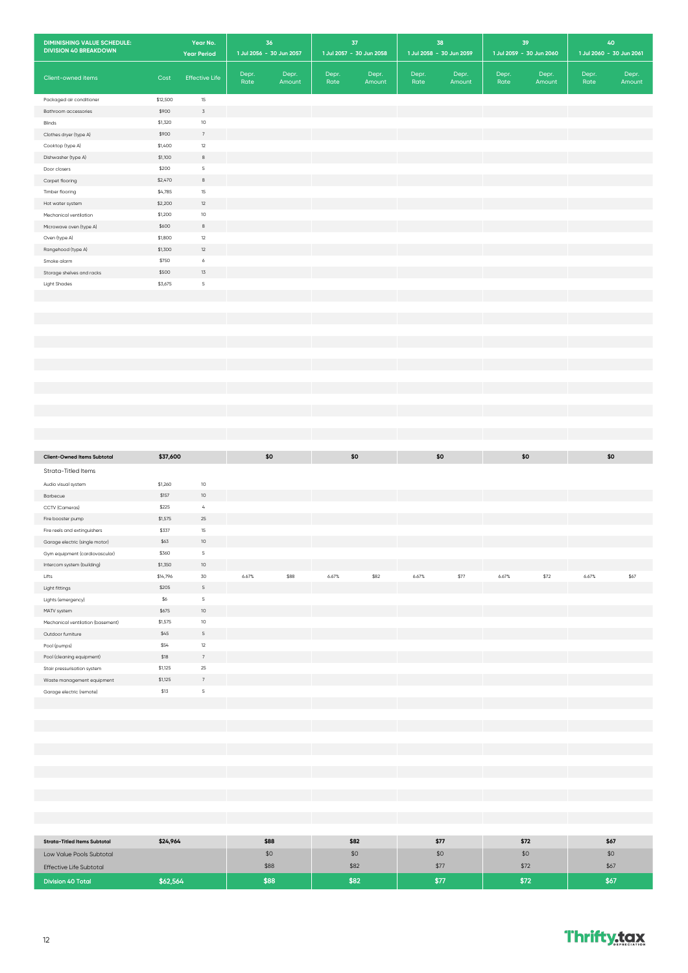| <b>DIMINISHING VALUE SCHEDULE:</b><br><b>DIVISION 40 BREAKDOWN</b> |          | Year No.<br><b>Year Period</b> |               | 36<br>1 Jul 2056 - 30 Jun 2057 |               | 37<br>1 Jul 2057 - 30 Jun 2058 |               | 38<br>1 Jul 2058 - 30 Jun 2059 |               | 39<br>1 Jul 2059 - 30 Jun 2060 |               | 40<br>1 Jul 2060 - 30 Jun 2061 |
|--------------------------------------------------------------------|----------|--------------------------------|---------------|--------------------------------|---------------|--------------------------------|---------------|--------------------------------|---------------|--------------------------------|---------------|--------------------------------|
| Client-owned items                                                 | Cost     | <b>Effective Life</b>          | Depr.<br>Rate | Depr.<br>Amount                | Depr.<br>Rate | Depr.<br>Amount                | Depr.<br>Rate | Depr.<br>Amount                | Depr.<br>Rate | Depr.<br>Amount                | Depr.<br>Rate | Depr.<br>Amount                |
| Packaged air conditioner                                           | \$12,500 | $15\,$                         |               |                                |               |                                |               |                                |               |                                |               |                                |
| Bathroom accessories                                               | \$900    | $\mathsf 3$                    |               |                                |               |                                |               |                                |               |                                |               |                                |
| Blinds                                                             | \$1,320  | $10\,$                         |               |                                |               |                                |               |                                |               |                                |               |                                |
| Clothes dryer (type A)                                             | \$900    | 7                              |               |                                |               |                                |               |                                |               |                                |               |                                |
| Cooktop (type A)                                                   | \$1,400  | 12                             |               |                                |               |                                |               |                                |               |                                |               |                                |
| Dishwasher (type A)                                                | \$1,100  | $_{\rm 8}$                     |               |                                |               |                                |               |                                |               |                                |               |                                |
| Door closers                                                       | \$200    | $\overline{5}$                 |               |                                |               |                                |               |                                |               |                                |               |                                |
| Carpet flooring                                                    | \$2,470  | $_{\rm 8}$                     |               |                                |               |                                |               |                                |               |                                |               |                                |
| Timber flooring                                                    | \$4,785  | $15\,$                         |               |                                |               |                                |               |                                |               |                                |               |                                |
| Hot water system                                                   | \$2,200  | $12\,$                         |               |                                |               |                                |               |                                |               |                                |               |                                |
| Mechanical ventilation                                             | \$1,200  | $10$                           |               |                                |               |                                |               |                                |               |                                |               |                                |
| Microwave oven (type A)                                            | \$600    | $^{\rm 8}$                     |               |                                |               |                                |               |                                |               |                                |               |                                |
| Oven (type A)                                                      | \$1,800  | 12                             |               |                                |               |                                |               |                                |               |                                |               |                                |
| Rangehood (type A)                                                 | \$1,300  | $12\,$                         |               |                                |               |                                |               |                                |               |                                |               |                                |
| Smoke alarm                                                        | \$750    | $\acute{\rm{o}}$               |               |                                |               |                                |               |                                |               |                                |               |                                |
| Storage shelves and racks                                          | \$500    | $13\,$                         |               |                                |               |                                |               |                                |               |                                |               |                                |
| <b>Light Shades</b>                                                | \$3,675  | $\,$ 5                         |               |                                |               |                                |               |                                |               |                                |               |                                |
|                                                                    |          |                                |               |                                |               |                                |               |                                |               |                                |               |                                |
|                                                                    |          |                                |               |                                |               |                                |               |                                |               |                                |               |                                |
|                                                                    |          |                                |               |                                |               |                                |               |                                |               |                                |               |                                |
|                                                                    |          |                                |               |                                |               |                                |               |                                |               |                                |               |                                |
|                                                                    |          |                                |               |                                |               |                                |               |                                |               |                                |               |                                |
|                                                                    |          |                                |               |                                |               |                                |               |                                |               |                                |               |                                |
|                                                                    |          |                                |               |                                |               |                                |               |                                |               |                                |               |                                |
|                                                                    |          |                                |               |                                |               |                                |               |                                |               |                                |               |                                |
|                                                                    |          |                                |               |                                |               |                                |               |                                |               |                                |               |                                |
|                                                                    |          |                                |               |                                |               |                                |               |                                |               |                                |               |                                |
|                                                                    |          |                                |               |                                |               |                                |               |                                |               |                                |               |                                |
|                                                                    |          |                                |               |                                |               |                                |               |                                |               |                                |               |                                |
|                                                                    |          |                                |               |                                |               |                                |               |                                |               |                                |               |                                |
|                                                                    |          |                                |               |                                |               |                                |               |                                |               |                                |               |                                |
| <b>Client-Owned Items Subtotal</b>                                 | \$37,600 |                                |               | \$0                            |               | \$0                            |               | \$0                            |               | \$0                            |               | \$0                            |
| Strata-Titled Items                                                |          |                                |               |                                |               |                                |               |                                |               |                                |               |                                |
| Audio visual system                                                | \$1,260  | $10\,$                         |               |                                |               |                                |               |                                |               |                                |               |                                |
| Barbecue                                                           | \$157    | 10                             |               |                                |               |                                |               |                                |               |                                |               |                                |
| CCTV (Cameras)                                                     | \$225    | $\mathcal{L}_{\!4}$            |               |                                |               |                                |               |                                |               |                                |               |                                |
| Fire booster pump                                                  | \$1,575  | $25\,$                         |               |                                |               |                                |               |                                |               |                                |               |                                |
| Fire reels and extinguishers                                       | \$337    | 15                             |               |                                |               |                                |               |                                |               |                                |               |                                |
| Garage electric (single motor)                                     | \$63     | $10\,$                         |               |                                |               |                                |               |                                |               |                                |               |                                |
|                                                                    | \$360    | $\mathsf S$                    |               |                                |               |                                |               |                                |               |                                |               |                                |
| Gym equipment (cardiovascular)<br>Intercom system (building)       | \$1,350  | 10                             |               |                                |               |                                |               |                                |               |                                |               |                                |
| Lifts                                                              | \$14,796 | $30$                           | 6.67%         | \$88                           | 6.67%         | \$82                           | 6.67%         | \$77                           | 6.67%         | \$72                           | 6.67%         | \$67                           |
| Light fittings                                                     | \$205    | $\sqrt{5}$                     |               |                                |               |                                |               |                                |               |                                |               |                                |
| Lights (emergency)                                                 | \$6      | $\overline{5}$                 |               |                                |               |                                |               |                                |               |                                |               |                                |
| MATV system                                                        | \$675    | $10\,$                         |               |                                |               |                                |               |                                |               |                                |               |                                |
| Mechanical ventilation (basement)                                  | \$1,575  | $10\,$                         |               |                                |               |                                |               |                                |               |                                |               |                                |
|                                                                    | \$45     | $\mathsf S$                    |               |                                |               |                                |               |                                |               |                                |               |                                |
| Outdoor furniture                                                  | \$54     | $12\,$                         |               |                                |               |                                |               |                                |               |                                |               |                                |
| Pool (pumps)                                                       | \$18     | $7\phantom{.0}$                |               |                                |               |                                |               |                                |               |                                |               |                                |
| Pool (cleaning equipment)                                          |          | $25\,$                         |               |                                |               |                                |               |                                |               |                                |               |                                |
| Stair pressurisation system                                        | \$1,125  | $7\phantom{.0}$                |               |                                |               |                                |               |                                |               |                                |               |                                |
| Waste management equipment                                         | \$1,125  | $\mathsf S$                    |               |                                |               |                                |               |                                |               |                                |               |                                |
| Garage electric (remote)                                           | \$13     |                                |               |                                |               |                                |               |                                |               |                                |               |                                |
|                                                                    |          |                                |               |                                |               |                                |               |                                |               |                                |               |                                |
|                                                                    |          |                                |               |                                |               |                                |               |                                |               |                                |               |                                |
|                                                                    |          |                                |               |                                |               |                                |               |                                |               |                                |               |                                |

| <b>Strata-Titled Items Subtotal</b> | \$24,964 | \$88 | \$82 | \$77 | \$72 | \$67 |
|-------------------------------------|----------|------|------|------|------|------|
| Low Value Pools Subtotal            |          | \$0  | \$0  | \$0  | \$0  | \$0  |
| <b>Effective Life Subtotal</b>      |          | \$88 | \$82 | \$77 | \$72 | \$67 |
| <b>Division 40 Total</b>            | \$62,564 | \$88 | \$82 | \$77 | \$72 | \$67 |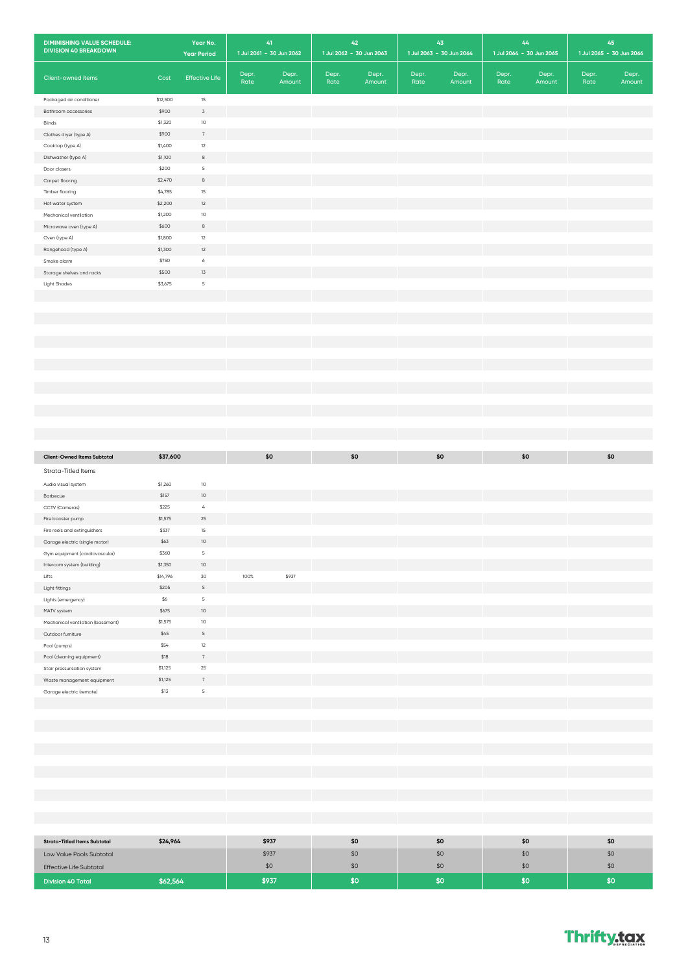| <b>DIMINISHING VALUE SCHEDULE:</b><br><b>DIVISION 40 BREAKDOWN</b> |          | Year No.<br><b>Year Period</b> |               | 41<br>1 Jul 2061 - 30 Jun 2062 |               | 42<br>1 Jul 2062 - 30 Jun 2063 |               | 43<br>1 Jul 2063 - 30 Jun 2064 |               | 44<br>1 Jul 2064 - 30 Jun 2065 |               | 45<br>1 Jul 2065 - 30 Jun 2066 |
|--------------------------------------------------------------------|----------|--------------------------------|---------------|--------------------------------|---------------|--------------------------------|---------------|--------------------------------|---------------|--------------------------------|---------------|--------------------------------|
| Client-owned items                                                 | Cost     | <b>Effective Life</b>          | Depr.<br>Rate | Depr.<br>Amount                | Depr.<br>Rate | Depr.<br>Amount                | Depr.<br>Rate | Depr.<br>Amount                | Depr.<br>Rate | Depr.<br>Amount                | Depr.<br>Rate | Depr.<br>Amount                |
| Packaged air conditioner                                           | \$12,500 | 15                             |               |                                |               |                                |               |                                |               |                                |               |                                |
| Bathroom accessories                                               | \$900    | $\ensuremath{\mathsf{3}}$      |               |                                |               |                                |               |                                |               |                                |               |                                |
| Blinds                                                             | \$1,320  | $10$                           |               |                                |               |                                |               |                                |               |                                |               |                                |
| Clothes dryer (type A)                                             | \$900    | $\overline{\phantom{a}}$       |               |                                |               |                                |               |                                |               |                                |               |                                |
| Cooktop (type A)                                                   | \$1,400  | 12                             |               |                                |               |                                |               |                                |               |                                |               |                                |
| Dishwasher (type A)                                                | \$1,100  | $^{\rm 8}$                     |               |                                |               |                                |               |                                |               |                                |               |                                |
| Door closers                                                       | \$200    | $\mathsf S$                    |               |                                |               |                                |               |                                |               |                                |               |                                |
| Carpet flooring                                                    | \$2,470  | $^{\rm 8}$                     |               |                                |               |                                |               |                                |               |                                |               |                                |
| Timber flooring                                                    | \$4,785  | $15\,$                         |               |                                |               |                                |               |                                |               |                                |               |                                |
| Hot water system                                                   | \$2,200  | $12\,$                         |               |                                |               |                                |               |                                |               |                                |               |                                |
| Mechanical ventilation                                             | \$1,200  | $10$                           |               |                                |               |                                |               |                                |               |                                |               |                                |
| Microwave oven (type A)                                            | \$600    | $^{\rm 8}$                     |               |                                |               |                                |               |                                |               |                                |               |                                |
| Oven (type A)                                                      | \$1,800  | $12\,$                         |               |                                |               |                                |               |                                |               |                                |               |                                |
| Rangehood (type A)                                                 | \$1,300  | $12\,$                         |               |                                |               |                                |               |                                |               |                                |               |                                |
| Smoke alarm                                                        | \$750    | 6                              |               |                                |               |                                |               |                                |               |                                |               |                                |
| Storage shelves and racks                                          | \$500    | $13\,$                         |               |                                |               |                                |               |                                |               |                                |               |                                |
| <b>Light Shades</b>                                                | \$3,675  | $\mathsf S$                    |               |                                |               |                                |               |                                |               |                                |               |                                |
|                                                                    |          |                                |               |                                |               |                                |               |                                |               |                                |               |                                |
|                                                                    |          |                                |               |                                |               |                                |               |                                |               |                                |               |                                |
|                                                                    |          |                                |               |                                |               |                                |               |                                |               |                                |               |                                |
|                                                                    |          |                                |               |                                |               |                                |               |                                |               |                                |               |                                |
|                                                                    |          |                                |               |                                |               |                                |               |                                |               |                                |               |                                |
|                                                                    |          |                                |               |                                |               |                                |               |                                |               |                                |               |                                |
|                                                                    |          |                                |               |                                |               |                                |               |                                |               |                                |               |                                |
|                                                                    |          |                                |               |                                |               |                                |               |                                |               |                                |               |                                |
|                                                                    |          |                                |               |                                |               |                                |               |                                |               |                                |               |                                |
|                                                                    |          |                                |               |                                |               |                                |               |                                |               |                                |               |                                |
|                                                                    |          |                                |               |                                |               |                                |               |                                |               |                                |               |                                |
| <b>Client-Owned Items Subtotal</b>                                 | \$37,600 |                                |               | \$0                            |               | \$0                            |               | \$0                            |               | \$0                            |               | \$0                            |
| Strata-Titled Items                                                |          |                                |               |                                |               |                                |               |                                |               |                                |               |                                |
| Audio visual system                                                | \$1,260  | $10$                           |               |                                |               |                                |               |                                |               |                                |               |                                |
| Barbecue                                                           | \$157    | $10$                           |               |                                |               |                                |               |                                |               |                                |               |                                |
| CCTV (Cameras)                                                     | \$225    | $\overline{4}$                 |               |                                |               |                                |               |                                |               |                                |               |                                |
| Fire booster pump                                                  | \$1,575  | 25                             |               |                                |               |                                |               |                                |               |                                |               |                                |
| Fire reels and extinguishers                                       | \$337    | 15                             |               |                                |               |                                |               |                                |               |                                |               |                                |
| Garage electric (single motor)                                     | \$63     | $10$                           |               |                                |               |                                |               |                                |               |                                |               |                                |
| Gym equipment (cardiovascular)                                     | \$360    | $\,$ 5                         |               |                                |               |                                |               |                                |               |                                |               |                                |
| Intercom system (building)                                         | \$1,350  | 10                             |               |                                |               |                                |               |                                |               |                                |               |                                |
| Lifts                                                              | \$14,796 | 30                             | 100%          | \$937                          |               |                                |               |                                |               |                                |               |                                |
| Light fittings                                                     | \$205    | $\mathsf S$                    |               |                                |               |                                |               |                                |               |                                |               |                                |
| Lights (emergency)                                                 | \$6      | $\overline{5}$                 |               |                                |               |                                |               |                                |               |                                |               |                                |
| MATV system                                                        | \$675    | $10$                           |               |                                |               |                                |               |                                |               |                                |               |                                |
| Mechanical ventilation (basement)                                  | \$1,575  | $10$                           |               |                                |               |                                |               |                                |               |                                |               |                                |
| Outdoor furniture                                                  | \$45     | $\mathsf S$                    |               |                                |               |                                |               |                                |               |                                |               |                                |
| Pool (pumps)                                                       | \$54     | $12\,$                         |               |                                |               |                                |               |                                |               |                                |               |                                |
| Pool (cleaning equipment)                                          | \$18     | $7\phantom{.0}$                |               |                                |               |                                |               |                                |               |                                |               |                                |
| Stair pressurisation system                                        | \$1,125  | 25                             |               |                                |               |                                |               |                                |               |                                |               |                                |
| Waste management equipment                                         | \$1,125  | $\sqrt{ }$                     |               |                                |               |                                |               |                                |               |                                |               |                                |
| Garage electric (remote)                                           | \$13     | $\mathsf S$                    |               |                                |               |                                |               |                                |               |                                |               |                                |
|                                                                    |          |                                |               |                                |               |                                |               |                                |               |                                |               |                                |
|                                                                    |          |                                |               |                                |               |                                |               |                                |               |                                |               |                                |
|                                                                    |          |                                |               |                                |               |                                |               |                                |               |                                |               |                                |
|                                                                    |          |                                |               |                                |               |                                |               |                                |               |                                |               |                                |
|                                                                    |          |                                |               |                                |               |                                |               |                                |               |                                |               |                                |

| <b>Strata-Titled Items Subtotal</b> | \$24,964 | \$937 | \$0 | \$0 | \$0 | \$0 |
|-------------------------------------|----------|-------|-----|-----|-----|-----|
| Low Value Pools Subtotal            |          | \$937 | \$0 | \$0 | \$0 | \$0 |
| <b>Effective Life Subtotal</b>      |          | \$С   | \$0 | \$0 | \$0 | \$0 |
| <b>Division 40 Total</b>            | \$62,564 | \$937 |     | SO. | 80  | 50  |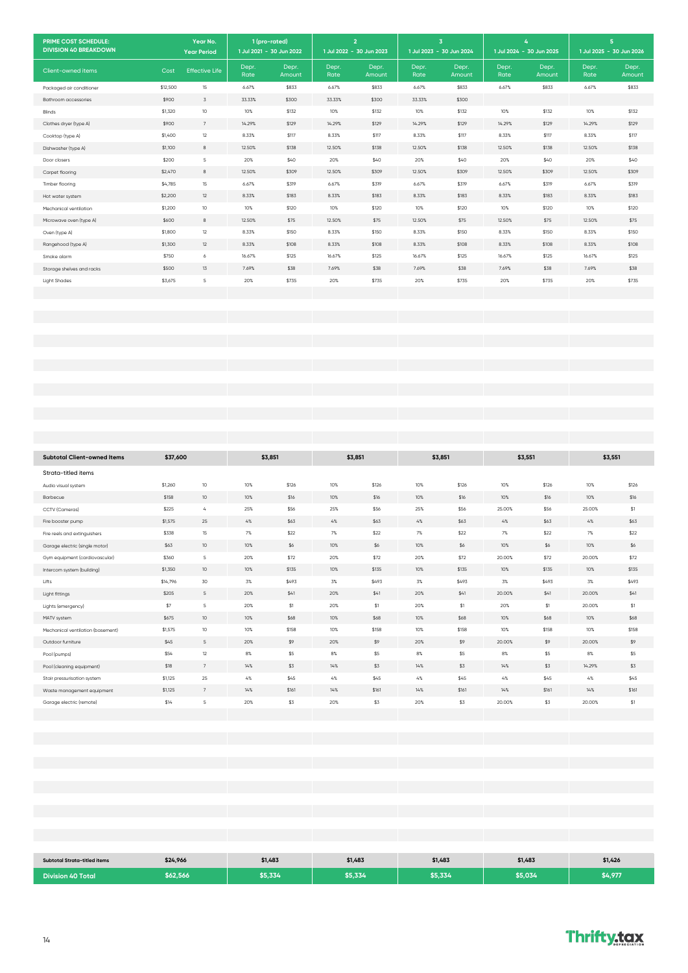| PRIME COST SCHEDULE:<br><b>DIVISION 40 BREAKDOWN</b> |          | Year No.<br><b>Year Period</b> |               | 1 (pro-rated)<br>1 Jul 2021 - 30 Jun 2022 |               | $\overline{2}$<br>1 Jul 2022 - 30 Jun 2023 |               | $\overline{\mathbf{3}}$<br>1 Jul 2023 - 30 Jun 2024 |               | 4<br>1 Jul 2024 - 30 Jun 2025 |               | 5<br>1 Jul 2025 - 30 Jun 2026 |
|------------------------------------------------------|----------|--------------------------------|---------------|-------------------------------------------|---------------|--------------------------------------------|---------------|-----------------------------------------------------|---------------|-------------------------------|---------------|-------------------------------|
| Client-owned items                                   | Cost     | <b>Effective Life</b>          | Depr.<br>Rate | Depr.<br>Amount                           | Depr.<br>Rate | Depr.<br>Amount                            | Depr.<br>Rate | Depr.<br>Amount                                     | Depr.<br>Rate | Depr.<br>Amount               | Depr.<br>Rate | Depr.<br>Amount               |
| Packaged air conditioner                             | \$12,500 | 15                             | 6.67%         | \$833                                     | 6.67%         | \$833                                      | 6.67%         | \$833                                               | 6.67%         | \$833                         | 6.67%         | \$833                         |
| Bathroom accessories                                 | \$900    | 3                              | 33.33%        | \$300                                     | 33.33%        | \$300                                      | 33.33%        | \$300                                               |               |                               |               |                               |
| Blinds                                               | \$1,320  | 10 <sup>°</sup>                | 10%           | \$132                                     | 10%           | \$132                                      | 10%           | \$132                                               | 10%           | \$132                         | 10%           | \$132                         |
| Clothes dryer (type A)                               | \$900    | $7\overline{ }$                | 14.29%        | \$129                                     | 14.29%        | \$129                                      | 14.29%        | \$129                                               | 14.29%        | \$129                         | 14.29%        | \$129                         |
| Cooktop (type A)                                     | \$1,400  | 12                             | 8.33%         | \$117                                     | 8.33%         | \$117                                      | 8.33%         | \$117                                               | 8.33%         | \$117                         | 8.33%         | \$117                         |
| Dishwasher (type A)                                  | \$1,100  | 8                              | 12.50%        | \$138                                     | 12.50%        | \$138                                      | 12.50%        | \$138                                               | 12.50%        | \$138                         | 12.50%        | \$138                         |
| Door closers                                         | \$200    | 5                              | 20%           | \$40                                      | 20%           | \$40                                       | 20%           | \$40                                                | 20%           | \$40                          | 20%           | \$40                          |
| Carpet flooring                                      | \$2,470  | 8                              | 12.50%        | \$309                                     | 12.50%        | \$309                                      | 12.50%        | \$309                                               | 12.50%        | \$309                         | 12.50%        | \$309                         |
| Timber flooring                                      | \$4,785  | 15                             | 6.67%         | \$319                                     | 6.67%         | \$319                                      | 6.67%         | \$319                                               | 6.67%         | \$319                         | 6.67%         | \$319                         |
| Hot water system                                     | \$2,200  | 12                             | 8.33%         | \$183                                     | 8.33%         | \$183                                      | 8.33%         | \$183                                               | 8.33%         | \$183                         | 8.33%         | \$183                         |
| Mechanical ventilation                               | \$1,200  | 10 <sup>10</sup>               | 10%           | \$120                                     | 10%           | \$120                                      | 10%           | \$120                                               | 10%           | \$120                         | 10%           | \$120                         |
| Microwave oven (type A)                              | \$600    | 8                              | 12.50%        | \$75                                      | 12.50%        | \$75                                       | 12.50%        | \$75                                                | 12.50%        | \$75                          | 12.50%        | \$75                          |
| Oven (type A)                                        | \$1,800  | $12\,$                         | 8.33%         | \$150                                     | 8.33%         | \$150                                      | 8.33%         | \$150                                               | 8.33%         | \$150                         | 8.33%         | \$150                         |
| Rangehood (type A)                                   | \$1,300  | 12                             | 8.33%         | \$108                                     | 8.33%         | \$108                                      | 8.33%         | \$108                                               | 8.33%         | \$108                         | 8.33%         | \$108                         |
| Smoke alarm                                          | \$750    | 6                              | 16.67%        | \$125                                     | 16.67%        | \$125                                      | 16.67%        | \$125                                               | 16.67%        | \$125                         | 16.67%        | \$125                         |
| Storage shelves and racks                            | \$500    | 13                             | 7.69%         | \$38                                      | 7.69%         | \$38                                       | 7.69%         | \$38                                                | 7.69%         | \$38                          | 7.69%         | \$38                          |
| <b>Light Shades</b>                                  | \$3,675  | $\mathsf S$                    | 20%           | \$735                                     | 20%           | \$735                                      | 20%           | \$735                                               | 20%           | \$735                         | 20%           | \$735                         |
|                                                      |          |                                |               |                                           |               |                                            |               |                                                     |               |                               |               |                               |
|                                                      |          |                                |               |                                           |               |                                            |               |                                                     |               |                               |               |                               |
|                                                      |          |                                |               |                                           |               |                                            |               |                                                     |               |                               |               |                               |
|                                                      |          |                                |               |                                           |               |                                            |               |                                                     |               |                               |               |                               |
|                                                      |          |                                |               |                                           |               |                                            |               |                                                     |               |                               |               |                               |
|                                                      |          |                                |               |                                           |               |                                            |               |                                                     |               |                               |               |                               |
|                                                      |          |                                |               |                                           |               |                                            |               |                                                     |               |                               |               |                               |
|                                                      |          |                                |               |                                           |               |                                            |               |                                                     |               |                               |               |                               |
|                                                      |          |                                |               |                                           |               |                                            |               |                                                     |               |                               |               |                               |
|                                                      |          |                                |               |                                           |               |                                            |               |                                                     |               |                               |               |                               |
|                                                      |          |                                |               |                                           |               |                                            |               |                                                     |               |                               |               |                               |
|                                                      |          |                                |               |                                           |               |                                            |               |                                                     |               |                               |               |                               |
|                                                      |          |                                |               |                                           |               |                                            |               |                                                     |               |                               |               |                               |
| <b>Subtotal Client-owned Items</b>                   | \$37,600 |                                |               | \$3,851                                   |               | \$3,851                                    |               | \$3,851                                             |               | \$3,551                       |               | \$3,551                       |

| <b>Subtotal Client-owned Items</b> | \$37,600 |                   |       | \$3,851 |       | \$3,851 | \$3,851 |       | \$3,551 |       | \$3,551 |       |
|------------------------------------|----------|-------------------|-------|---------|-------|---------|---------|-------|---------|-------|---------|-------|
| Strata-titled items                |          |                   |       |         |       |         |         |       |         |       |         |       |
| Audio visual system                | \$1,260  | 10 <sup>°</sup>   | 10%   | \$126   | 10%   | \$126   | 10%     | \$126 | 10%     | \$126 | 10%     | \$126 |
| Barbecue                           | \$158    | 10 <sup>10</sup>  | 10%   | \$16    | 10%   | \$16    | 10%     | \$16  | 10%     | \$16  | 10%     | \$16  |
| CCTV (Cameras)                     | \$225    | $\mathcal{L}_{b}$ | 25%   | \$56    | 25%   | \$56    | 25%     | \$56  | 25.00%  | \$56  | 25.00%  | \$1   |
| Fire booster pump                  | \$1,575  | 25                | $4\%$ | \$63    | 4%    | \$63    | $4\%$   | \$63  | 4%      | \$63  | $4\%$   | \$63  |
| Fire reels and extinguishers       | \$338    | 15                | 7%    | \$22    | 7%    | \$22    | 7%      | \$22  | 7%      | \$22  | 7%      | \$22  |
| Garage electric (single motor)     | \$63     | 10 <sup>10</sup>  | 10%   | \$6     | 10%   | \$6     | 10%     | \$6   | 10%     | \$6   | 10%     | \$6   |
| Gym equipment (cardiovascular)     | \$360    | 5                 | 20%   | \$72    | 20%   | \$72    | 20%     | \$72  | 20.00%  | \$72  | 20.00%  | \$72  |
| Intercom system (building)         | \$1,350  | 10 <sup>10</sup>  | 10%   | \$135   | 10%   | \$135   | 10%     | \$135 | 10%     | \$135 | 10%     | \$135 |
| Lifts                              | \$14,796 | 30                | 3%    | \$493   | 3%    | \$493   | 3%      | \$493 | 3%      | \$493 | 3%      | \$493 |
| Light fittings                     | \$205    | $\overline{5}$    | 20%   | \$41    | 20%   | \$41    | 20%     | \$41  | 20.00%  | \$41  | 20.00%  | \$41  |
| Lights (emergency)                 | \$7      | 5                 | 20%   | \$1     | 20%   | \$1     | 20%     | \$1   | 20%     | \$1   | 20.00%  | \$1   |
| MATV system                        | \$675    | 10 <sup>°</sup>   | 10%   | \$68    | 10%   | \$68    | 10%     | \$68  | 10%     | \$68  | 10%     | \$68  |
| Mechanical ventilation (basement)  | \$1,575  | 10 <sup>°</sup>   | 10%   | \$158   | 10%   | \$158   | 10%     | \$158 | 10%     | \$158 | 10%     | \$158 |
| Outdoor furniture                  | \$45     | $\overline{5}$    | 20%   | \$9     | 20%   | \$9     | 20%     | \$9   | 20.00%  | \$9   | 20.00%  | \$9   |
| Pool (pumps)                       | \$54     | 12                | 8%    | \$5     | $8\%$ | \$5     | 8%      | \$5   | $8\%$   | \$5   | 8%      | \$5   |
| Pool (cleaning equipment)          | \$18     | 7                 | 14%   | \$3     | 14%   | \$3     | 14%     | \$3   | 14%     | \$3   | 14.29%  | \$3   |
| Stair pressurisation system        | \$1,125  | 25                | 4%    | \$45    | 4%    | \$45    | $4\%$   | \$45  | $4\%$   | \$45  | $4\%$   | \$45  |
| Waste management equipment         | \$1,125  | 7                 | 14%   | \$161   | 14%   | \$161   | 14%     | \$161 | 14%     | \$161 | 14%     | \$161 |
| Garage electric (remote)           | \$14     | 5                 | 20%   | \$3     | 20%   | \$3     | 20%     | \$3   | 20.00%  | \$3   | 20.00%  | \$1   |
|                                    |          |                   |       |         |       |         |         |       |         |       |         |       |

| Subtotal Strata-titled items | \$24,966 | \$1,483 | \$1,483 | \$1,483 | \$1,483 | \$1,426 |
|------------------------------|----------|---------|---------|---------|---------|---------|
| <b>Division 40 Total</b>     | \$62,566 | \$5,334 | \$5,334 | \$5,334 | \$5,034 | \$4,977 |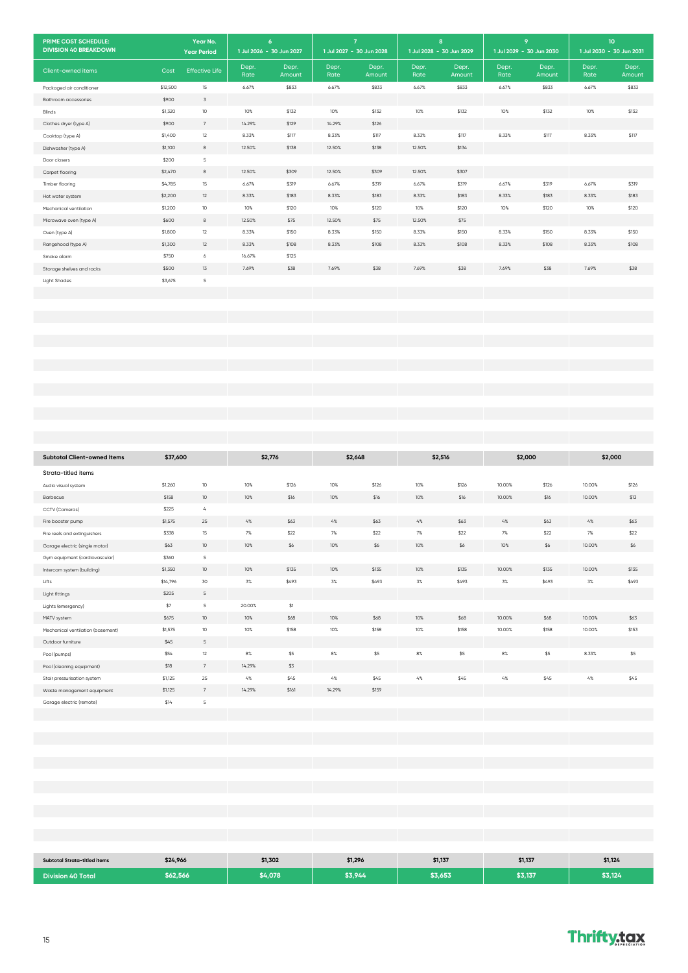| PRIME COST SCHEDULE:<br><b>DIVISION 40 BREAKDOWN</b>           |                  | Year No.<br><b>Year Period</b>     | 1 Jul 2026 - 30 Jun 2027 | $\boldsymbol{6}$ | $\overline{7}$<br>1 Jul 2027 - 30 Jun 2028 |               | 8<br>1 Jul 2028 - 30 Jun 2029 |               |           | 9<br>1 Jul 2029 - 30 Jun 2030 | $10\,$<br>1 Jul 2030 - 30 Jun 2031 |             |
|----------------------------------------------------------------|------------------|------------------------------------|--------------------------|------------------|--------------------------------------------|---------------|-------------------------------|---------------|-----------|-------------------------------|------------------------------------|-------------|
|                                                                |                  |                                    | Depr.                    | Depr.            | Depr.                                      | Depr.         | Depr.                         | Depr.         | Depr.     | Depr.                         | Depr.                              | Depr.       |
| Client-owned items                                             | Cost             | <b>Effective Life</b>              | Rate                     | Amount           | Rate                                       | Amount        | Rate                          | Amount        | Rate      | Amount                        | Rate                               | Amount      |
| Packaged air conditioner                                       | \$12,500         | $15\,$                             | 6.67%                    | \$833            | 6.67%                                      | \$833         | 6.67%                         | \$833         | 6.67%     | \$833                         | 6.67%                              | \$833       |
| Bathroom accessories<br>Blinds                                 | \$900<br>\$1,320 | $\ensuremath{\mathsf{3}}$<br>$10$  | 10%                      | \$132            | $10\%$                                     | \$132         | $10\%$                        | \$132         | 10%       | \$132                         | 10%                                | \$132       |
| Clothes dryer (type A)                                         | \$900            | $\sqrt{ }$                         | 14.29%                   | \$129            | 14.29%                                     | \$126         |                               |               |           |                               |                                    |             |
| Cooktop (type A)                                               | \$1,400          | 12                                 | 8.33%                    | \$117            | 8.33%                                      | \$117         | 8.33%                         | \$117         | 8.33%     | \$117                         | 8.33%                              | \$117       |
| Dishwasher (type A)                                            | \$1,100          | $_{\rm 8}$                         | 12.50%                   | \$138            | 12.50%                                     | \$138         | 12.50%                        | \$134         |           |                               |                                    |             |
| Door closers                                                   | \$200            | $\mathsf S$                        |                          |                  |                                            |               |                               |               |           |                               |                                    |             |
| Carpet flooring                                                | \$2,470          | $_{\rm 8}$                         | 12.50%                   | \$309            | 12.50%                                     | \$309         | 12.50%                        | \$307         |           |                               |                                    |             |
| Timber flooring                                                | \$4,785          | $15\,$                             | 6.67%                    | \$319            | 6.67%                                      | \$319         | 6.67%                         | \$319         | 6.67%     | \$319                         | 6.67%                              | \$319       |
| Hot water system                                               | \$2,200          | $12\,$                             | 8.33%                    | \$183            | 8.33%                                      | \$183         | 8.33%                         | \$183         | 8.33%     | \$183                         | 8.33%                              | \$183       |
| Mechanical ventilation<br>Microwave oven (type A)              | \$1,200<br>\$600 | 10<br>$^{\rm 8}$                   | 10%<br>12.50%            | \$120<br>\$75    | 10%<br>12.50%                              | \$120<br>\$75 | 10%<br>12.50%                 | \$120<br>\$75 | 10%       | \$120                         | 10%                                | \$120       |
| Oven (type A)                                                  | \$1,800          | 12                                 | 8.33%                    | \$150            | 8.33%                                      | \$150         | 8.33%                         | \$150         | 8.33%     | \$150                         | 8.33%                              | \$150       |
| Rangehood (type A)                                             | \$1,300          | 12                                 | 8.33%                    | \$108            | 8.33%                                      | \$108         | 8.33%                         | \$108         | 8.33%     | \$108                         | 8.33%                              | \$108       |
| Smoke alarm                                                    | \$750            | 6                                  | 16.67%                   | \$125            |                                            |               |                               |               |           |                               |                                    |             |
| Storage shelves and racks                                      | \$500            | 13                                 | 7.69%                    | \$38             | 7.69%                                      | \$38          | 7.69%                         | \$38          | 7.69%     | \$38                          | 7.69%                              | \$38        |
| Light Shades                                                   | \$3,675          | $\mathsf S$                        |                          |                  |                                            |               |                               |               |           |                               |                                    |             |
|                                                                |                  |                                    |                          |                  |                                            |               |                               |               |           |                               |                                    |             |
|                                                                |                  |                                    |                          |                  |                                            |               |                               |               |           |                               |                                    |             |
|                                                                |                  |                                    |                          |                  |                                            |               |                               |               |           |                               |                                    |             |
|                                                                |                  |                                    |                          |                  |                                            |               |                               |               |           |                               |                                    |             |
|                                                                |                  |                                    |                          |                  |                                            |               |                               |               |           |                               |                                    |             |
|                                                                |                  |                                    |                          |                  |                                            |               |                               |               |           |                               |                                    |             |
|                                                                |                  |                                    |                          |                  |                                            |               |                               |               |           |                               |                                    |             |
|                                                                |                  |                                    |                          |                  |                                            |               |                               |               |           |                               |                                    |             |
|                                                                |                  |                                    |                          |                  |                                            |               |                               |               |           |                               |                                    |             |
|                                                                |                  |                                    |                          |                  |                                            |               |                               |               |           |                               |                                    |             |
|                                                                |                  |                                    |                          |                  |                                            |               |                               |               |           |                               |                                    |             |
|                                                                |                  |                                    |                          |                  |                                            |               |                               |               |           |                               |                                    |             |
| <b>Subtotal Client-owned Items</b>                             | \$37,600         |                                    | \$2,776                  |                  | \$2,648                                    |               |                               | \$2,516       |           | \$2,000                       | \$2,000                            |             |
| Strata-titled items                                            |                  |                                    |                          |                  |                                            |               |                               |               |           |                               |                                    |             |
| Audio visual system                                            | \$1,260          | 10                                 | 10%                      | \$126            | 10%                                        | \$126         | 10%                           | \$126         | 10.00%    | \$126                         | 10.00%                             | \$126       |
| Barbecue                                                       | \$158            | $10$                               | 10%                      | \$16             | 10%                                        | \$16          | 10%                           | \$16          | 10.00%    | \$16                          | 10.00%                             | \$13        |
| CCTV (Cameras)                                                 | \$225            | $\mathcal{L}_b$                    |                          |                  |                                            |               |                               |               |           |                               |                                    |             |
| Fire booster pump                                              | \$1,575          | 25                                 | $4\%$                    | \$63             | $4\%$                                      | \$63          | $4\%$                         | \$63          | $4\%$     | \$63                          | $4\%$                              | \$63        |
| Fire reels and extinguishers<br>Garage electric (single motor) | \$338<br>\$63    | 15<br>10                           | 7%<br>10%                | \$22<br>\$6      | $7\%$<br>10%                               | \$22<br>\$6   | $7\%$<br>10%                  | \$22<br>\$6   | 7%<br>10% | \$22<br>\$6                   | $7\%$<br>10.00%                    | \$22<br>\$6 |
| Gym equipment (cardiovascular)                                 | \$360            | $\sf S$                            |                          |                  |                                            |               |                               |               |           |                               |                                    |             |
| Intercom system (building)                                     | \$1,350          | $10$                               | 10%                      | \$135            | 10%                                        | \$135         | 10%                           | \$135         | 10.00%    | \$135                         | 10.00%                             | \$135       |
| Lifts                                                          | \$14,796         | 30                                 | $3\%$                    | \$493            | 3%                                         | \$493         | 3%                            | \$493         | 3%        | \$493                         | $3\%$                              | \$493       |
| Light fittings                                                 | \$205            | $\mathsf S$                        |                          |                  |                                            |               |                               |               |           |                               |                                    |             |
| Lights (emergency)                                             | \$7              | $\sf S$                            | 20.00%                   | $$1\,$           |                                            |               |                               |               |           |                               |                                    |             |
| MATV system                                                    | \$675            | $10\,$                             | 10%                      | \$68             | $10\%$                                     | \$68          | $10\%$                        | \$68          | 10.00%    | \$68                          | 10.00%                             | \$63        |
| Mechanical ventilation (basement)                              | \$1,575          | $10$                               | 10%                      | \$158            | 10%                                        | \$158         | 10%                           | \$158         | 10.00%    | \$158                         | 10.00%                             | \$153       |
| Outdoor furniture                                              | \$45             | $\mathsf S$                        |                          |                  |                                            |               |                               |               |           |                               |                                    |             |
| Pool (pumps)<br>Pool (cleaning equipment)                      | \$54<br>\$18     | $12\,$<br>$\overline{\phantom{a}}$ | $8\%$<br>14.29%          | \$5<br>\$3       | $8\%$                                      | \$5           | $8\%$                         | \$5           | $8\%$     | \$5                           | 8.33%                              | \$5         |
| Stair pressurisation system                                    | \$1,125          | $25\,$                             | $4\%$                    | \$45             | $4\%$                                      | \$45          | $4\%$                         | \$45          | $4\%$     | \$45                          | $4\%$                              | \$45        |
| Waste management equipment                                     | \$1,125          | $\sqrt{ }$                         | 14.29%                   | \$161            | 14.29%                                     | \$159         |                               |               |           |                               |                                    |             |
| Garage electric (remote)                                       | \$14             | $\sf S$                            |                          |                  |                                            |               |                               |               |           |                               |                                    |             |
|                                                                |                  |                                    |                          |                  |                                            |               |                               |               |           |                               |                                    |             |
|                                                                |                  |                                    |                          |                  |                                            |               |                               |               |           |                               |                                    |             |
|                                                                |                  |                                    |                          |                  |                                            |               |                               |               |           |                               |                                    |             |
|                                                                |                  |                                    |                          |                  |                                            |               |                               |               |           |                               |                                    |             |
|                                                                |                  |                                    |                          |                  |                                            |               |                               |               |           |                               |                                    |             |
|                                                                |                  |                                    |                          |                  |                                            |               |                               |               |           |                               |                                    |             |
|                                                                |                  |                                    |                          |                  |                                            |               |                               |               |           |                               |                                    |             |
|                                                                |                  |                                    |                          |                  |                                            |               |                               |               |           |                               |                                    |             |
|                                                                |                  |                                    |                          |                  |                                            |               |                               |               |           |                               |                                    |             |
|                                                                |                  |                                    |                          |                  |                                            |               |                               |               |           |                               |                                    |             |
|                                                                |                  |                                    |                          |                  |                                            |               |                               |               |           |                               |                                    |             |
| Subtotal Strata-titled items                                   | \$24,966         |                                    | \$1,302                  |                  | \$1,296                                    |               | \$1,137                       |               |           | \$1,137                       | \$1,124                            |             |
| <b>Division 40 Total</b>                                       | \$62,566         |                                    | \$4,078                  |                  | \$3,944                                    |               | \$3,653                       |               | \$3,137   |                               | \$3,124                            |             |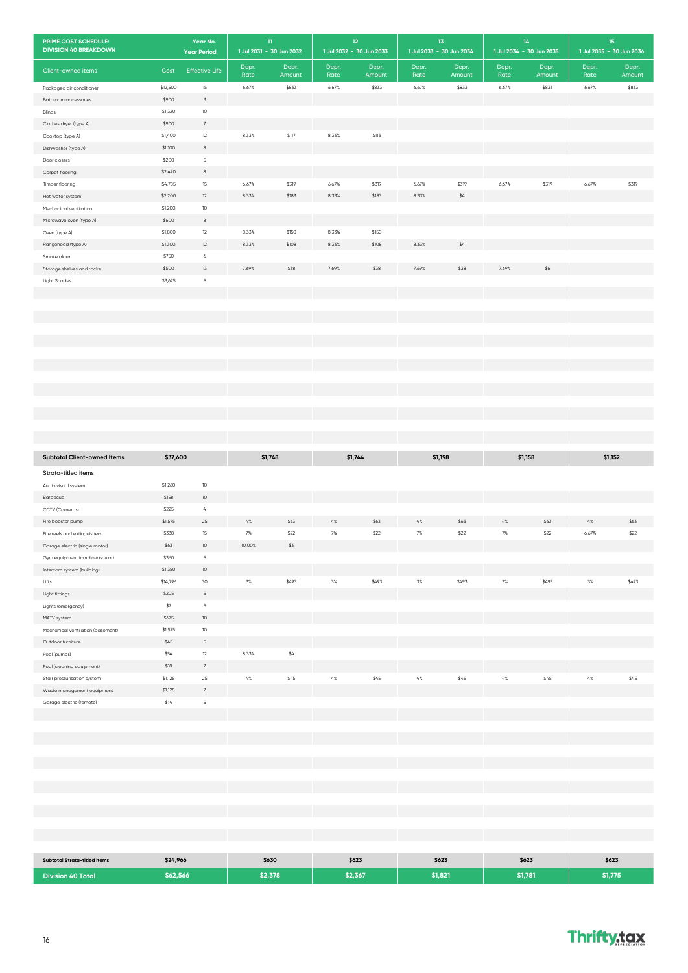| PRIME COST SCHEDULE:<br><b>DIVISION 40 BREAKDOWN</b> |                  | Year No.                   | $11\,$<br>1 Jul 2031 - 30 Jun 2032 |        |       | 12<br>1 Jul 2032 - 30 Jun 2033 | $1\overline{3}$<br>1 Jul 2033 - 30 Jun 2034 |        | 1 Jul 2034 - 30 Jun 2035 | 14     | 15<br>1 Jul 2035 - 30 Jun 2036 |        |
|------------------------------------------------------|------------------|----------------------------|------------------------------------|--------|-------|--------------------------------|---------------------------------------------|--------|--------------------------|--------|--------------------------------|--------|
|                                                      |                  | <b>Year Period</b>         | Depr.                              | Depr.  | Depr. | Depr.                          | Depr.                                       | Depr.  | Depr.                    | Depr.  | Depr.                          | Depr.  |
| Client-owned items                                   | Cost             | <b>Effective Life</b>      | Rate                               | Amount | Rate  | Amount                         | Rate                                        | Amount | Rate                     | Amount | Rate                           | Amount |
| Packaged air conditioner                             | \$12,500         | 15                         | 6.67%                              | \$833  | 6.67% | \$833                          | 6.67%                                       | \$833  | 6.67%                    | \$833  | 6.67%                          | \$833  |
| Bathroom accessories                                 | \$900            | $\mathfrak{Z}$             |                                    |        |       |                                |                                             |        |                          |        |                                |        |
| Blinds<br>Clothes dryer (type A)                     | \$1,320<br>\$900 | $10$<br>$\,$ 7 $\,$        |                                    |        |       |                                |                                             |        |                          |        |                                |        |
| Cooktop (type A)                                     | \$1,400          | $12\,$                     | 8.33%                              | \$117  | 8.33% | \$113                          |                                             |        |                          |        |                                |        |
| Dishwasher (type A)                                  | \$1,100          | $^{\rm 8}$                 |                                    |        |       |                                |                                             |        |                          |        |                                |        |
| Door closers                                         | \$200            | $\sf S$                    |                                    |        |       |                                |                                             |        |                          |        |                                |        |
| Carpet flooring                                      | \$2,470          | $^{\rm 8}$                 |                                    |        |       |                                |                                             |        |                          |        |                                |        |
| Timber flooring                                      | \$4,785          | 15                         | 6.67%                              | \$319  | 6.67% | \$319                          | 6.67%                                       | \$319  | 6.67%                    | \$319  | 6.67%                          | \$319  |
| Hot water system                                     | \$2,200          | $12\,$                     | 8.33%                              | \$183  | 8.33% | \$183                          | 8.33%                                       | $\$4$  |                          |        |                                |        |
| Mechanical ventilation                               | \$1,200          | 10                         |                                    |        |       |                                |                                             |        |                          |        |                                |        |
| Microwave oven (type A)<br>Oven (type A)             | \$600<br>\$1,800 | $^{\rm 8}$<br>12           | 8.33%                              | \$150  | 8.33% | \$150                          |                                             |        |                          |        |                                |        |
| Rangehood (type A)                                   | \$1,300          | 12                         | 8.33%                              | \$108  | 8.33% | \$108                          | 8.33%                                       | \$4    |                          |        |                                |        |
| Smoke alarm                                          | \$750            | $\acute{\rm{o}}$           |                                    |        |       |                                |                                             |        |                          |        |                                |        |
| Storage shelves and racks                            | \$500            | 13                         | 7.69%                              | \$38   | 7.69% | \$38                           | 7.69%                                       | \$38   | 7.69%                    | \$6    |                                |        |
| <b>Light Shades</b>                                  | \$3,675          | $\sf S$                    |                                    |        |       |                                |                                             |        |                          |        |                                |        |
|                                                      |                  |                            |                                    |        |       |                                |                                             |        |                          |        |                                |        |
|                                                      |                  |                            |                                    |        |       |                                |                                             |        |                          |        |                                |        |
|                                                      |                  |                            |                                    |        |       |                                |                                             |        |                          |        |                                |        |
|                                                      |                  |                            |                                    |        |       |                                |                                             |        |                          |        |                                |        |
|                                                      |                  |                            |                                    |        |       |                                |                                             |        |                          |        |                                |        |
|                                                      |                  |                            |                                    |        |       |                                |                                             |        |                          |        |                                |        |
|                                                      |                  |                            |                                    |        |       |                                |                                             |        |                          |        |                                |        |
|                                                      |                  |                            |                                    |        |       |                                |                                             |        |                          |        |                                |        |
|                                                      |                  |                            |                                    |        |       |                                |                                             |        |                          |        |                                |        |
|                                                      |                  |                            |                                    |        |       |                                |                                             |        |                          |        |                                |        |
|                                                      |                  |                            |                                    |        |       |                                |                                             |        |                          |        |                                |        |
|                                                      |                  |                            |                                    |        |       |                                |                                             |        |                          |        |                                |        |
| <b>Subtotal Client-owned Items</b>                   | \$37,600         |                            | \$1,748                            |        |       | \$1,744                        | \$1,198                                     |        | \$1,158                  |        | \$1,152                        |        |
| Strata-titled items                                  |                  |                            |                                    |        |       |                                |                                             |        |                          |        |                                |        |
| Audio visual system                                  | \$1,260          | 10                         |                                    |        |       |                                |                                             |        |                          |        |                                |        |
| Barbecue                                             | \$158            | $10$                       |                                    |        |       |                                |                                             |        |                          |        |                                |        |
| CCTV (Cameras)                                       | \$225            | $\mathcal{L}_{\mathsf{a}}$ |                                    |        |       |                                |                                             |        |                          |        |                                |        |
| Fire booster pump                                    | \$1,575          | 25                         | $4\%$                              | \$63   | $4\%$ | \$63                           | $4\%$                                       | \$63   | $4\%$                    | \$63   | $4\%$                          | \$63   |
| Fire reels and extinguishers                         | \$338            | 15                         | 7%                                 | \$22   | 7%    | \$22                           | 7%                                          | \$22   | 7%                       | $$22$  | 6.67%                          | \$22   |
| Garage electric (single motor)                       | \$63             | 10                         | 10.00%                             | \$3    |       |                                |                                             |        |                          |        |                                |        |
| Gym equipment (cardiovascular)                       | \$360            | $\mathsf S$                |                                    |        |       |                                |                                             |        |                          |        |                                |        |
| Intercom system (building)                           | \$1,350          | 10                         |                                    |        |       |                                |                                             |        |                          |        |                                |        |
| Lifts                                                | \$14,796         | 30                         | $3\%$                              | \$493  | $3\%$ | \$493                          | $3\%$                                       | \$493  | $3\%$                    | \$493  | 3%                             | \$493  |
| Light fittings                                       | \$205<br>$$7\,$  | $\mathsf S$<br>$\sf S$     |                                    |        |       |                                |                                             |        |                          |        |                                |        |
| Lights (emergency)<br>MATV system                    | \$675            | $10$                       |                                    |        |       |                                |                                             |        |                          |        |                                |        |
| Mechanical ventilation (basement)                    | \$1,575          | $10\,$                     |                                    |        |       |                                |                                             |        |                          |        |                                |        |
| Outdoor furniture                                    | \$45             | $\mathsf S$                |                                    |        |       |                                |                                             |        |                          |        |                                |        |
| Pool (pumps)                                         | \$54             | $12\,$                     | 8.33%                              | $\$4$  |       |                                |                                             |        |                          |        |                                |        |
| Pool (cleaning equipment)                            | $$18$            | $\boldsymbol{7}$           |                                    |        |       |                                |                                             |        |                          |        |                                |        |
| Stair pressurisation system                          | \$1,125          | $25\,$                     | $4\%$                              | \$45   | $4\%$ | \$45                           | $4\%$                                       | \$45   | $4\%$                    | \$45   | $4\%$                          | \$45   |
| Waste management equipment                           | \$1,125          | $\overline{\phantom{a}}$   |                                    |        |       |                                |                                             |        |                          |        |                                |        |
| Garage electric (remote)                             | \$14             | $\mathsf S$                |                                    |        |       |                                |                                             |        |                          |        |                                |        |
|                                                      |                  |                            |                                    |        |       |                                |                                             |        |                          |        |                                |        |
|                                                      |                  |                            |                                    |        |       |                                |                                             |        |                          |        |                                |        |
|                                                      |                  |                            |                                    |        |       |                                |                                             |        |                          |        |                                |        |
|                                                      |                  |                            |                                    |        |       |                                |                                             |        |                          |        |                                |        |
|                                                      |                  |                            |                                    |        |       |                                |                                             |        |                          |        |                                |        |
|                                                      |                  |                            |                                    |        |       |                                |                                             |        |                          |        |                                |        |
|                                                      |                  |                            |                                    |        |       |                                |                                             |        |                          |        |                                |        |
|                                                      |                  |                            |                                    |        |       |                                |                                             |        |                          |        |                                |        |
|                                                      |                  |                            |                                    |        |       |                                |                                             |        |                          |        |                                |        |
|                                                      |                  |                            |                                    |        |       |                                |                                             |        |                          |        |                                |        |
|                                                      |                  |                            |                                    |        |       |                                |                                             |        |                          |        |                                |        |
| <b>Subtotal Strata-titled items</b>                  | \$24,966         |                            | \$630                              |        |       | \$623                          | \$623                                       |        |                          | \$623  | \$623                          |        |
| <b>Division 40 Total</b>                             | \$62,566         |                            | \$2,378                            |        |       | \$2,367                        | \$1,821                                     |        | \$1,781                  |        | \$1,775                        |        |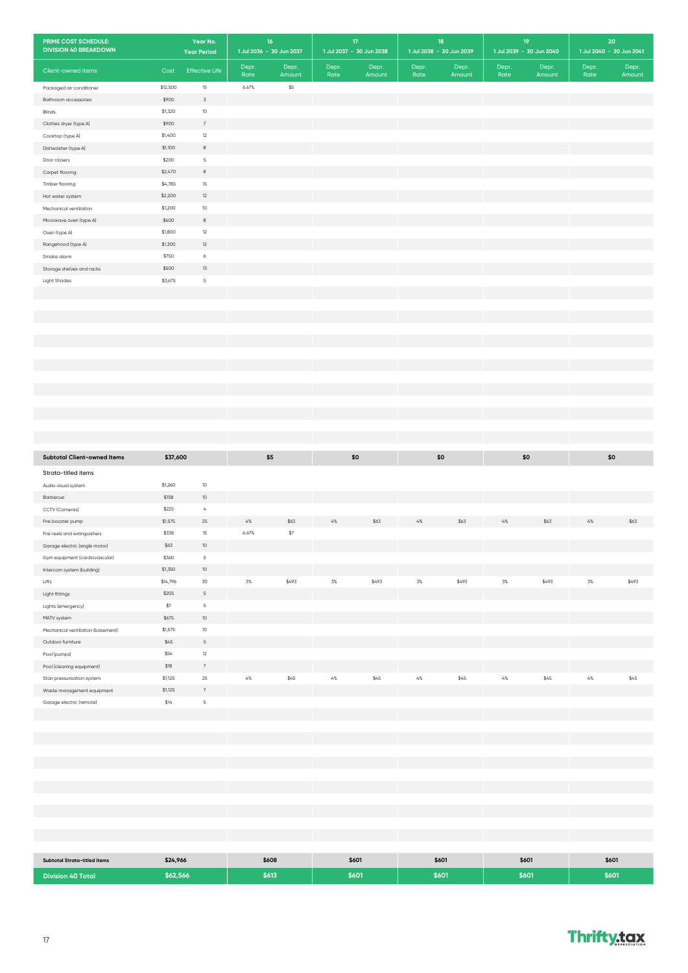| PRIME COST SCHEDULE:<br><b>DIVISION 40 BREAKDOWN</b> |                   | Year No.<br><b>Year Period</b> |       | 16 <sub>1</sub><br>1 Jul 2036 - 30 Jun 2037 |       | $17\,$<br>1 Jul 2037 - 30 Jun 2038 | 18<br>1 Jul 2038 - 30 Jun 2039 |        | 19<br>1 Jul 2039 - 30 Jun 2040 |        |       | 20<br>1 Jul 2040 - 30 Jun 2041 |
|------------------------------------------------------|-------------------|--------------------------------|-------|---------------------------------------------|-------|------------------------------------|--------------------------------|--------|--------------------------------|--------|-------|--------------------------------|
|                                                      |                   |                                | Depr. | Depr.                                       | Depr. | Depr.                              | Depr.                          | Depr.  | Depr.                          | Depr.  | Depr. | Depr.                          |
| Client-owned items                                   | Cost              | <b>Effective Life</b>          | Rate  | Amount                                      | Rate  | Amount                             | Rate                           | Amount | Rate                           | Amount | Rate  | Amount                         |
| Packaged air conditioner                             | \$12,500          | $15\,$<br>$\mathfrak Z$        | 6.67% | \$5                                         |       |                                    |                                |        |                                |        |       |                                |
| Bathroom accessories<br>Blinds                       | \$900<br>\$1,320  | $10\,$                         |       |                                             |       |                                    |                                |        |                                |        |       |                                |
| Clothes dryer (type A)                               | \$900             | $7\overline{ }$                |       |                                             |       |                                    |                                |        |                                |        |       |                                |
| Cooktop (type A)                                     | \$1,400           | $12\,$                         |       |                                             |       |                                    |                                |        |                                |        |       |                                |
| Dishwasher (type A)                                  | \$1,100           | $^{\rm 8}$                     |       |                                             |       |                                    |                                |        |                                |        |       |                                |
| Door closers                                         | \$200             | $\mathsf S$                    |       |                                             |       |                                    |                                |        |                                |        |       |                                |
| Carpet flooring                                      | \$2,470           | $^{\rm 8}$                     |       |                                             |       |                                    |                                |        |                                |        |       |                                |
| Timber flooring                                      | \$4,785           | 15                             |       |                                             |       |                                    |                                |        |                                |        |       |                                |
| Hot water system                                     | \$2,200           | $12\,$<br>$10$                 |       |                                             |       |                                    |                                |        |                                |        |       |                                |
| Mechanical ventilation<br>Microwave oven (type A)    | \$1,200<br>\$600  | 8                              |       |                                             |       |                                    |                                |        |                                |        |       |                                |
| Oven (type A)                                        | \$1,800           | $12\,$                         |       |                                             |       |                                    |                                |        |                                |        |       |                                |
| Rangehood (type A)                                   | \$1,300           | 12                             |       |                                             |       |                                    |                                |        |                                |        |       |                                |
| Smoke alarm                                          | \$750             | 6                              |       |                                             |       |                                    |                                |        |                                |        |       |                                |
| Storage shelves and racks                            | \$500             | 13                             |       |                                             |       |                                    |                                |        |                                |        |       |                                |
| Light Shades                                         | \$3,675           | $\mathsf S$                    |       |                                             |       |                                    |                                |        |                                |        |       |                                |
|                                                      |                   |                                |       |                                             |       |                                    |                                |        |                                |        |       |                                |
|                                                      |                   |                                |       |                                             |       |                                    |                                |        |                                |        |       |                                |
|                                                      |                   |                                |       |                                             |       |                                    |                                |        |                                |        |       |                                |
|                                                      |                   |                                |       |                                             |       |                                    |                                |        |                                |        |       |                                |
|                                                      |                   |                                |       |                                             |       |                                    |                                |        |                                |        |       |                                |
|                                                      |                   |                                |       |                                             |       |                                    |                                |        |                                |        |       |                                |
|                                                      |                   |                                |       |                                             |       |                                    |                                |        |                                |        |       |                                |
|                                                      |                   |                                |       |                                             |       |                                    |                                |        |                                |        |       |                                |
|                                                      |                   |                                |       |                                             |       |                                    |                                |        |                                |        |       |                                |
|                                                      |                   |                                |       |                                             |       |                                    |                                |        |                                |        |       |                                |
|                                                      |                   |                                |       |                                             |       |                                    |                                |        |                                |        |       |                                |
|                                                      |                   |                                |       |                                             |       |                                    |                                |        |                                |        |       |                                |
| <b>Subtotal Client-owned Items</b>                   | \$37,600          |                                | \$5   |                                             |       | \$0                                | \$0                            |        | \$0                            |        |       | \$0                            |
| Strata-titled items                                  |                   |                                |       |                                             |       |                                    |                                |        |                                |        |       |                                |
| Audio visual system                                  | \$1,260           | $10$                           |       |                                             |       |                                    |                                |        |                                |        |       |                                |
| Barbecue                                             | \$158             | $10$                           |       |                                             |       |                                    |                                |        |                                |        |       |                                |
| CCTV (Cameras)                                       | \$225             | $\mathcal{L}_{b}$              |       |                                             |       |                                    |                                |        |                                |        |       |                                |
| Fire booster pump                                    | \$1,575           | 25                             | $4\%$ | \$63                                        | $4\%$ | \$63                               | $4\%$                          | \$63   | $4\%$                          | \$63   | $4\%$ | \$63                           |
| Fire reels and extinguishers                         | \$338             | $15\,$                         | 6.67% | $$7\,$                                      |       |                                    |                                |        |                                |        |       |                                |
| Garage electric (single motor)                       | \$63              | 10 <sup>°</sup>                |       |                                             |       |                                    |                                |        |                                |        |       |                                |
| Gym equipment (cardiovascular)                       | \$360             | $\mathsf S$                    |       |                                             |       |                                    |                                |        |                                |        |       |                                |
| Intercom system (building)                           | \$1,350           | $10\,$                         |       |                                             |       |                                    |                                |        |                                |        |       |                                |
| Lifts<br>Light fittings                              | \$14,796<br>\$205 | 30<br>$\mathsf S$              | $3\%$ | \$493                                       | 3%    | \$493                              | 3%                             | \$493  | 3%                             | \$493  | 3%    | \$493                          |
| Lights (emergency)                                   | $$7\,$            | $\mathsf S$                    |       |                                             |       |                                    |                                |        |                                |        |       |                                |
| MATV system                                          | \$675             | $10\,$                         |       |                                             |       |                                    |                                |        |                                |        |       |                                |
| Mechanical ventilation (basement)                    | \$1,575           | $10\,$                         |       |                                             |       |                                    |                                |        |                                |        |       |                                |
| Outdoor furniture                                    | \$45              | $\mathsf S$                    |       |                                             |       |                                    |                                |        |                                |        |       |                                |
| Pool (pumps)                                         | \$54              | $12\,$                         |       |                                             |       |                                    |                                |        |                                |        |       |                                |
| Pool (cleaning equipment)                            | \$18              | $\scriptstyle\rm 7$            |       |                                             |       |                                    |                                |        |                                |        |       |                                |
| Stair pressurisation system                          | \$1,125           | 25                             | $4\%$ | \$45                                        | $4\%$ | \$45                               | $4\%$                          | \$45   | $4\%$                          | \$45   | $4\%$ | \$45                           |
| Waste management equipment                           | \$1,125           | $\overline{\phantom{a}}$       |       |                                             |       |                                    |                                |        |                                |        |       |                                |
| Garage electric (remote)                             | \$14              | $\mathsf S$                    |       |                                             |       |                                    |                                |        |                                |        |       |                                |
|                                                      |                   |                                |       |                                             |       |                                    |                                |        |                                |        |       |                                |
|                                                      |                   |                                |       |                                             |       |                                    |                                |        |                                |        |       |                                |
|                                                      |                   |                                |       |                                             |       |                                    |                                |        |                                |        |       |                                |
|                                                      |                   |                                |       |                                             |       |                                    |                                |        |                                |        |       |                                |
|                                                      |                   |                                |       |                                             |       |                                    |                                |        |                                |        |       |                                |
|                                                      |                   |                                |       |                                             |       |                                    |                                |        |                                |        |       |                                |
|                                                      |                   |                                |       |                                             |       |                                    |                                |        |                                |        |       |                                |
|                                                      |                   |                                |       |                                             |       |                                    |                                |        |                                |        |       |                                |
|                                                      |                   |                                |       |                                             |       |                                    |                                |        |                                |        |       |                                |
|                                                      |                   |                                |       |                                             |       |                                    |                                |        |                                |        |       |                                |
| Subtotal Strata-titled items                         | \$24,966          |                                |       | \$608                                       |       | \$601                              | \$601                          |        | \$601                          |        |       | \$601                          |
| <b>Division 40 Total</b>                             | \$62,566          |                                |       | \$613                                       |       | \$601                              | \$601                          |        | \$601                          |        |       | \$601                          |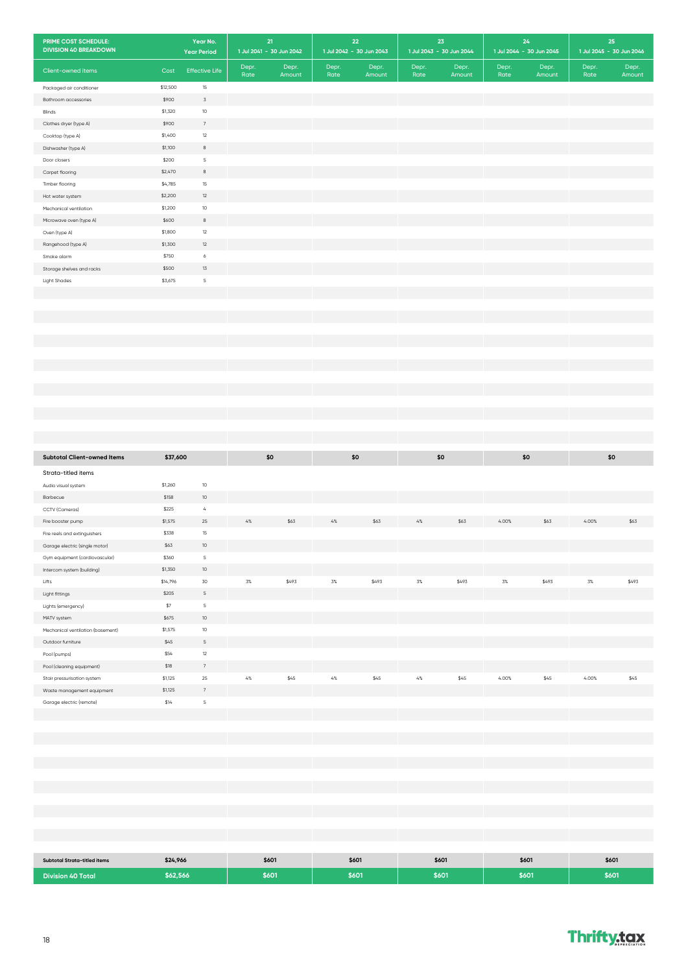| PRIME COST SCHEDULE:<br><b>DIVISION 40 BREAKDOWN</b> |                   | Year No.<br><b>Year Period</b> | 21<br>1 Jul 2041 - 30 Jun 2042 |        | 22<br>1 Jul 2042 - 30 Jun 2043 |        | 23<br>1 Jul 2043 - 30 Jun 2044 |        | $24$<br>1 Jul 2044 - 30 Jun 2045 |        |       | 25<br>1 Jul 2045 - 30 Jun 2046 |
|------------------------------------------------------|-------------------|--------------------------------|--------------------------------|--------|--------------------------------|--------|--------------------------------|--------|----------------------------------|--------|-------|--------------------------------|
|                                                      |                   |                                | Depr.                          | Depr.  | Depr.                          | Depr.  | Depr.                          | Depr.  | Depr.                            | Depr.  | Depr. | Depr.                          |
| Client-owned items                                   | Cost              | <b>Effective Life</b>          | Rate                           | Amount | Rate                           | Amount | Rate                           | Amount | Rate                             | Amount | Rate  | Amount                         |
| Packaged air conditioner                             | \$12,500<br>\$900 | 15<br>$\overline{3}$           |                                |        |                                |        |                                |        |                                  |        |       |                                |
| Bathroom accessories<br>Blinds                       | \$1,320           | $10$                           |                                |        |                                |        |                                |        |                                  |        |       |                                |
| Clothes dryer (type A)                               | \$900             | $7\phantom{.}$                 |                                |        |                                |        |                                |        |                                  |        |       |                                |
| Cooktop (type A)                                     | \$1,400           | $12\,$                         |                                |        |                                |        |                                |        |                                  |        |       |                                |
| Dishwasher (type A)                                  | \$1,100           | 8                              |                                |        |                                |        |                                |        |                                  |        |       |                                |
| Door closers                                         | \$200             | $\mathsf S$                    |                                |        |                                |        |                                |        |                                  |        |       |                                |
| Carpet flooring                                      | \$2,470           | 8                              |                                |        |                                |        |                                |        |                                  |        |       |                                |
| Timber flooring                                      | \$4,785           | 15                             |                                |        |                                |        |                                |        |                                  |        |       |                                |
| Hot water system                                     | \$2,200           | 12                             |                                |        |                                |        |                                |        |                                  |        |       |                                |
| Mechanical ventilation                               | \$1,200           | $10$                           |                                |        |                                |        |                                |        |                                  |        |       |                                |
| Microwave oven (type A)                              | \$600             | 8                              |                                |        |                                |        |                                |        |                                  |        |       |                                |
| Oven (type A)                                        | \$1,800           | $12\,$<br>12                   |                                |        |                                |        |                                |        |                                  |        |       |                                |
| Rangehood (type A)<br>Smoke alarm                    | \$1,300<br>\$750  | 6                              |                                |        |                                |        |                                |        |                                  |        |       |                                |
| Storage shelves and racks                            | \$500             | $13\,$                         |                                |        |                                |        |                                |        |                                  |        |       |                                |
| Light Shades                                         | \$3,675           | $\mathsf S$                    |                                |        |                                |        |                                |        |                                  |        |       |                                |
|                                                      |                   |                                |                                |        |                                |        |                                |        |                                  |        |       |                                |
|                                                      |                   |                                |                                |        |                                |        |                                |        |                                  |        |       |                                |
|                                                      |                   |                                |                                |        |                                |        |                                |        |                                  |        |       |                                |
|                                                      |                   |                                |                                |        |                                |        |                                |        |                                  |        |       |                                |
|                                                      |                   |                                |                                |        |                                |        |                                |        |                                  |        |       |                                |
|                                                      |                   |                                |                                |        |                                |        |                                |        |                                  |        |       |                                |
|                                                      |                   |                                |                                |        |                                |        |                                |        |                                  |        |       |                                |
|                                                      |                   |                                |                                |        |                                |        |                                |        |                                  |        |       |                                |
|                                                      |                   |                                |                                |        |                                |        |                                |        |                                  |        |       |                                |
|                                                      |                   |                                |                                |        |                                |        |                                |        |                                  |        |       |                                |
|                                                      |                   |                                |                                |        |                                |        |                                |        |                                  |        |       |                                |
|                                                      |                   |                                |                                |        |                                |        |                                |        |                                  |        |       |                                |
|                                                      |                   |                                |                                |        |                                |        |                                |        |                                  |        |       |                                |
| <b>Subtotal Client-owned Items</b>                   | \$37,600          |                                | \$0                            |        | \$0                            |        | \$0                            |        | \$0                              |        |       | \$0                            |
| Strata-titled items                                  |                   |                                |                                |        |                                |        |                                |        |                                  |        |       |                                |
| Audio visual system                                  | \$1,260           | $10$                           |                                |        |                                |        |                                |        |                                  |        |       |                                |
| Barbecue                                             | \$158             | $10$                           |                                |        |                                |        |                                |        |                                  |        |       |                                |
| CCTV (Cameras)                                       | \$225             | $\mathcal{L}_{b}$              |                                |        |                                |        |                                |        |                                  |        |       |                                |
| Fire booster pump                                    | \$1,575           | $25\,$                         | $4\%$                          | \$63   | $4\%$                          | \$63   | $4\%$                          | \$63   | 4.00%                            | \$63   | 4.00% | \$63                           |
| Fire reels and extinguishers                         | \$338             | $15\,$                         |                                |        |                                |        |                                |        |                                  |        |       |                                |
| Garage electric (single motor)                       | \$63              | $10$                           |                                |        |                                |        |                                |        |                                  |        |       |                                |
| Gym equipment (cardiovascular)                       | \$360             | $\mathsf S$                    |                                |        |                                |        |                                |        |                                  |        |       |                                |
| Intercom system (building)                           | \$1,350           | $10\,$                         |                                |        |                                |        |                                |        |                                  |        |       |                                |
| Lifts                                                | \$14,796<br>\$205 | 30<br>$\mathsf S$              | $3\%$                          | \$493  | 3%                             | \$493  | 3%                             | \$493  | 3%                               | \$493  | 3%    | \$493                          |
| Light fittings                                       |                   | $\mathsf S$                    |                                |        |                                |        |                                |        |                                  |        |       |                                |
| Lights (emergency)<br>MATV system                    | $\$7$<br>\$675    | $10\,$                         |                                |        |                                |        |                                |        |                                  |        |       |                                |
| Mechanical ventilation (basement)                    | \$1,575           | 10                             |                                |        |                                |        |                                |        |                                  |        |       |                                |
| Outdoor furniture                                    | \$45              | $\mathsf S$                    |                                |        |                                |        |                                |        |                                  |        |       |                                |
| Pool (pumps)                                         | \$54              | $12\,$                         |                                |        |                                |        |                                |        |                                  |        |       |                                |
| Pool (cleaning equipment)                            | \$18              | $\overline{7}$                 |                                |        |                                |        |                                |        |                                  |        |       |                                |
| Stair pressurisation system                          | \$1,125           | 25                             | $4\%$                          | \$45   | $4\%$                          | \$45   | $4\%$                          | \$45   | 4.00%                            | \$45   | 4.00% | \$45                           |
| Waste management equipment                           | \$1,125           | $\sqrt{ }$                     |                                |        |                                |        |                                |        |                                  |        |       |                                |
| Garage electric (remote)                             | \$14              | $\sf S$                        |                                |        |                                |        |                                |        |                                  |        |       |                                |
|                                                      |                   |                                |                                |        |                                |        |                                |        |                                  |        |       |                                |
|                                                      |                   |                                |                                |        |                                |        |                                |        |                                  |        |       |                                |
|                                                      |                   |                                |                                |        |                                |        |                                |        |                                  |        |       |                                |
|                                                      |                   |                                |                                |        |                                |        |                                |        |                                  |        |       |                                |
|                                                      |                   |                                |                                |        |                                |        |                                |        |                                  |        |       |                                |
|                                                      |                   |                                |                                |        |                                |        |                                |        |                                  |        |       |                                |
|                                                      |                   |                                |                                |        |                                |        |                                |        |                                  |        |       |                                |
|                                                      |                   |                                |                                |        |                                |        |                                |        |                                  |        |       |                                |
|                                                      |                   |                                |                                |        |                                |        |                                |        |                                  |        |       |                                |
|                                                      |                   |                                |                                |        |                                |        |                                |        |                                  |        |       |                                |
|                                                      |                   |                                |                                |        |                                |        |                                |        |                                  |        |       |                                |
| <b>Subtotal Strata-titled items</b>                  | \$24,966          |                                | \$601                          |        | \$601                          |        | \$601                          |        | \$601                            |        |       | \$601                          |
| <b>Division 40 Total</b>                             | \$62,566          |                                |                                | \$601  | \$601                          |        | \$601                          |        | \$601                            |        |       | \$601                          |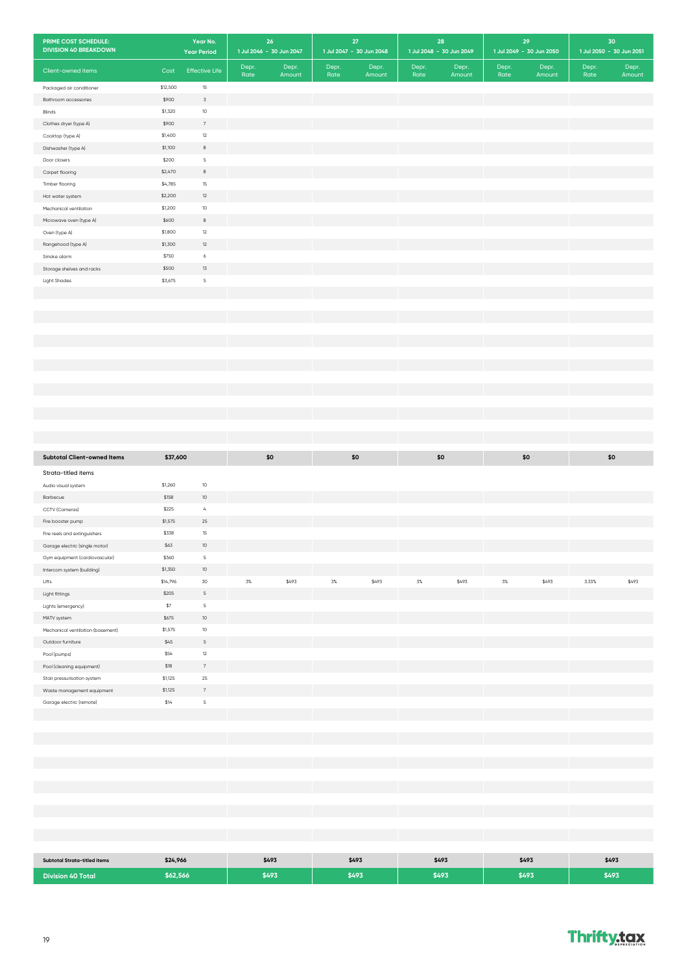| PRIME COST SCHEDULE:<br><b>DIVISION 40 BREAKDOWN</b> |                   | Year No.<br><b>Year Period</b> | 26<br>1 Jul 2046 - 30 Jun 2047 |        |       | $27\,$<br>1 Jul 2047 - 30 Jun 2048 |       | ${\bf 28}$<br>1 Jul 2048 - 30 Jun 2049 |       | 29<br>1 Jul 2049 - 30 Jun 2050 | 30<br>1 Jul 2050 - 30 Jun 2051 |        |
|------------------------------------------------------|-------------------|--------------------------------|--------------------------------|--------|-------|------------------------------------|-------|----------------------------------------|-------|--------------------------------|--------------------------------|--------|
| Client-owned items                                   | Cost              | <b>Effective Life</b>          | Depr.                          | Depr.  | Depr. | Depr.                              | Depr. | Depr.                                  | Depr. | Depr.                          | Depr.                          | Depr.  |
| Packaged air conditioner                             | \$12,500          | 15                             | Rate                           | Amount | Rate  | Amount                             | Rate  | Amount                                 | Rate  | Amount                         | Rate                           | Amount |
| Bathroom accessories                                 | \$900             | $\mathfrak{Z}$                 |                                |        |       |                                    |       |                                        |       |                                |                                |        |
| Blinds                                               | \$1,320           | $10\,$                         |                                |        |       |                                    |       |                                        |       |                                |                                |        |
| Clothes dryer (type A)                               | \$900             | $\overline{\phantom{a}}$       |                                |        |       |                                    |       |                                        |       |                                |                                |        |
| Cooktop (type A)                                     | \$1,400           | $12\,$                         |                                |        |       |                                    |       |                                        |       |                                |                                |        |
| Dishwasher (type A)                                  | \$1,100           | $^{\rm 8}$                     |                                |        |       |                                    |       |                                        |       |                                |                                |        |
| Door closers                                         | \$200             | $\mathsf S$                    |                                |        |       |                                    |       |                                        |       |                                |                                |        |
| Carpet flooring                                      | \$2,470           | $\bf8$                         |                                |        |       |                                    |       |                                        |       |                                |                                |        |
| Timber flooring                                      | \$4,785           | $15\,$                         |                                |        |       |                                    |       |                                        |       |                                |                                |        |
| Hot water system                                     | \$2,200           | $12\,$                         |                                |        |       |                                    |       |                                        |       |                                |                                |        |
| Mechanical ventilation                               | \$1,200           | $10$                           |                                |        |       |                                    |       |                                        |       |                                |                                |        |
| Microwave oven (type A)                              | \$600             | $^{\rm 8}$                     |                                |        |       |                                    |       |                                        |       |                                |                                |        |
| Oven (type A)                                        | \$1,800           | $12\,$                         |                                |        |       |                                    |       |                                        |       |                                |                                |        |
| Rangehood (type A)                                   | \$1,300           | $12\,$                         |                                |        |       |                                    |       |                                        |       |                                |                                |        |
| Smoke alarm                                          | \$750             | $\acute{\rm{o}}$               |                                |        |       |                                    |       |                                        |       |                                |                                |        |
| Storage shelves and racks                            | \$500             | $13\,$                         |                                |        |       |                                    |       |                                        |       |                                |                                |        |
| Light Shades                                         | \$3,675           | $\mathsf S$                    |                                |        |       |                                    |       |                                        |       |                                |                                |        |
|                                                      |                   |                                |                                |        |       |                                    |       |                                        |       |                                |                                |        |
|                                                      |                   |                                |                                |        |       |                                    |       |                                        |       |                                |                                |        |
|                                                      |                   |                                |                                |        |       |                                    |       |                                        |       |                                |                                |        |
|                                                      |                   |                                |                                |        |       |                                    |       |                                        |       |                                |                                |        |
|                                                      |                   |                                |                                |        |       |                                    |       |                                        |       |                                |                                |        |
|                                                      |                   |                                |                                |        |       |                                    |       |                                        |       |                                |                                |        |
|                                                      |                   |                                |                                |        |       |                                    |       |                                        |       |                                |                                |        |
|                                                      |                   |                                |                                |        |       |                                    |       |                                        |       |                                |                                |        |
|                                                      |                   |                                |                                |        |       |                                    |       |                                        |       |                                |                                |        |
|                                                      |                   |                                |                                |        |       |                                    |       |                                        |       |                                |                                |        |
|                                                      |                   |                                |                                |        |       |                                    |       |                                        |       |                                |                                |        |
|                                                      |                   |                                |                                |        |       |                                    |       |                                        |       |                                |                                |        |
|                                                      |                   |                                |                                |        |       |                                    |       |                                        |       |                                |                                |        |
| <b>Subtotal Client-owned Items</b>                   | \$37,600          |                                | \$0                            |        |       | \$0                                |       | \$0                                    |       | \$0                            | \$0                            |        |
| Strata-titled items                                  |                   |                                |                                |        |       |                                    |       |                                        |       |                                |                                |        |
| Audio visual system                                  | \$1,260           | $10$                           |                                |        |       |                                    |       |                                        |       |                                |                                |        |
| Barbecue                                             | \$158             | $10\,$                         |                                |        |       |                                    |       |                                        |       |                                |                                |        |
| CCTV (Cameras)                                       | \$225             | $\mathcal{L}_{\mathbf{i}}$     |                                |        |       |                                    |       |                                        |       |                                |                                |        |
| Fire booster pump                                    | \$1,575           | 25                             |                                |        |       |                                    |       |                                        |       |                                |                                |        |
| Fire reels and extinguishers                         | \$338             | 15                             |                                |        |       |                                    |       |                                        |       |                                |                                |        |
| Garage electric (single motor)                       | \$63              | $10$                           |                                |        |       |                                    |       |                                        |       |                                |                                |        |
| Gym equipment (cardiovascular)                       | \$360             | $\mathsf S$                    |                                |        |       |                                    |       |                                        |       |                                |                                |        |
| Intercom system (building)                           | \$1,350           | $10\,$                         |                                |        |       |                                    |       |                                        |       |                                |                                |        |
| Lifts<br>Light fittings                              | \$14,796<br>\$205 | 30<br>$\overline{5}$           | $3\%$                          | \$493  | $3\%$ | \$493                              | 3%    | \$493                                  | 3%    | \$493                          | 3.33%                          | \$493  |
|                                                      | $$7\,$            | $\mathsf S$                    |                                |        |       |                                    |       |                                        |       |                                |                                |        |
| Lights (emergency)<br>MATV system                    | \$675             | $10$                           |                                |        |       |                                    |       |                                        |       |                                |                                |        |
| Mechanical ventilation (basement)                    | \$1,575           | $10\,$                         |                                |        |       |                                    |       |                                        |       |                                |                                |        |
| Outdoor furniture                                    | \$45              | $\mathsf S$                    |                                |        |       |                                    |       |                                        |       |                                |                                |        |
| Pool (pumps)                                         | \$54              | $12\,$                         |                                |        |       |                                    |       |                                        |       |                                |                                |        |
| Pool (cleaning equipment)                            | \$18              | $\scriptstyle{7}$              |                                |        |       |                                    |       |                                        |       |                                |                                |        |
| Stair pressurisation system                          | \$1,125           | 25                             |                                |        |       |                                    |       |                                        |       |                                |                                |        |
| Waste management equipment                           | \$1,125           | $\scriptstyle{7}$              |                                |        |       |                                    |       |                                        |       |                                |                                |        |
| Garage electric (remote)                             | \$14              | $\mathsf S$                    |                                |        |       |                                    |       |                                        |       |                                |                                |        |
|                                                      |                   |                                |                                |        |       |                                    |       |                                        |       |                                |                                |        |
|                                                      |                   |                                |                                |        |       |                                    |       |                                        |       |                                |                                |        |
|                                                      |                   |                                |                                |        |       |                                    |       |                                        |       |                                |                                |        |
|                                                      |                   |                                |                                |        |       |                                    |       |                                        |       |                                |                                |        |
|                                                      |                   |                                |                                |        |       |                                    |       |                                        |       |                                |                                |        |
|                                                      |                   |                                |                                |        |       |                                    |       |                                        |       |                                |                                |        |
|                                                      |                   |                                |                                |        |       |                                    |       |                                        |       |                                |                                |        |
|                                                      |                   |                                |                                |        |       |                                    |       |                                        |       |                                |                                |        |
|                                                      |                   |                                |                                |        |       |                                    |       |                                        |       |                                |                                |        |
|                                                      |                   |                                |                                |        |       |                                    |       |                                        |       |                                |                                |        |
|                                                      |                   |                                |                                |        |       |                                    |       |                                        |       |                                |                                |        |
|                                                      |                   |                                |                                |        |       |                                    |       |                                        |       |                                |                                |        |
| <b>Subtotal Strata-titled items</b>                  | \$24,966          |                                | \$493                          |        |       | \$493                              |       | \$493                                  |       | \$493                          | \$493                          |        |
| <b>Division 40 Total</b>                             | \$62,566          |                                | \$493                          |        |       | \$493                              |       | \$493                                  |       | \$493                          | \$493                          |        |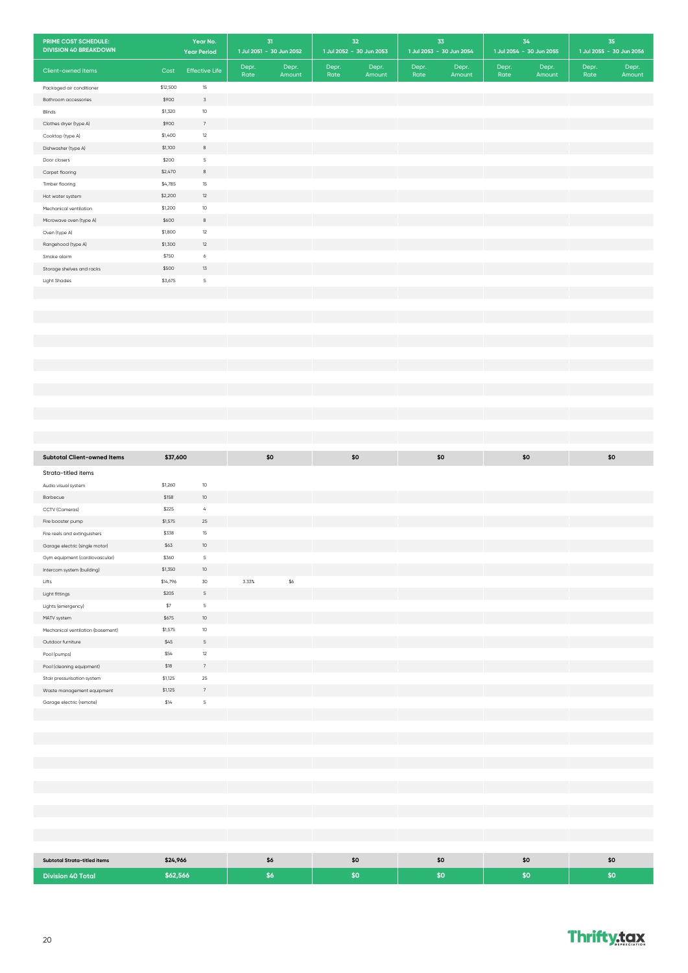| PRIME COST SCHEDULE:<br><b>DIVISION 40 BREAKDOWN</b> |          | Year No.<br><b>Year Period</b> |               | $31$<br>1 Jul 2051 - 30 Jun 2052 | 32<br>1 Jul 2052 - 30 Jun 2053   | 33<br>1 Jul 2053 - 30 Jun 2054   | 34<br>1 Jul 2054 - 30 Jun 2055   | 35<br>1 Jul 2055 - 30 Jun 2056   |
|------------------------------------------------------|----------|--------------------------------|---------------|----------------------------------|----------------------------------|----------------------------------|----------------------------------|----------------------------------|
| Client-owned items                                   | Cost     | <b>Effective Life</b>          | Depr.<br>Rate | Depr.<br>Amount                  | Depr.<br>Depr.<br>Rate<br>Amount | Depr.<br>Depr.<br>Rate<br>Amount | Depr.<br>Depr.<br>Rate<br>Amount | Depr.<br>Depr.<br>Rate<br>Amount |
| Packaged air conditioner                             | \$12,500 | 15                             |               |                                  |                                  |                                  |                                  |                                  |
| Bathroom accessories                                 | \$900    | 3                              |               |                                  |                                  |                                  |                                  |                                  |
| Blinds                                               | \$1,320  | $10$                           |               |                                  |                                  |                                  |                                  |                                  |
| Clothes dryer (type A)                               | \$900    | $\overline{7}$                 |               |                                  |                                  |                                  |                                  |                                  |
| Cooktop (type A)                                     | \$1,400  | 12                             |               |                                  |                                  |                                  |                                  |                                  |
| Dishwasher (type A)                                  | \$1,100  | $^{\rm 8}$                     |               |                                  |                                  |                                  |                                  |                                  |
| Door closers                                         | \$200    | $\mathsf S$                    |               |                                  |                                  |                                  |                                  |                                  |
| Carpet flooring                                      | \$2,470  | $^{\rm 8}$                     |               |                                  |                                  |                                  |                                  |                                  |
| Timber flooring                                      | \$4,785  | $15\,$                         |               |                                  |                                  |                                  |                                  |                                  |
| Hot water system                                     | \$2,200  | $12\,$                         |               |                                  |                                  |                                  |                                  |                                  |
| Mechanical ventilation                               | \$1,200  | $10\,$                         |               |                                  |                                  |                                  |                                  |                                  |
| Microwave oven (type A)                              | \$600    | $_{\rm 8}$                     |               |                                  |                                  |                                  |                                  |                                  |
| Oven (type A)                                        | \$1,800  | 12                             |               |                                  |                                  |                                  |                                  |                                  |
| Rangehood (type A)                                   | \$1,300  | $12\,$                         |               |                                  |                                  |                                  |                                  |                                  |
| Smoke alarm                                          | \$750    | $\acute{\rm{o}}$               |               |                                  |                                  |                                  |                                  |                                  |
| Storage shelves and racks                            | \$500    | 13                             |               |                                  |                                  |                                  |                                  |                                  |
| <b>Light Shades</b>                                  | \$3,675  | $\sf S$                        |               |                                  |                                  |                                  |                                  |                                  |
|                                                      |          |                                |               |                                  |                                  |                                  |                                  |                                  |
|                                                      |          |                                |               |                                  |                                  |                                  |                                  |                                  |
|                                                      |          |                                |               |                                  |                                  |                                  |                                  |                                  |
|                                                      |          |                                |               |                                  |                                  |                                  |                                  |                                  |
|                                                      |          |                                |               |                                  |                                  |                                  |                                  |                                  |
|                                                      |          |                                |               |                                  |                                  |                                  |                                  |                                  |
|                                                      |          |                                |               |                                  |                                  |                                  |                                  |                                  |
|                                                      |          |                                |               |                                  |                                  |                                  |                                  |                                  |
|                                                      |          |                                |               |                                  |                                  |                                  |                                  |                                  |
|                                                      |          |                                |               |                                  |                                  |                                  |                                  |                                  |
|                                                      |          |                                |               |                                  |                                  |                                  |                                  |                                  |
|                                                      |          |                                |               |                                  |                                  |                                  |                                  |                                  |
|                                                      |          |                                |               |                                  |                                  |                                  |                                  |                                  |
|                                                      |          |                                |               |                                  |                                  |                                  |                                  |                                  |
| <b>Subtotal Client-owned Items</b>                   | \$37,600 |                                |               | \$0                              | \$0                              | \$0                              | \$0                              | \$0                              |
| Strata-titled items                                  |          |                                |               |                                  |                                  |                                  |                                  |                                  |
| Audio visual system                                  | \$1,260  | $10\,$                         |               |                                  |                                  |                                  |                                  |                                  |
| Barbecue                                             | \$158    | $10\,$                         |               |                                  |                                  |                                  |                                  |                                  |
| CCTV (Cameras)                                       | \$225    | $\mathcal{L}_{\!s}$            |               |                                  |                                  |                                  |                                  |                                  |
| Fire booster pump                                    | \$1,575  | 25                             |               |                                  |                                  |                                  |                                  |                                  |
| Fire reels and extinguishers                         | \$338    | 15                             |               |                                  |                                  |                                  |                                  |                                  |
| Garage electric (single motor)                       | \$63     | 10                             |               |                                  |                                  |                                  |                                  |                                  |
| Gym equipment (cardiovascular)                       | \$360    | $\mathsf S$                    |               |                                  |                                  |                                  |                                  |                                  |
| Intercom system (building)                           | \$1,350  | $10\,$                         |               |                                  |                                  |                                  |                                  |                                  |
| Lifts                                                | \$14,796 | 30                             | 3.33%         | $$6\,$                           |                                  |                                  |                                  |                                  |
| Light fittings                                       | \$205    | $\mathsf S$                    |               |                                  |                                  |                                  |                                  |                                  |
| Lights (emergency)                                   | \$7      | $\mathsf S$                    |               |                                  |                                  |                                  |                                  |                                  |
| MATV system                                          | \$675    | $10\,$                         |               |                                  |                                  |                                  |                                  |                                  |
| Mechanical ventilation (basement)                    | \$1,575  | $10$                           |               |                                  |                                  |                                  |                                  |                                  |
| Outdoor furniture                                    | \$45     | $\mathsf S$                    |               |                                  |                                  |                                  |                                  |                                  |
| Pool (pumps)                                         | \$54     | $12\,$                         |               |                                  |                                  |                                  |                                  |                                  |
| Pool (cleaning equipment)                            | \$18     | $7\phantom{.}$                 |               |                                  |                                  |                                  |                                  |                                  |
| Stair pressurisation system                          | \$1,125  | $25\,$                         |               |                                  |                                  |                                  |                                  |                                  |
| Waste management equipment                           | \$1,125  | $\scriptstyle{7}$              |               |                                  |                                  |                                  |                                  |                                  |
| Garage electric (remote)                             | \$14     | $\sf S$                        |               |                                  |                                  |                                  |                                  |                                  |
|                                                      |          |                                |               |                                  |                                  |                                  |                                  |                                  |
|                                                      |          |                                |               |                                  |                                  |                                  |                                  |                                  |
|                                                      |          |                                |               |                                  |                                  |                                  |                                  |                                  |
|                                                      |          |                                |               |                                  |                                  |                                  |                                  |                                  |
|                                                      |          |                                |               |                                  |                                  |                                  |                                  |                                  |
|                                                      |          |                                |               |                                  |                                  |                                  |                                  |                                  |
|                                                      |          |                                |               |                                  |                                  |                                  |                                  |                                  |
|                                                      |          |                                |               |                                  |                                  |                                  |                                  |                                  |
|                                                      |          |                                |               |                                  |                                  |                                  |                                  |                                  |
|                                                      |          |                                |               |                                  |                                  |                                  |                                  |                                  |
|                                                      |          |                                |               |                                  |                                  |                                  |                                  |                                  |
|                                                      |          |                                |               |                                  |                                  |                                  |                                  |                                  |
| <b>Subtotal Strata-titled items</b>                  | \$24,966 |                                |               | \$6                              | \$0                              | \$0                              | \$0                              | \$0                              |
| <b>Division 40 Total</b>                             | \$62,566 |                                |               | \$6                              | \$0                              | \$0                              | \$0                              | \$0                              |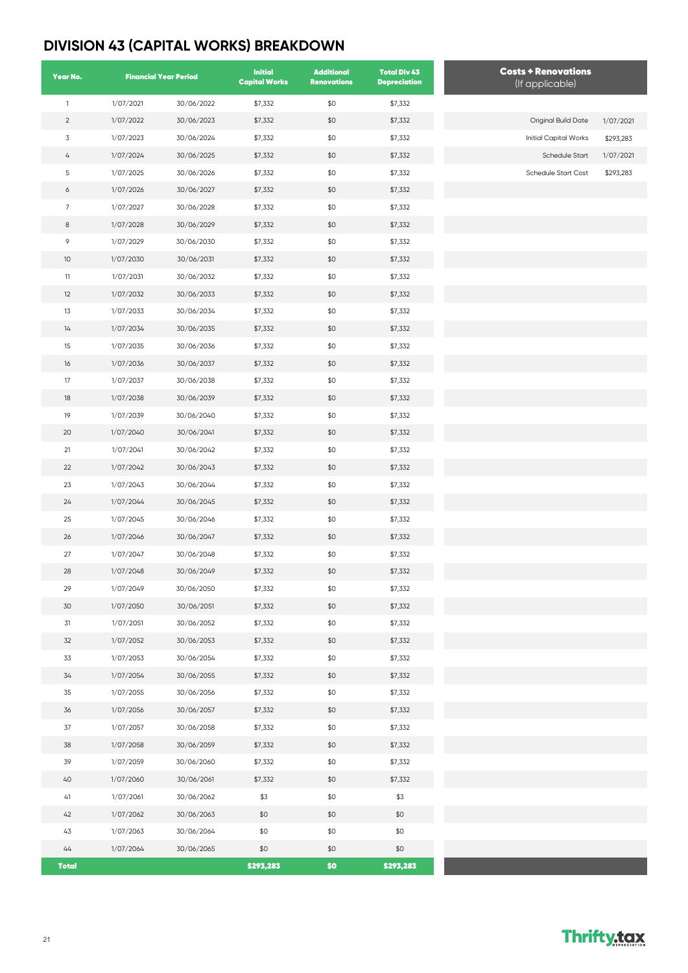## **DIVISION 43 (CAPITAL WORKS) BREAKDOWN**

| Year No.       |           | <b>Financial Year Period</b> | <b>Initial</b><br><b>Capital Works</b> | <b>Additional</b><br><b>Renovations</b> | <b>Total Div 43</b><br><b>Depreciation</b> | <b>Costs + Renovations</b><br>(If applicable) |           |
|----------------|-----------|------------------------------|----------------------------------------|-----------------------------------------|--------------------------------------------|-----------------------------------------------|-----------|
| $\mathbf{1}$   | 1/07/2021 | 30/06/2022                   | \$7,332                                | \$0                                     | \$7,332                                    |                                               |           |
| $\overline{2}$ | 1/07/2022 | 30/06/2023                   | \$7,332                                | \$0                                     | \$7,332                                    | Original Build Date                           | 1/07/2021 |
| $\mathsf 3$    | 1/07/2023 | 30/06/2024                   | \$7,332                                | \$0                                     | \$7,332                                    | Initial Capital Works                         | \$293,283 |
| $\overline{4}$ | 1/07/2024 | 30/06/2025                   | \$7,332                                | \$0                                     | \$7,332                                    | <b>Schedule Start</b>                         | 1/07/2021 |
| 5              | 1/07/2025 | 30/06/2026                   | \$7,332                                | \$0                                     | \$7,332                                    | Schedule Start Cost                           | \$293,283 |
| 6              | 1/07/2026 | 30/06/2027                   | \$7,332                                | \$0                                     | \$7,332                                    |                                               |           |
| $\overline{7}$ | 1/07/2027 | 30/06/2028                   | \$7,332                                | \$0                                     | \$7,332                                    |                                               |           |
| 8              | 1/07/2028 | 30/06/2029                   | \$7,332                                | \$0                                     | \$7,332                                    |                                               |           |
| 9              | 1/07/2029 | 30/06/2030                   | \$7,332                                | \$0                                     | \$7,332                                    |                                               |           |
| 10             | 1/07/2030 | 30/06/2031                   | \$7,332                                | \$0                                     | \$7,332                                    |                                               |           |
| 11             | 1/07/2031 | 30/06/2032                   | \$7,332                                | \$0                                     | \$7,332                                    |                                               |           |
| 12             | 1/07/2032 | 30/06/2033                   | \$7,332                                | \$0                                     | \$7,332                                    |                                               |           |
| 13             | 1/07/2033 | 30/06/2034                   | \$7,332                                | \$0                                     | \$7,332                                    |                                               |           |
| 14             | 1/07/2034 | 30/06/2035                   | \$7,332                                | \$0                                     | \$7,332                                    |                                               |           |
| 15             | 1/07/2035 | 30/06/2036                   | \$7,332                                | \$0                                     | \$7,332                                    |                                               |           |
| 16             | 1/07/2036 | 30/06/2037                   | \$7,332                                | \$0                                     | \$7,332                                    |                                               |           |
| 17             | 1/07/2037 | 30/06/2038                   | \$7,332                                | \$0                                     | \$7,332                                    |                                               |           |
| 18             | 1/07/2038 | 30/06/2039                   | \$7,332                                | \$0                                     | \$7,332                                    |                                               |           |
| 19             | 1/07/2039 | 30/06/2040                   | \$7,332                                | \$0                                     | \$7,332                                    |                                               |           |
| $20\,$         | 1/07/2040 | 30/06/2041                   | \$7,332                                | \$0                                     | \$7,332                                    |                                               |           |
| 21             | 1/07/2041 | 30/06/2042                   | \$7,332                                | \$0                                     | \$7,332                                    |                                               |           |
| $22\,$         | 1/07/2042 | 30/06/2043                   | \$7,332                                | \$0                                     | \$7,332                                    |                                               |           |
| 23             | 1/07/2043 | 30/06/2044                   | \$7,332                                | \$0                                     | \$7,332                                    |                                               |           |
| 24             | 1/07/2044 | 30/06/2045                   | \$7,332                                | \$0                                     | \$7,332                                    |                                               |           |
| 25             | 1/07/2045 | 30/06/2046                   | \$7,332                                | \$0                                     | \$7,332                                    |                                               |           |
| 26             | 1/07/2046 | 30/06/2047                   | \$7,332                                | \$0                                     | \$7,332                                    |                                               |           |
| 27             | 1/07/2047 | 30/06/2048                   | \$7,332                                | \$0                                     | \$7,332                                    |                                               |           |
| 28             | 1/07/2048 | 30/06/2049                   | \$7,332                                | \$0                                     | \$7,332                                    |                                               |           |
| 29             | 1/07/2049 | 30/06/2050                   | \$7,332                                | \$0                                     | \$7,332                                    |                                               |           |
| 30             | 1/07/2050 | 30/06/2051                   | \$7,332                                | \$0                                     | \$7,332                                    |                                               |           |
| 31             | 1/07/2051 | 30/06/2052                   | \$7,332                                | \$0                                     | \$7,332                                    |                                               |           |
| 32             | 1/07/2052 | 30/06/2053                   | \$7,332                                | \$0                                     | \$7,332                                    |                                               |           |
| 33             | 1/07/2053 | 30/06/2054                   | \$7,332                                | \$0                                     | \$7,332                                    |                                               |           |
| 34             | 1/07/2054 | 30/06/2055                   | \$7,332                                | \$0                                     | \$7,332                                    |                                               |           |
| 35             | 1/07/2055 | 30/06/2056                   | \$7,332                                | \$0                                     | \$7,332                                    |                                               |           |
| 36             | 1/07/2056 | 30/06/2057                   | \$7,332                                | \$0                                     | \$7,332                                    |                                               |           |
| 37             | 1/07/2057 | 30/06/2058                   | \$7,332                                | \$0                                     | \$7,332                                    |                                               |           |
| 38             | 1/07/2058 | 30/06/2059                   | \$7,332                                | \$0                                     | \$7,332                                    |                                               |           |
| 39             | 1/07/2059 | 30/06/2060                   | \$7,332                                | \$0                                     | \$7,332                                    |                                               |           |
| 40             | 1/07/2060 | 30/06/2061                   | \$7,332                                | \$0                                     | \$7,332                                    |                                               |           |
| 41             | 1/07/2061 | 30/06/2062                   | \$3                                    | \$0                                     | \$3                                        |                                               |           |
| 42             | 1/07/2062 | 30/06/2063                   | \$0                                    | \$0                                     | \$0                                        |                                               |           |
| 43             | 1/07/2063 | 30/06/2064                   | \$0                                    | \$0                                     | \$0                                        |                                               |           |
| 44             | 1/07/2064 | 30/06/2065                   | \$0                                    | \$0                                     | \$0                                        |                                               |           |
| <b>Total</b>   |           |                              | \$293,283                              | \$0                                     | \$293,283                                  |                                               |           |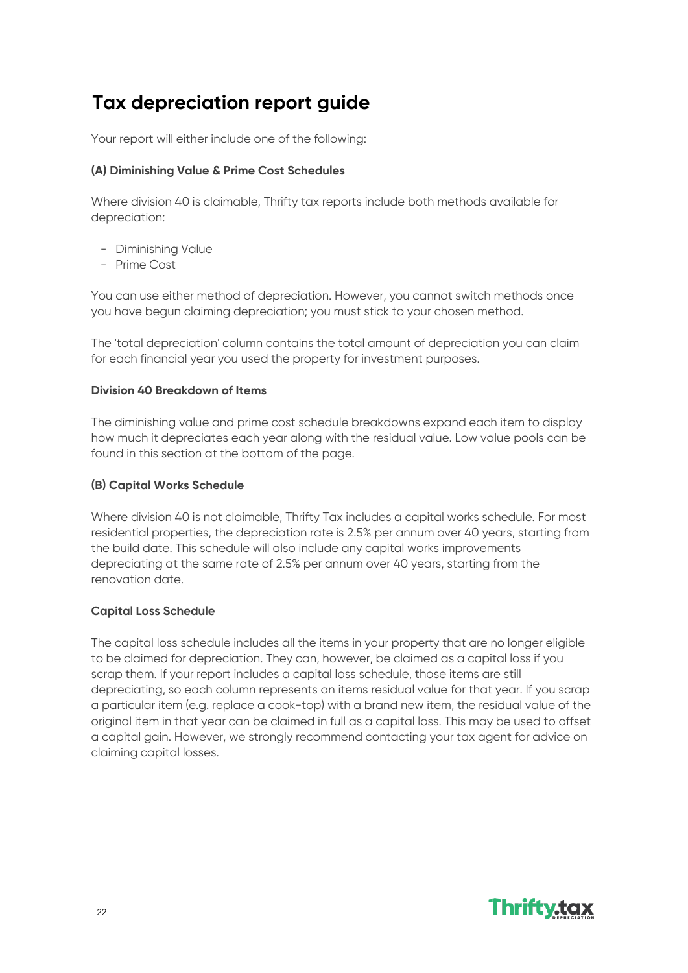# **Tax depreciation report guide**

Your report will either include one of the following:

#### **(A) Diminishing Value & Prime Cost Schedules**

Where division 40 is claimable, Thrifty tax reports include both methods available for depreciation:

- Diminishing Value
- Prime Cost

You can use either method of depreciation. However, you cannot switch methods once you have begun claiming depreciation; you must stick to your chosen method.

The 'total depreciation' column contains the total amount of depreciation you can claim for each financial year you used the property for investment purposes.

#### **Division 40 Breakdown of Items**

The diminishing value and prime cost schedule breakdowns expand each item to display how much it depreciates each year along with the residual value. Low value pools can be found in this section at the bottom of the page.

#### **(B) Capital Works Schedule**

Where division 40 is not claimable, Thrifty Tax includes a capital works schedule. For most residential properties, the depreciation rate is 2.5% per annum over 40 years, starting from the build date. This schedule will also include any capital works improvements depreciating at the same rate of 2.5% per annum over 40 years, starting from the renovation date.

#### **Capital Loss Schedule**

The capital loss schedule includes all the items in your property that are no longer eligible to be claimed for depreciation. They can, however, be claimed as a capital loss if you scrap them. If your report includes a capital loss schedule, those items are still depreciating, so each column represents an items residual value for that year. If you scrap a particular item (e.g. replace a cook-top) with a brand new item, the residual value of the original item in that year can be claimed in full as a capital loss. This may be used to offset a capital gain. However, we strongly recommend contacting your tax agent for advice on claiming capital losses.

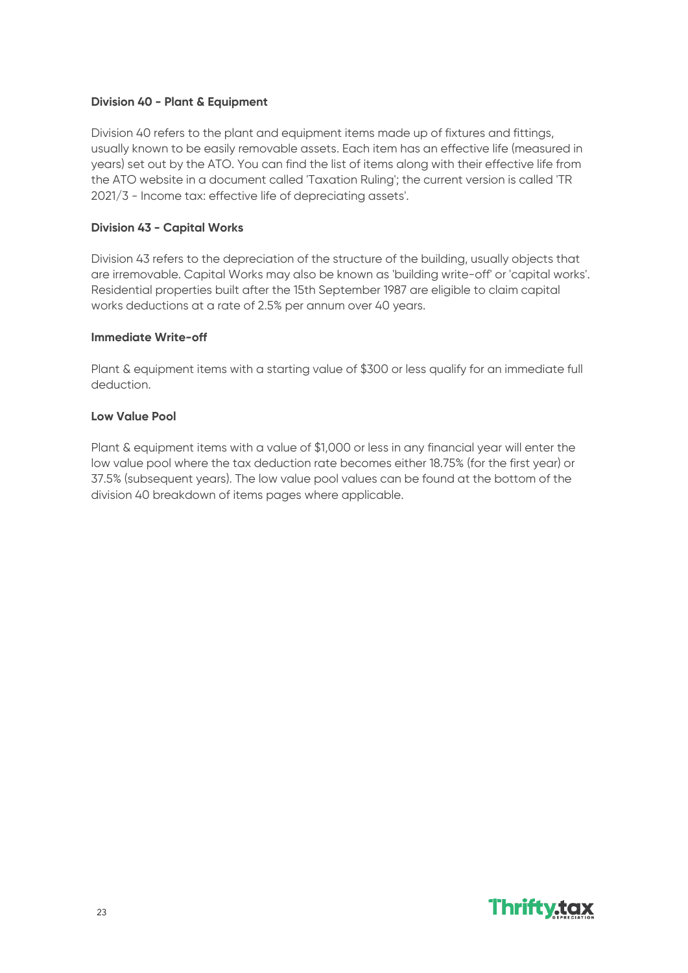#### **Division 40 - Plant & Equipment**

Division 40 refers to the plant and equipment items made up of fixtures and fittings, usually known to be easily removable assets. Each item has an effective life (measured in years) set out by the ATO. You can find the list of items along with their effective life from the ATO website in a document called 'Taxation Ruling'; the current version is called 'TR 2021/3 - Income tax: effective life of depreciating assets'.

#### **Division 43 - Capital Works**

Division 43 refers to the depreciation of the structure of the building, usually objects that are irremovable. Capital Works may also be known as 'building write-off' or 'capital works'. Residential properties built after the 15th September 1987 are eligible to claim capital works deductions at a rate of 2.5% per annum over 40 years.

#### **Immediate Write-off**

Plant & equipment items with a starting value of \$300 or less qualify for an immediate full deduction.

#### **Low Value Pool**

Plant & equipment items with a value of \$1,000 or less in any financial year will enter the low value pool where the tax deduction rate becomes either 18.75% (for the first year) or 37.5% (subsequent years). The low value pool values can be found at the bottom of the division 40 breakdown of items pages where applicable.